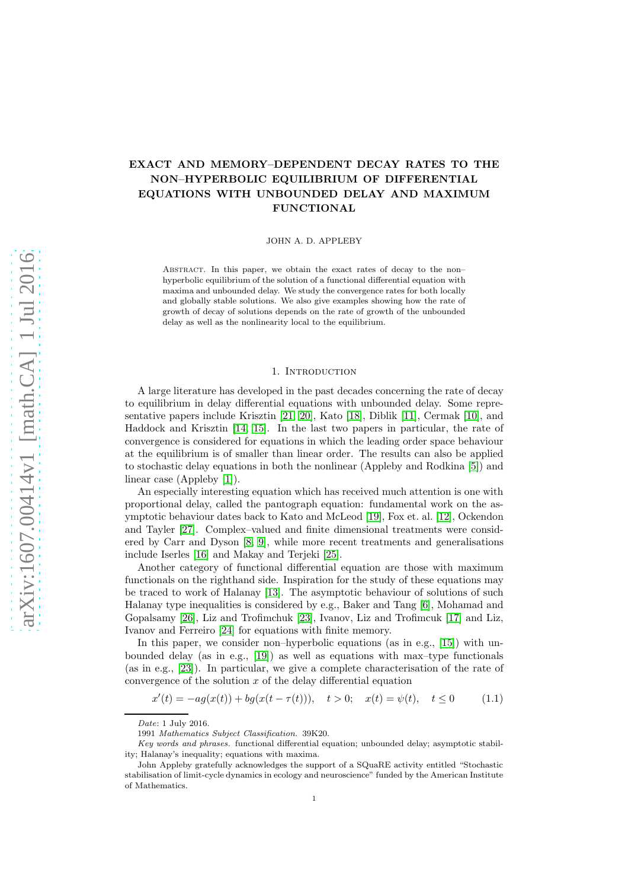# EXACT AND MEMORY–DEPENDENT DECAY RATES TO THE NON–HYPERBOLIC EQUILIBRIUM OF DIFFERENTIAL EQUATIONS WITH UNBOUNDED DELAY AND MAXIMUM FUNCTIONAL

JOHN A. D. APPLEBY

ABSTRACT. In this paper, we obtain the exact rates of decay to the nonhyperbolic equilibrium of the solution of a functional differential equation with maxima and unbounded delay. We study the convergence rates for both locally and globally stable solutions. We also give examples showing how the rate of growth of decay of solutions depends on the rate of growth of the unbounded delay as well as the nonlinearity local to the equilibrium.

### 1. INTRODUCTION

A large literature has developed in the past decades concerning the rate of decay to equilibrium in delay differential equations with unbounded delay. Some representative papers include Krisztin [\[21,](#page-52-0) [20\]](#page-52-1), Kato [\[18\]](#page-52-2), Diblik [\[11\]](#page-52-3), Cermak [\[10\]](#page-52-4), and Haddock and Krisztin [\[14,](#page-52-5) [15\]](#page-52-6). In the last two papers in particular, the rate of convergence is considered for equations in which the leading order space behaviour at the equilibrium is of smaller than linear order. The results can also be applied to stochastic delay equations in both the nonlinear (Appleby and Rodkina [\[5\]](#page-52-7)) and linear case (Appleby [\[1\]](#page-52-8)).

An especially interesting equation which has received much attention is one with proportional delay, called the pantograph equation: fundamental work on the asymptotic behaviour dates back to Kato and McLeod [\[19\]](#page-52-9), Fox et. al. [\[12\]](#page-52-10), Ockendon and Tayler [\[27\]](#page-53-0). Complex–valued and finite dimensional treatments were considered by Carr and Dyson [\[8,](#page-52-11) [9\]](#page-52-12), while more recent treatments and generalisations include Iserles [\[16\]](#page-52-13) and Makay and Terjeki [\[25\]](#page-52-14).

Another category of functional differential equation are those with maximum functionals on the righthand side. Inspiration for the study of these equations may be traced to work of Halanay [\[13\]](#page-52-15). The asymptotic behaviour of solutions of such Halanay type inequalities is considered by e.g., Baker and Tang [\[6\]](#page-52-16), Mohamad and Gopalsamy [\[26\]](#page-52-17), Liz and Trofimchuk [\[23\]](#page-52-18), Ivanov, Liz and Trofimcuk [\[17\]](#page-52-19) and Liz, Ivanov and Ferreiro [\[24\]](#page-52-20) for equations with finite memory.

In this paper, we consider non–hyperbolic equations (as in e.g., [\[15\]](#page-52-6)) with unbounded delay (as in e.g., [\[19\]](#page-52-9)) as well as equations with max–type functionals (as in e.g., [\[23\]](#page-52-18)). In particular, we give a complete characterisation of the rate of convergence of the solution  $x$  of the delay differential equation

<span id="page-0-0"></span>
$$
x'(t) = -ag(x(t)) + bg(x(t - \tau(t))), \quad t > 0; \quad x(t) = \psi(t), \quad t \le 0 \tag{1.1}
$$

Date: 1 July 2016.

<sup>1991</sup> Mathematics Subject Classification. 39K20.

Key words and phrases. functional differential equation; unbounded delay; asymptotic stability; Halanay's inequality; equations with maxima.

John Appleby gratefully acknowledges the support of a SQuaRE activity entitled "Stochastic stabilisation of limit-cycle dynamics in ecology and neuroscience" funded by the American Institute of Mathematics.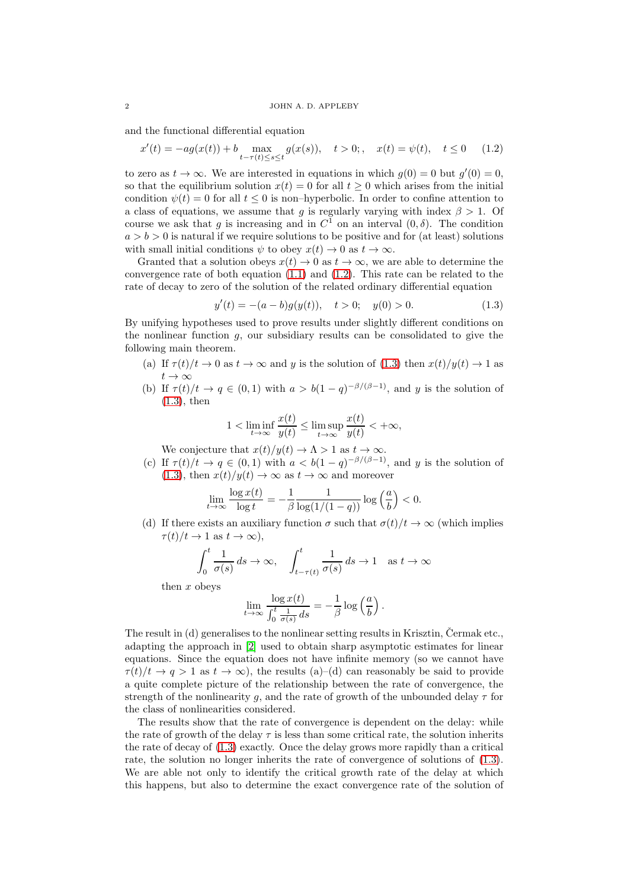and the functional differential equation

<span id="page-1-0"></span>
$$
x'(t) = -ag(x(t)) + b \max_{t-\tau(t)\le s \le t} g(x(s)), \quad t > 0; \quad x(t) = \psi(t), \quad t \le 0 \tag{1.2}
$$

to zero as  $t \to \infty$ . We are interested in equations in which  $g(0) = 0$  but  $g'(0) = 0$ , so that the equilibrium solution  $x(t) = 0$  for all  $t \geq 0$  which arises from the initial condition  $\psi(t) = 0$  for all  $t \leq 0$  is non-hyperbolic. In order to confine attention to a class of equations, we assume that g is regularly varying with index  $\beta > 1$ . Of course we ask that g is increasing and in  $C^1$  on an interval  $(0, \delta)$ . The condition  $a > b > 0$  is natural if we require solutions to be positive and for (at least) solutions with small initial conditions  $\psi$  to obey  $x(t) \to 0$  as  $t \to \infty$ .

Granted that a solution obeys  $x(t) \to 0$  as  $t \to \infty$ , we are able to determine the convergence rate of both equation  $(1.1)$  and  $(1.2)$ . This rate can be related to the rate of decay to zero of the solution of the related ordinary differential equation

<span id="page-1-1"></span>
$$
y'(t) = -(a - b)g(y(t)), \quad t > 0; \quad y(0) > 0.
$$
 (1.3)

By unifying hypotheses used to prove results under slightly different conditions on the nonlinear function  $g$ , our subsidiary results can be consolidated to give the following main theorem.

- (a) If  $\tau(t)/t \to 0$  as  $t \to \infty$  and y is the solution of [\(1.3\)](#page-1-1) then  $x(t)/y(t) \to 1$  as  $t \to \infty$
- (b) If  $\tau(t)/t \to q \in (0,1)$  with  $a > b(1-q)^{-\beta/(\beta-1)}$ , and y is the solution of [\(1.3\)](#page-1-1), then

$$
1 < \liminf_{t \to \infty} \frac{x(t)}{y(t)} \le \limsup_{t \to \infty} \frac{x(t)}{y(t)} < +\infty,
$$

We conjecture that  $x(t)/y(t) \to \Lambda > 1$  as  $t \to \infty$ .

(c) If  $\tau(t)/t \to q \in (0,1)$  with  $a < b(1-q)^{-\beta/(\beta-1)}$ , and y is the solution of [\(1.3\)](#page-1-1), then  $x(t)/y(t) \to \infty$  as  $t \to \infty$  and moreover

$$
\lim_{t \to \infty} \frac{\log x(t)}{\log t} = -\frac{1}{\beta} \frac{1}{\log(1/(1-q))} \log \left(\frac{a}{b}\right) < 0.
$$

(d) If there exists an auxiliary function  $\sigma$  such that  $\sigma(t)/t \to \infty$  (which implies  $\tau(t)/t \to 1$  as  $t \to \infty$ ),

$$
\int_0^t \frac{1}{\sigma(s)} ds \to \infty, \quad \int_{t-\tau(t)}^t \frac{1}{\sigma(s)} ds \to 1 \quad \text{as } t \to \infty
$$

then x obeys

$$
\lim_{t \to \infty} \frac{\log x(t)}{\int_0^t \frac{1}{\sigma(s)} ds} = -\frac{1}{\beta} \log \left(\frac{a}{b}\right).
$$

The result in  $(d)$  generalises to the nonlinear setting results in Krisztin, Cermak etc., adapting the approach in [\[2\]](#page-52-21) used to obtain sharp asymptotic estimates for linear equations. Since the equation does not have infinite memory (so we cannot have  $\tau(t)/t \to q > 1$  as  $t \to \infty$ , the results (a)–(d) can reasonably be said to provide a quite complete picture of the relationship between the rate of convergence, the strength of the nonlinearity q, and the rate of growth of the unbounded delay  $\tau$  for the class of nonlinearities considered.

The results show that the rate of convergence is dependent on the delay: while the rate of growth of the delay  $\tau$  is less than some critical rate, the solution inherits the rate of decay of [\(1.3\)](#page-1-1) exactly. Once the delay grows more rapidly than a critical rate, the solution no longer inherits the rate of convergence of solutions of [\(1.3\)](#page-1-1). We are able not only to identify the critical growth rate of the delay at which this happens, but also to determine the exact convergence rate of the solution of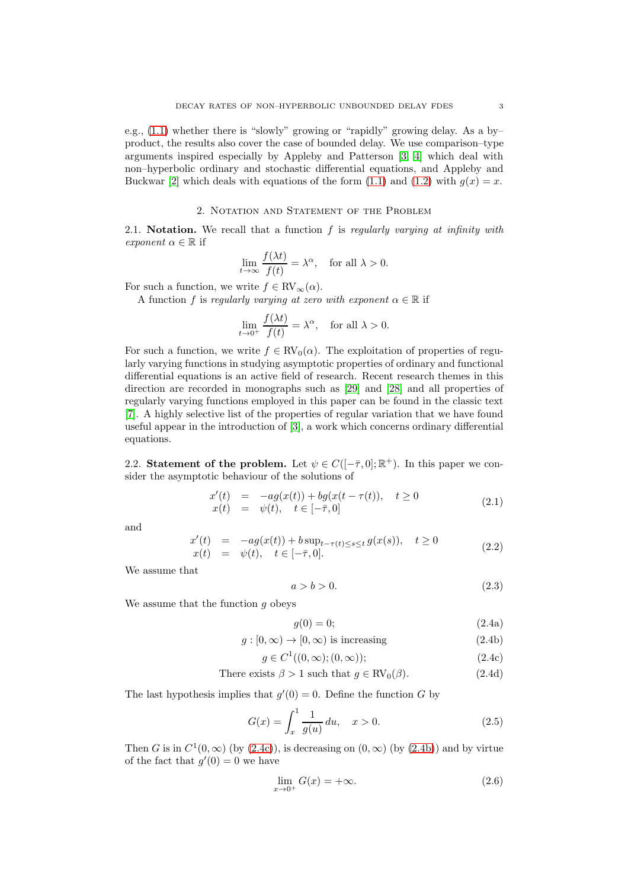e.g., [\(1.1\)](#page-0-0) whether there is "slowly" growing or "rapidly" growing delay. As a by– product, the results also cover the case of bounded delay. We use comparison–type arguments inspired especially by Appleby and Patterson [\[3,](#page-52-22) [4\]](#page-52-23) which deal with non–hyperbolic ordinary and stochastic differential equations, and Appleby and Buckwar [\[2\]](#page-52-21) which deals with equations of the form [\(1.1\)](#page-0-0) and [\(1.2\)](#page-1-0) with  $g(x) = x$ .

### 2. Notation and Statement of the Problem

2.1. Notation. We recall that a function  $f$  is regularly varying at infinity with exponent  $\alpha \in \mathbb{R}$  if

$$
\lim_{t \to \infty} \frac{f(\lambda t)}{f(t)} = \lambda^{\alpha}, \quad \text{for all } \lambda > 0.
$$

For such a function, we write  $f \in RV_{\infty}(\alpha)$ .

A function f is regularly varying at zero with exponent  $\alpha \in \mathbb{R}$  if

$$
\lim_{t \to 0^+} \frac{f(\lambda t)}{f(t)} = \lambda^{\alpha}, \quad \text{for all } \lambda > 0.
$$

For such a function, we write  $f \in RV_0(\alpha)$ . The exploitation of properties of regularly varying functions in studying asymptotic properties of ordinary and functional differential equations is an active field of research. Recent research themes in this direction are recorded in monographs such as [\[29\]](#page-53-1) and [\[28\]](#page-53-2) and all properties of regularly varying functions employed in this paper can be found in the classic text [\[7\]](#page-52-24). A highly selective list of the properties of regular variation that we have found useful appear in the introduction of [\[3\]](#page-52-22), a work which concerns ordinary differential equations.

2.2. Statement of the problem. Let  $\psi \in C([-\overline{\tau}, 0]; \mathbb{R}^+)$ . In this paper we consider the asymptotic behaviour of the solutions of

<span id="page-2-2"></span>
$$
x'(t) = -ag(x(t)) + bg(x(t - \tau(t)), \quad t \ge 0\nx(t) = \psi(t), \quad t \in [-\bar{\tau}, 0]
$$
\n(2.1)

and

<span id="page-2-3"></span>
$$
x'(t) = -ag(x(t)) + b \sup_{t-\tau(t)\le s\le t} g(x(s)), \quad t \ge 0
$$
  
\n
$$
x(t) = \psi(t), \quad t \in [-\bar{\tau}, 0].
$$
\n(2.2)

We assume that

<span id="page-2-6"></span>
$$
a > b > 0.\tag{2.3}
$$

We assume that the function  $g$  obeys

<span id="page-2-7"></span><span id="page-2-4"></span><span id="page-2-1"></span><span id="page-2-0"></span>
$$
g(0) = 0; \tag{2.4a}
$$

$$
g: [0, \infty) \to [0, \infty) \text{ is increasing} \tag{2.4b}
$$

$$
g \in C^1((0,\infty);(0,\infty));\tag{2.4c}
$$

There exists 
$$
\beta > 1
$$
 such that  $g \in \text{RV}_0(\beta)$ . (2.4d)

The last hypothesis implies that  $g'(0) = 0$ . Define the function G by

<span id="page-2-5"></span>
$$
G(x) = \int_{x}^{1} \frac{1}{g(u)} du, \quad x > 0.
$$
 (2.5)

Then G is in  $C^1(0,\infty)$  (by  $(2.4c)$ ), is decreasing on  $(0,\infty)$  (by  $(2.4b)$ ) and by virtue of the fact that  $g'(0) = 0$  we have

$$
\lim_{x \to 0^+} G(x) = +\infty. \tag{2.6}
$$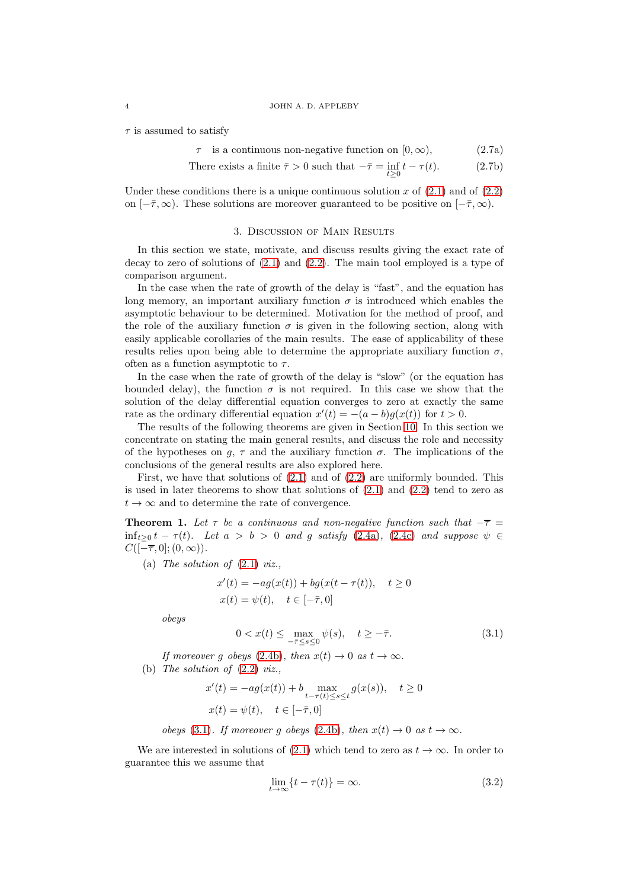$\tau$  is assumed to satisfy

 $\tau$  is a continuous non-negative function on  $[0, \infty)$ , (2.7a)

There exists a finite 
$$
\bar{\tau} > 0
$$
 such that  $-\bar{\tau} = \inf_{t \geq 0} t - \tau(t)$ . (2.7b)

Under these conditions there is a unique continuous solution x of  $(2.1)$  and of  $(2.2)$ on  $[-\bar{\tau}, \infty)$ . These solutions are moreover guaranteed to be positive on  $[-\bar{\tau}, \infty)$ .

### <span id="page-3-1"></span>3. Discussion of Main Results

In this section we state, motivate, and discuss results giving the exact rate of decay to zero of solutions of  $(2.1)$  and  $(2.2)$ . The main tool employed is a type of comparison argument.

In the case when the rate of growth of the delay is "fast", and the equation has long memory, an important auxiliary function  $\sigma$  is introduced which enables the asymptotic behaviour to be determined. Motivation for the method of proof, and the role of the auxiliary function  $\sigma$  is given in the following section, along with easily applicable corollaries of the main results. The ease of applicability of these results relies upon being able to determine the appropriate auxiliary function  $\sigma$ , often as a function asymptotic to  $\tau$ .

In the case when the rate of growth of the delay is "slow" (or the equation has bounded delay), the function  $\sigma$  is not required. In this case we show that the solution of the delay differential equation converges to zero at exactly the same rate as the ordinary differential equation  $x'(t) = -(a - b)g(x(t))$  for  $t > 0$ .

The results of the following theorems are given in Section [10.](#page-35-0) In this section we concentrate on stating the main general results, and discuss the role and necessity of the hypotheses on g,  $\tau$  and the auxiliary function  $\sigma$ . The implications of the conclusions of the general results are also explored here.

First, we have that solutions of [\(2.1\)](#page-2-2) and of [\(2.2\)](#page-2-3) are uniformly bounded. This is used in later theorems to show that solutions of [\(2.1\)](#page-2-2) and [\(2.2\)](#page-2-3) tend to zero as  $t \to \infty$  and to determine the rate of convergence.

**Theorem 1.** Let  $\tau$  be a continuous and non-negative function such that  $-\overline{\tau}$  =  $\inf_{t>0} t - \tau(t)$ . Let  $a > b > 0$  and g satisfy [\(2.4a\)](#page-2-4), [\(2.4c\)](#page-2-0) and suppose  $\psi \in$  $C([-\overline{\tau},0];(0,\infty)).$ 

(a) The solution of  $(2.1)$  viz.,

$$
x'(t) = -ag(x(t)) + bg(x(t - \tau(t)), \quad t \ge 0
$$
  

$$
x(t) = \psi(t), \quad t \in [-\bar{\tau}, 0]
$$

obeys

<span id="page-3-0"></span>
$$
0 < x(t) \le \max_{-\bar{\tau} \le s \le 0} \psi(s), \quad t \ge -\bar{\tau}.\tag{3.1}
$$

If moreover g obeys [\(2.4b\)](#page-2-1), then  $x(t) \to 0$  as  $t \to \infty$ .

(b) The solution of  $(2.2)$  viz.,

$$
x'(t) = -ag(x(t)) + b \max_{t-\tau(t)\le s \le t} g(x(s)), \quad t \ge 0
$$
  

$$
x(t) = \psi(t), \quad t \in [-\bar{\tau}, 0]
$$

obeys [\(3.1\)](#page-3-0). If moreover q obeys [\(2.4b\)](#page-2-1), then  $x(t) \to 0$  as  $t \to \infty$ .

We are interested in solutions of [\(2.1\)](#page-2-2) which tend to zero as  $t \to \infty$ . In order to guarantee this we assume that

<span id="page-3-2"></span>
$$
\lim_{t \to \infty} \{t - \tau(t)\} = \infty. \tag{3.2}
$$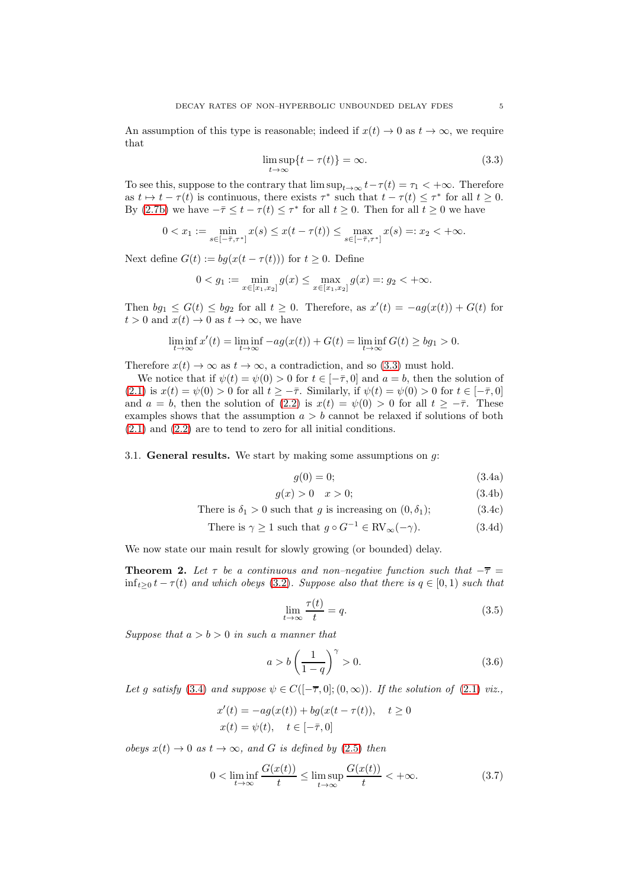An assumption of this type is reasonable; indeed if  $x(t) \to 0$  as  $t \to \infty$ , we require that

<span id="page-4-0"></span>
$$
\limsup_{t \to \infty} \{t - \tau(t)\} = \infty. \tag{3.3}
$$

To see this, suppose to the contrary that  $\limsup_{t\to\infty} t-\tau(t) = \tau_1 < +\infty$ . Therefore as  $t \mapsto t - \tau(t)$  is continuous, there exists  $\tau^*$  such that  $t - \tau(t) \leq \tau^*$  for all  $t \geq 0$ . By [\(2.7b\)](#page-3-1) we have  $-\bar{\tau} \leq t - \tau(t) \leq \tau^*$  for all  $t \geq 0$ . Then for all  $t \geq 0$  we have

$$
0 < x_1 := \min_{s \in [-\bar{\tau}, \tau^*]} x(s) \leq x(t - \tau(t)) \leq \max_{s \in [-\bar{\tau}, \tau^*]} x(s) =: x_2 < +\infty.
$$

Next define  $G(t) := bg(x(t - \tau(t)))$  for  $t \geq 0$ . Define

$$
0 < g_1 := \min_{x \in [x_1, x_2]} g(x) \le \max_{x \in [x_1, x_2]} g(x) =: g_2 < +\infty.
$$

Then  $bg_1 \le G(t) \le bg_2$  for all  $t \ge 0$ . Therefore, as  $x'(t) = -ag(x(t)) + G(t)$  for  $t > 0$  and  $x(t) \to 0$  as  $t \to \infty$ , we have

$$
\liminf_{t\to\infty}x'(t)=\liminf_{t\to\infty}-ag(x(t))+G(t)=\liminf_{t\to\infty}G(t)\geq bg_1>0.
$$

Therefore  $x(t) \to \infty$  as  $t \to \infty$ , a contradiction, and so [\(3.3\)](#page-4-0) must hold.

We notice that if  $\psi(t) = \psi(0) > 0$  for  $t \in [-\bar{\tau}, 0]$  and  $a = b$ , then the solution of [\(2.1\)](#page-2-2) is  $x(t) = \psi(0) > 0$  for all  $t \geq -\overline{\tau}$ . Similarly, if  $\psi(t) = \psi(0) > 0$  for  $t \in [-\overline{\tau}, 0]$ and  $a = b$ , then the solution of [\(2.2\)](#page-2-3) is  $x(t) = \psi(0) > 0$  for all  $t \geq -\overline{\tau}$ . These examples shows that the assumption  $a > b$  cannot be relaxed if solutions of both [\(2.1\)](#page-2-2) and [\(2.2\)](#page-2-3) are to tend to zero for all initial conditions.

3.1. General results. We start by making some assumptions on  $q$ :

<span id="page-4-2"></span><span id="page-4-1"></span>
$$
g(0) = 0; \tag{3.4a}
$$

$$
g(x) > 0 \quad x > 0; \tag{3.4b}
$$

There is 
$$
\delta_1 > 0
$$
 such that g is increasing on  $(0, \delta_1)$ ; (3.4c)

There is 
$$
\gamma \ge 1
$$
 such that  $g \circ G^{-1} \in \text{RV}_{\infty}(-\gamma)$ . (3.4d)

We now state our main result for slowly growing (or bounded) delay.

<span id="page-4-4"></span>**Theorem 2.** Let  $\tau$  be a continuous and non–negative function such that  $-\overline{\tau}$  =  $\inf_{t>0} t - \tau(t)$  and which obeys [\(3.2\)](#page-3-2). Suppose also that there is  $q \in [0,1)$  such that

<span id="page-4-3"></span>
$$
\lim_{t \to \infty} \frac{\tau(t)}{t} = q. \tag{3.5}
$$

Suppose that  $a > b > 0$  in such a manner that

<span id="page-4-5"></span>
$$
a > b \left(\frac{1}{1-q}\right)^{\gamma} > 0. \tag{3.6}
$$

Let g satisfy [\(3.4\)](#page-4-1) and suppose  $\psi \in C([-\overline{\tau}, 0]; (0, \infty))$ . If the solution of [\(2.1\)](#page-2-2) viz.,

$$
x'(t) = -ag(x(t)) + bg(x(t - \tau(t)), \quad t \ge 0
$$
  

$$
x(t) = \psi(t), \quad t \in [-\bar{\tau}, 0]
$$

obeys  $x(t) \rightarrow 0$  as  $t \rightarrow \infty$ , and G is defined by [\(2.5\)](#page-2-5) then

$$
0 < \liminf_{t \to \infty} \frac{G(x(t))}{t} \le \limsup_{t \to \infty} \frac{G(x(t))}{t} < +\infty. \tag{3.7}
$$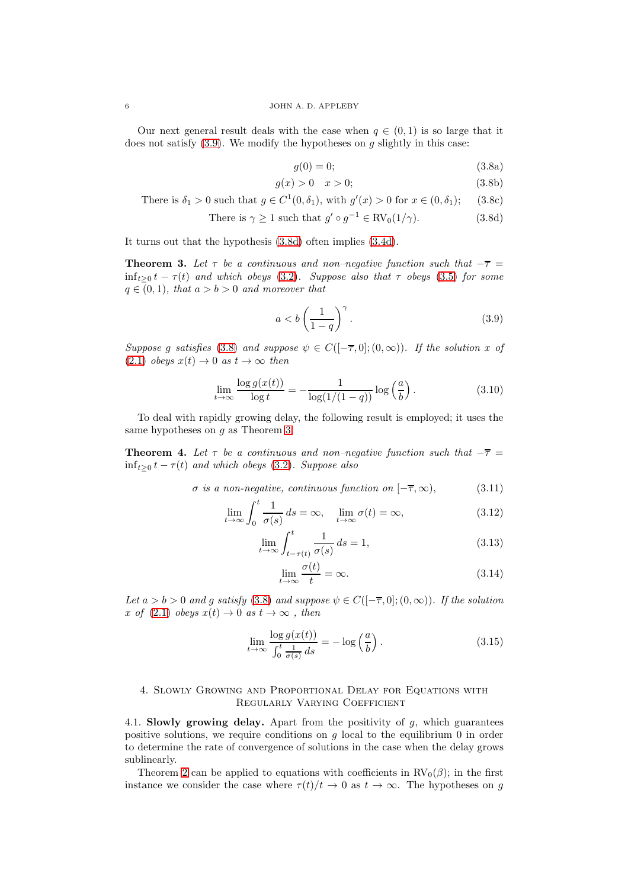Our next general result deals with the case when  $q \in (0,1)$  is so large that it does not satisfy  $(3.9)$ . We modify the hypotheses on g slightly in this case:

<span id="page-5-2"></span><span id="page-5-1"></span>
$$
g(0) = 0; \tag{3.8a}
$$

$$
g(x) > 0 \quad x > 0; \tag{3.8b}
$$

There is  $\delta_1 > 0$  such that  $g \in C^1(0, \delta_1)$ , with  $g'(x) > 0$  for  $x \in (0, \delta_1)$ ; (3.8c)

There is 
$$
\gamma \ge 1
$$
 such that  $g' \circ g^{-1} \in \text{RV}_0(1/\gamma)$ . (3.8d)

It turns out that the hypothesis [\(3.8d\)](#page-5-1) often implies [\(3.4d\)](#page-4-2).

<span id="page-5-3"></span>**Theorem 3.** Let  $\tau$  be a continuous and non–negative function such that  $-\overline{\tau}$  =  $\inf_{t>0} t - \tau(t)$  and which obeys [\(3.2\)](#page-3-2). Suppose also that  $\tau$  obeys [\(3.5\)](#page-4-3) for some  $q \in (0,1)$ , that  $a > b > 0$  and moreover that

<span id="page-5-0"></span>
$$
a < b \left( \frac{1}{1 - q} \right)^{\gamma} . \tag{3.9}
$$

Suppose g satisfies [\(3.8\)](#page-5-2) and suppose  $\psi \in C([-\overline{\tau},0];(0,\infty))$ . If the solution x of  $(2.1)$  obeys  $x(t) \rightarrow 0$  as  $t \rightarrow \infty$  then

$$
\lim_{t \to \infty} \frac{\log g(x(t))}{\log t} = -\frac{1}{\log(1/(1-q))} \log \left(\frac{a}{b}\right). \tag{3.10}
$$

To deal with rapidly growing delay, the following result is employed; it uses the same hypotheses on  $g$  as Theorem [3.](#page-5-3)

<span id="page-5-4"></span>**Theorem 4.** Let  $\tau$  be a continuous and non–negative function such that  $-\overline{\tau}$  =  $\inf_{t\geq 0} t - \tau(t)$  and which obeys [\(3.2\)](#page-3-2). Suppose also

$$
\sigma \text{ is a non-negative, continuous function on } [-\overline{\tau}, \infty), \tag{3.11}
$$

$$
\lim_{t \to \infty} \int_0^t \frac{1}{\sigma(s)} ds = \infty, \quad \lim_{t \to \infty} \sigma(t) = \infty,
$$
\n(3.12)

$$
\lim_{t \to \infty} \int_{t - \tau(t)}^{t} \frac{1}{\sigma(s)} ds = 1,
$$
\n(3.13)

<span id="page-5-8"></span><span id="page-5-7"></span><span id="page-5-6"></span><span id="page-5-5"></span>
$$
\lim_{t \to \infty} \frac{\sigma(t)}{t} = \infty.
$$
\n(3.14)

Let  $a > b > 0$  and g satisfy [\(3.8\)](#page-5-2) and suppose  $\psi \in C([-\overline{\tau}, 0]; (0, \infty))$ . If the solution x of [\(2.1\)](#page-2-2) obeys  $x(t) \to 0$  as  $t \to \infty$ , then

<span id="page-5-9"></span>
$$
\lim_{t \to \infty} \frac{\log g(x(t))}{\int_0^t \frac{1}{\sigma(s)} ds} = -\log \left(\frac{a}{b}\right). \tag{3.15}
$$

# 4. Slowly Growing and Proportional Delay for Equations with Regularly Varying Coefficient

4.1. Slowly growing delay. Apart from the positivity of g, which guarantees positive solutions, we require conditions on g local to the equilibrium 0 in order to determine the rate of convergence of solutions in the case when the delay grows sublinearly.

Theorem [2](#page-4-4) can be applied to equations with coefficients in  $RV_0(\beta)$ ; in the first instance we consider the case where  $\tau(t)/t \to 0$  as  $t \to \infty$ . The hypotheses on g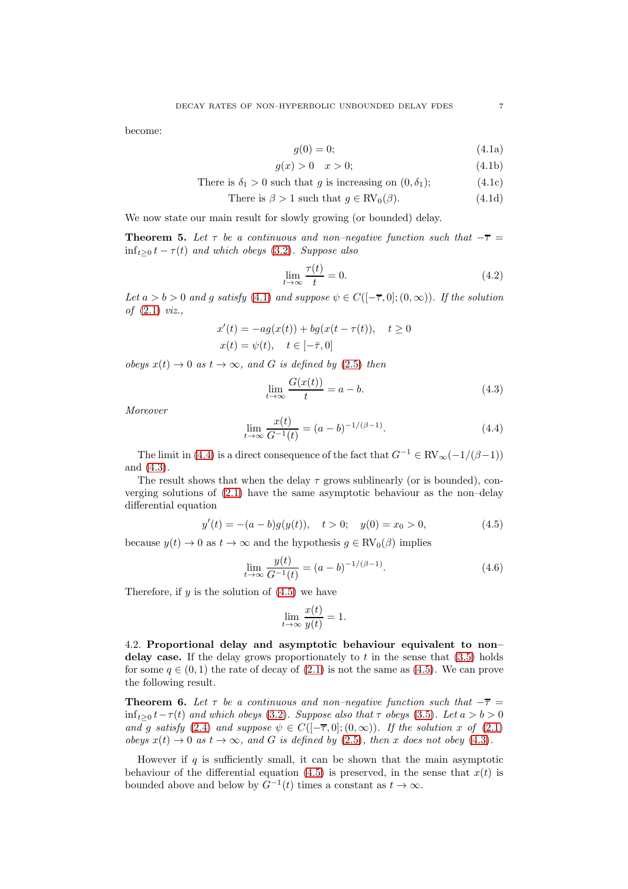<span id="page-6-0"></span>become:

$$
g(0) = 0; \tag{4.1a}
$$

$$
g(x) > 0 \quad x > 0; \tag{4.1b}
$$

There is 
$$
\delta_1 > 0
$$
 such that g is increasing on  $(0, \delta_1)$ ;  $(4.1c)$ 

There is 
$$
\beta > 1
$$
 such that  $g \in \text{RV}_0(\beta)$ . (4.1d)

We now state our main result for slowly growing (or bounded) delay.

<span id="page-6-6"></span>**Theorem 5.** Let  $\tau$  be a continuous and non–negative function such that  $-\overline{\tau}$  =  $\inf_{t>0} t - \tau(t)$  and which obeys [\(3.2\)](#page-3-2). Suppose also

<span id="page-6-7"></span>
$$
\lim_{t \to \infty} \frac{\tau(t)}{t} = 0. \tag{4.2}
$$

Let  $a > b > 0$  and g satisfy [\(4.1\)](#page-6-0) and suppose  $\psi \in C([-\overline{\tau}, 0]; (0, \infty))$ . If the solution of [\(2.1\)](#page-2-2) viz.,

$$
x'(t) = -ag(x(t)) + bg(x(t - \tau(t)), \quad t \ge 0
$$
  

$$
x(t) = \psi(t), \quad t \in [-\bar{\tau}, 0]
$$

obeys  $x(t) \rightarrow 0$  as  $t \rightarrow \infty$ , and G is defined by [\(2.5\)](#page-2-5) then

<span id="page-6-2"></span>
$$
\lim_{t \to \infty} \frac{G(x(t))}{t} = a - b. \tag{4.3}
$$

Moreover

<span id="page-6-1"></span>
$$
\lim_{t \to \infty} \frac{x(t)}{G^{-1}(t)} = (a - b)^{-1/(\beta - 1)}.
$$
\n(4.4)

The limit in [\(4.4\)](#page-6-1) is a direct consequence of the fact that  $G^{-1} \in RV_{\infty}(-1/(\beta-1))$ and [\(4.3\)](#page-6-2).

The result shows that when the delay  $\tau$  grows sublinearly (or is bounded), converging solutions of [\(2.1\)](#page-2-2) have the same asymptotic behaviour as the non–delay differential equation

<span id="page-6-3"></span>
$$
y'(t) = -(a - b)g(y(t)), \quad t > 0; \quad y(0) = x_0 > 0,
$$
\n(4.5)

because  $y(t) \to 0$  as  $t \to \infty$  and the hypothesis  $g \in RV_0(\beta)$  implies

<span id="page-6-4"></span>
$$
\lim_{t \to \infty} \frac{y(t)}{G^{-1}(t)} = (a - b)^{-1/(\beta - 1)}.
$$
\n(4.6)

Therefore, if  $y$  is the solution of  $(4.5)$  we have

$$
\lim_{t \to \infty} \frac{x(t)}{y(t)} = 1.
$$

4.2. Proportional delay and asymptotic behaviour equivalent to non– delay case. If the delay grows proportionately to t in the sense that  $(3.5)$  holds for some  $q \in (0,1)$  the rate of decay of  $(2.1)$  is not the same as  $(4.5)$ . We can prove the following result.

<span id="page-6-5"></span>**Theorem 6.** Let  $\tau$  be a continuous and non–negative function such that  $-\overline{\tau}$  =  $\inf_{t>0} t-\tau(t)$  and which obeys [\(3.2\)](#page-3-2). Suppose also that  $\tau$  obeys [\(3.5\)](#page-4-3). Let  $a > b > 0$ and g satisfy [\(2.4\)](#page-2-6) and suppose  $\psi \in C([-\overline{\tau},0];(0,\infty))$ . If the solution x of [\(2.1\)](#page-2-2) obeys  $x(t) \to 0$  as  $t \to \infty$ , and G is defined by [\(2.5\)](#page-2-5), then x does not obey [\(4.3\)](#page-6-2).

However if  $q$  is sufficiently small, it can be shown that the main asymptotic behaviour of the differential equation [\(4.5\)](#page-6-3) is preserved, in the sense that  $x(t)$  is bounded above and below by  $G^{-1}(t)$  times a constant as  $t \to \infty$ .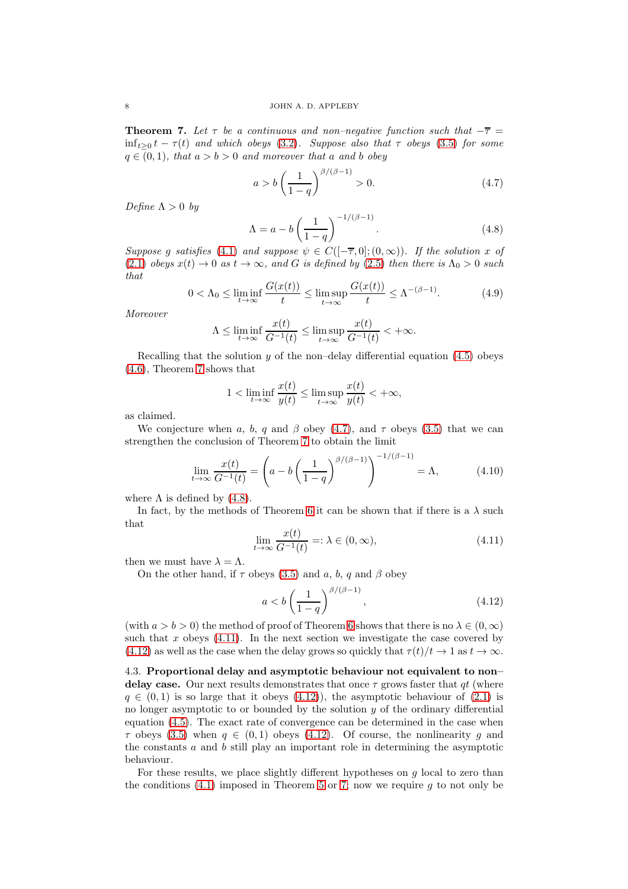<span id="page-7-0"></span>**Theorem 7.** Let  $\tau$  be a continuous and non–negative function such that  $-\overline{\tau}$  =  $\inf_{t>0} t - \tau(t)$  and which obeys [\(3.2\)](#page-3-2). Suppose also that  $\tau$  obeys [\(3.5\)](#page-4-3) for some  $q \in (0,1)$ , that  $a > b > 0$  and moreover that a and b obey

<span id="page-7-1"></span>
$$
a > b \left(\frac{1}{1-q}\right)^{\beta/(\beta-1)} > 0.
$$
 (4.7)

Define  $\Lambda > 0$  by

<span id="page-7-2"></span>
$$
\Lambda = a - b \left(\frac{1}{1-q}\right)^{-1/(\beta-1)}.\tag{4.8}
$$

Suppose g satisfies [\(4.1\)](#page-6-0) and suppose  $\psi \in C([- \overline{\tau}, 0]; (0, \infty))$ . If the solution x of  $(2.1)$  obeys  $x(t) \rightarrow 0$  as  $t \rightarrow \infty$ , and G is defined by [\(2.5\)](#page-2-5) then there is  $\Lambda_0 > 0$  such that

<span id="page-7-5"></span>
$$
0 < \Lambda_0 \le \liminf_{t \to \infty} \frac{G(x(t))}{t} \le \limsup_{t \to \infty} \frac{G(x(t))}{t} \le \Lambda^{-(\beta - 1)}.\tag{4.9}
$$

Moreover

$$
\Lambda \leq \liminf_{t \to \infty} \frac{x(t)}{G^{-1}(t)} \leq \limsup_{t \to \infty} \frac{x(t)}{G^{-1}(t)} < +\infty.
$$

Recalling that the solution  $y$  of the non–delay differential equation [\(4.5\)](#page-6-3) obeys [\(4.6\)](#page-6-4), Theorem [7](#page-7-0) shows that

$$
1 < \liminf_{t \to \infty} \frac{x(t)}{y(t)} \le \limsup_{t \to \infty} \frac{x(t)}{y(t)} < +\infty,
$$

as claimed.

We conjecture when a, b, q and  $\beta$  obey [\(4.7\)](#page-7-1), and  $\tau$  obeys [\(3.5\)](#page-4-3) that we can strengthen the conclusion of Theorem [7](#page-7-0) to obtain the limit

$$
\lim_{t \to \infty} \frac{x(t)}{G^{-1}(t)} = \left( a - b \left( \frac{1}{1-q} \right)^{\beta/(\beta - 1)} \right)^{-1/(\beta - 1)} = \Lambda, \tag{4.10}
$$

where  $\Lambda$  is defined by [\(4.8\)](#page-7-2).

In fact, by the methods of Theorem [6](#page-6-5) it can be shown that if there is a  $\lambda$  such that

<span id="page-7-3"></span>
$$
\lim_{t \to \infty} \frac{x(t)}{G^{-1}(t)} =: \lambda \in (0, \infty), \tag{4.11}
$$

then we must have  $\lambda = \Lambda$ .

On the other hand, if  $\tau$  obeys [\(3.5\)](#page-4-3) and a, b, q and  $\beta$  obey

<span id="page-7-4"></span>
$$
a < b \left(\frac{1}{1-q}\right)^{\beta/(\beta-1)},\tag{4.12}
$$

(with  $a > b > 0$ ) the method of proof of Theorem [6](#page-6-5) shows that there is no  $\lambda \in (0, \infty)$ such that x obeys  $(4.11)$ . In the next section we investigate the case covered by  $(4.12)$  as well as the case when the delay grows so quickly that  $\tau(t)/t \to 1$  as  $t \to \infty$ .

4.3. Proportional delay and asymptotic behaviour not equivalent to non– delay case. Our next results demonstrates that once  $\tau$  grows faster that qt (where  $q \in (0,1)$  is so large that it obeys  $(4.12)$ , the asymptotic behaviour of  $(2.1)$  is no longer asymptotic to or bounded by the solution  $y$  of the ordinary differential equation [\(4.5\)](#page-6-3). The exact rate of convergence can be determined in the case when  $\tau$  obeys [\(3.5\)](#page-4-3) when  $q \in (0, 1)$  obeys [\(4.12\)](#page-7-4). Of course, the nonlinearity q and the constants  $a$  and  $b$  still play an important role in determining the asymptotic behaviour.

For these results, we place slightly different hypotheses on  $q$  local to zero than the conditions  $(4.1)$  imposed in Theorem [5](#page-6-6) or [7;](#page-7-0) now we require g to not only be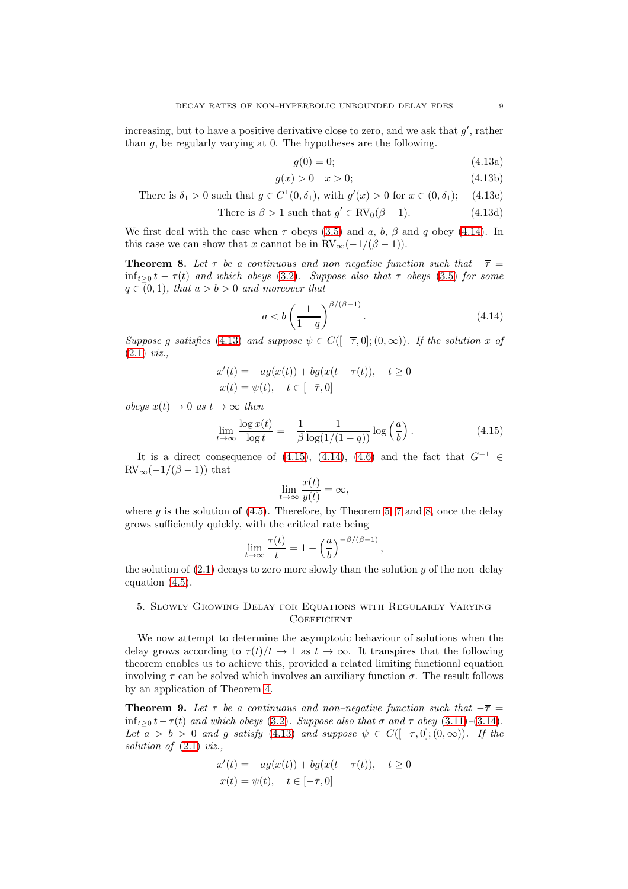increasing, but to have a positive derivative close to zero, and we ask that  $g'$ , rather than g, be regularly varying at 0. The hypotheses are the following.

<span id="page-8-1"></span>
$$
g(0) = 0; \t(4.13a)
$$

$$
g(x) > 0 \quad x > 0; \tag{4.13b}
$$

There is  $\delta_1 > 0$  such that  $g \in C^1(0, \delta_1)$ , with  $g'(x) > 0$  for  $x \in (0, \delta_1)$ ; (4.13c)

There is 
$$
\beta > 1
$$
 such that  $g' \in \text{RV}_0(\beta - 1)$ . (4.13d)

We first deal with the case when  $\tau$  obeys [\(3.5\)](#page-4-3) and a, b,  $\beta$  and q obey [\(4.14\)](#page-8-0). In this case we can show that x cannot be in  $RV_{\infty}(-1/(\beta-1)).$ 

<span id="page-8-3"></span>**Theorem 8.** Let  $\tau$  be a continuous and non–negative function such that  $-\overline{\tau}$  =  $\inf_{t>0} t - \tau(t)$  and which obeys [\(3.2\)](#page-3-2). Suppose also that  $\tau$  obeys [\(3.5\)](#page-4-3) for some  $q \in (0,1)$ , that  $a > b > 0$  and moreover that

<span id="page-8-0"></span>
$$
a < b \left(\frac{1}{1-q}\right)^{\beta/(\beta-1)}.\tag{4.14}
$$

Suppose g satisfies [\(4.13\)](#page-8-1) and suppose  $\psi \in C([-\overline{\tau},0];(0,\infty))$ . If the solution x of [\(2.1\)](#page-2-2) viz.,

$$
x'(t) = -ag(x(t)) + bg(x(t - \tau(t)), \quad t \ge 0
$$
  

$$
x(t) = \psi(t), \quad t \in [-\bar{\tau}, 0]
$$

obeys  $x(t) \rightarrow 0$  as  $t \rightarrow \infty$  then

<span id="page-8-2"></span>
$$
\lim_{t \to \infty} \frac{\log x(t)}{\log t} = -\frac{1}{\beta} \frac{1}{\log(1/(1-q))} \log\left(\frac{a}{b}\right). \tag{4.15}
$$

It is a direct consequence of [\(4.15\)](#page-8-2), [\(4.14\)](#page-8-0), [\(4.6\)](#page-6-4) and the fact that  $G^{-1} \in$  $RV_{\infty}(-1/(\beta-1))$  that

$$
\lim_{t \to \infty} \frac{x(t)}{y(t)} = \infty,
$$

where  $\gamma$  is the solution of [\(4.5\)](#page-6-3). Therefore, by Theorem [5,](#page-6-6) [7](#page-7-0) and [8,](#page-8-3) once the delay grows sufficiently quickly, with the critical rate being

$$
\lim_{t \to \infty} \frac{\tau(t)}{t} = 1 - \left(\frac{a}{b}\right)^{-\beta/(\beta - 1)},
$$

the solution of  $(2.1)$  decays to zero more slowly than the solution y of the non-delay equation [\(4.5\)](#page-6-3).

# 5. Slowly Growing Delay for Equations with Regularly Varying **COEFFICIENT**

We now attempt to determine the asymptotic behaviour of solutions when the delay grows according to  $\tau(t)/t \to 1$  as  $t \to \infty$ . It transpires that the following theorem enables us to achieve this, provided a related limiting functional equation involving  $\tau$  can be solved which involves an auxiliary function  $\sigma$ . The result follows by an application of Theorem [4.](#page-5-4)

<span id="page-8-4"></span>**Theorem 9.** Let  $\tau$  be a continuous and non–negative function such that  $-\overline{\tau}$  = inf<sub>t>0</sub>  $t-\tau(t)$  and which obeys [\(3.2\)](#page-3-2). Suppose also that  $\sigma$  and  $\tau$  obey [\(3.11\)](#page-5-5)–[\(3.14\)](#page-5-6). Let  $a > b > 0$  and g satisfy [\(4.13\)](#page-8-1) and suppose  $\psi \in C([-\overline{\tau}, 0]; (0, \infty))$ . If the solution of  $(2.1)$  viz.,

$$
x'(t) = -ag(x(t)) + bg(x(t - \tau(t)), \quad t \ge 0
$$
  

$$
x(t) = \psi(t), \quad t \in [-\bar{\tau}, 0]
$$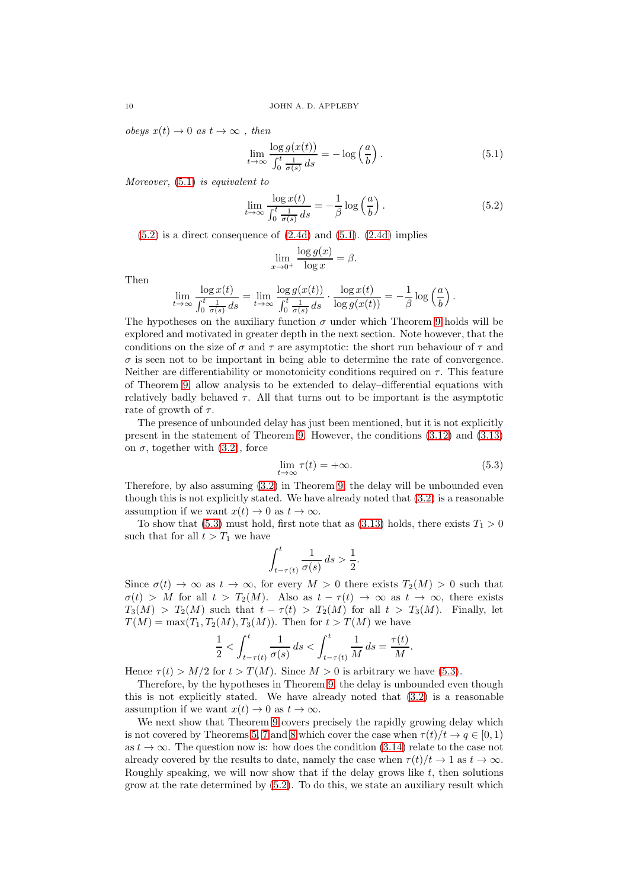obeys  $x(t) \to 0$  as  $t \to \infty$ , then

<span id="page-9-0"></span>
$$
\lim_{t \to \infty} \frac{\log g(x(t))}{\int_0^t \frac{1}{\sigma(s)} ds} = -\log \left(\frac{a}{b}\right). \tag{5.1}
$$

Moreover, [\(5.1\)](#page-9-0) is equivalent to

<span id="page-9-1"></span>
$$
\lim_{t \to \infty} \frac{\log x(t)}{\int_0^t \frac{1}{\sigma(s)} ds} = -\frac{1}{\beta} \log \left(\frac{a}{b}\right). \tag{5.2}
$$

 $(5.2)$  is a direct consequence of  $(2.4d)$  and  $(5.1)$ .  $(2.4d)$  implies

$$
\lim_{x \to 0^+} \frac{\log g(x)}{\log x} = \beta.
$$

Then

$$
\lim_{t \to \infty} \frac{\log x(t)}{\int_0^t \frac{1}{\sigma(s)} ds} = \lim_{t \to \infty} \frac{\log g(x(t))}{\int_0^t \frac{1}{\sigma(s)} ds} \cdot \frac{\log x(t)}{\log g(x(t))} = -\frac{1}{\beta} \log \left(\frac{a}{b}\right).
$$

The hypotheses on the auxiliary function  $\sigma$  under which Theorem [9](#page-8-4) holds will be explored and motivated in greater depth in the next section. Note however, that the conditions on the size of  $\sigma$  and  $\tau$  are asymptotic: the short run behaviour of  $\tau$  and  $\sigma$  is seen not to be important in being able to determine the rate of convergence. Neither are differentiability or monotonicity conditions required on  $\tau$ . This feature of Theorem [9,](#page-8-4) allow analysis to be extended to delay–differential equations with relatively badly behaved  $\tau$ . All that turns out to be important is the asymptotic rate of growth of  $\tau$ .

The presence of unbounded delay has just been mentioned, but it is not explicitly present in the statement of Theorem [9.](#page-8-4) However, the conditions [\(3.12\)](#page-5-7) and [\(3.13\)](#page-5-8) on  $\sigma$ , together with [\(3.2\)](#page-3-2), force

<span id="page-9-2"></span>
$$
\lim_{t \to \infty} \tau(t) = +\infty. \tag{5.3}
$$

Therefore, by also assuming [\(3.2\)](#page-3-2) in Theorem [9,](#page-8-4) the delay will be unbounded even though this is not explicitly stated. We have already noted that [\(3.2\)](#page-3-2) is a reasonable assumption if we want  $x(t) \to 0$  as  $t \to \infty$ .

To show that [\(5.3\)](#page-9-2) must hold, first note that as [\(3.13\)](#page-5-8) holds, there exists  $T_1 > 0$ such that for all  $t > T_1$  we have

$$
\int_{t-\tau(t)}^{t} \frac{1}{\sigma(s)} ds > \frac{1}{2}.
$$

Since  $\sigma(t) \to \infty$  as  $t \to \infty$ , for every  $M > 0$  there exists  $T_2(M) > 0$  such that  $\sigma(t) > M$  for all  $t > T_2(M)$ . Also as  $t - \tau(t) \to \infty$  as  $t \to \infty$ , there exists  $T_3(M) > T_2(M)$  such that  $t - \tau(t) > T_2(M)$  for all  $t > T_3(M)$ . Finally, let  $T(M) = \max(T_1, T_2(M), T_3(M))$ . Then for  $t > T(M)$  we have

$$
\frac{1}{2} < \int_{t-\tau(t)}^t \frac{1}{\sigma(s)} \, ds < \int_{t-\tau(t)}^t \frac{1}{M} \, ds = \frac{\tau(t)}{M}.
$$

Hence  $\tau(t) > M/2$  for  $t > T(M)$ . Since  $M > 0$  is arbitrary we have [\(5.3\)](#page-9-2).

Therefore, by the hypotheses in Theorem [9,](#page-8-4) the delay is unbounded even though this is not explicitly stated. We have already noted that [\(3.2\)](#page-3-2) is a reasonable assumption if we want  $x(t) \to 0$  as  $t \to \infty$ .

We next show that Theorem [9](#page-8-4) covers precisely the rapidly growing delay which is not covered by Theorems [5,](#page-6-6) [7](#page-7-0) and [8](#page-8-3) which cover the case when  $\tau(t)/t \to a \in [0, 1)$ as  $t \to \infty$ . The question now is: how does the condition [\(3.14\)](#page-5-6) relate to the case not already covered by the results to date, namely the case when  $\tau(t)/t \to 1$  as  $t \to \infty$ . Roughly speaking, we will now show that if the delay grows like  $t$ , then solutions grow at the rate determined by [\(5.2\)](#page-9-1). To do this, we state an auxiliary result which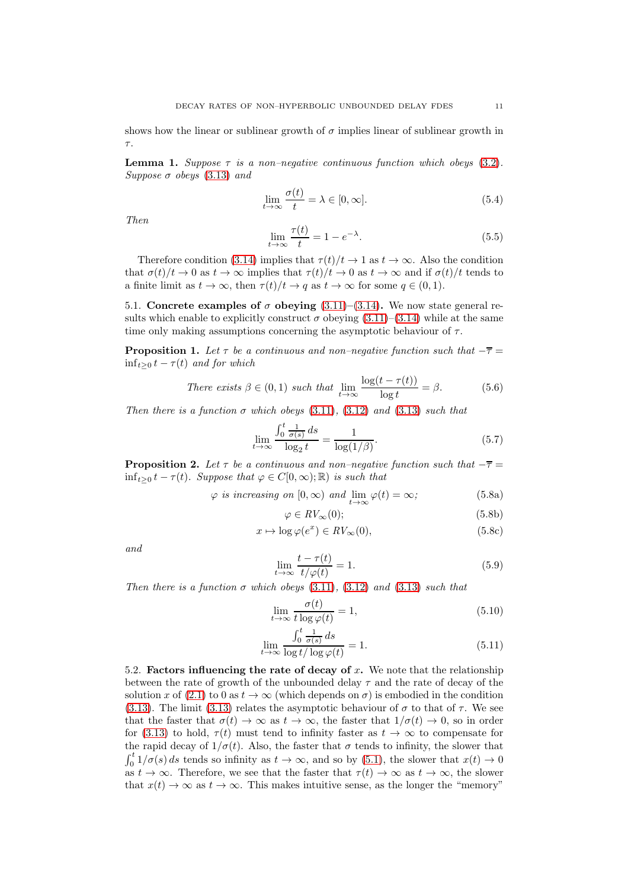shows how the linear or sublinear growth of  $\sigma$  implies linear of sublinear growth in τ.

<span id="page-10-1"></span>**Lemma 1.** Suppose  $\tau$  is a non–negative continuous function which obeys [\(3.2\)](#page-3-2). Suppose  $\sigma$  obeys [\(3.13\)](#page-5-8) and

<span id="page-10-0"></span>
$$
\lim_{t \to \infty} \frac{\sigma(t)}{t} = \lambda \in [0, \infty].
$$
\n(5.4)

Then

<span id="page-10-2"></span>
$$
\lim_{t \to \infty} \frac{\tau(t)}{t} = 1 - e^{-\lambda}.\tag{5.5}
$$

Therefore condition [\(3.14\)](#page-5-6) implies that  $\tau(t)/t \to 1$  as  $t \to \infty$ . Also the condition that  $\sigma(t)/t \to 0$  as  $t \to \infty$  implies that  $\tau(t)/t \to 0$  as  $t \to \infty$  and if  $\sigma(t)/t$  tends to a finite limit as  $t \to \infty$ , then  $\tau(t)/t \to q$  as  $t \to \infty$  for some  $q \in (0,1)$ .

5.1. Concrete examples of  $\sigma$  obeying [\(3.11\)](#page-5-5)–[\(3.14\)](#page-5-6). We now state general results which enable to explicitly construct  $\sigma$  obeying [\(3.11\)](#page-5-5)–[\(3.14\)](#page-5-6) while at the same time only making assumptions concerning the asymptotic behaviour of  $\tau$ .

**Proposition 1.** Let  $\tau$  be a continuous and non–negative function such that  $-\overline{\tau}$  =  $\inf_{t>0} t - \tau(t)$  and for which

There exists 
$$
\beta \in (0, 1)
$$
 such that  $\lim_{t \to \infty} \frac{\log(t - \tau(t))}{\log t} = \beta.$  (5.6)

Then there is a function  $\sigma$  which obeys [\(3.11\)](#page-5-5), [\(3.12\)](#page-5-7) and [\(3.13\)](#page-5-8) such that

$$
\lim_{t \to \infty} \frac{\int_0^t \frac{1}{\sigma(s)} ds}{\log_2 t} = \frac{1}{\log(1/\beta)}.
$$
\n(5.7)

**Proposition 2.** Let  $\tau$  be a continuous and non–negative function such that  $-\overline{\tau}$  =  $\inf_{t>0} t - \tau(t)$ . Suppose that  $\varphi \in C[0,\infty); \mathbb{R}$  is such that

$$
\varphi
$$
 is increasing on  $[0, \infty)$  and  $\lim_{t \to \infty} \varphi(t) = \infty$ ;\n
$$
(5.8a)
$$

$$
\varphi \in RV_{\infty}(0); \tag{5.8b}
$$

$$
x \mapsto \log \varphi(e^x) \in RV_{\infty}(0),\tag{5.8c}
$$

and

$$
\lim_{t \to \infty} \frac{t - \tau(t)}{t/\varphi(t)} = 1.
$$
\n(5.9)

Then there is a function  $\sigma$  which obeys [\(3.11\)](#page-5-5), [\(3.12\)](#page-5-7) and [\(3.13\)](#page-5-8) such that

$$
\lim_{t \to \infty} \frac{\sigma(t)}{t \log \varphi(t)} = 1,
$$
\n(5.10)

$$
\lim_{t \to \infty} \frac{\int_0^t \frac{1}{\sigma(s)} ds}{\log t / \log \varphi(t)} = 1.
$$
\n(5.11)

5.2. Factors influencing the rate of decay of  $x$ . We note that the relationship between the rate of growth of the unbounded delay  $\tau$  and the rate of decay of the solution x of [\(2.1\)](#page-2-2) to 0 as  $t \to \infty$  (which depends on  $\sigma$ ) is embodied in the condition [\(3.13\)](#page-5-8). The limit [\(3.13\)](#page-5-8) relates the asymptotic behaviour of  $\sigma$  to that of  $\tau$ . We see that the faster that  $\sigma(t) \to \infty$  as  $t \to \infty$ , the faster that  $1/\sigma(t) \to 0$ , so in order for [\(3.13\)](#page-5-8) to hold,  $\tau(t)$  must tend to infinity faster as  $t \to \infty$  to compensate for the rapid decay of  $1/\sigma(t)$ . Also, the faster that  $\sigma$  tends to infinity, the slower that  $\int_0^t 1/\sigma(s) ds$  tends so infinity as  $t \to \infty$ , and so by [\(5.1\)](#page-9-0), the slower that  $x(t) \to 0$ as  $t \to \infty$ . Therefore, we see that the faster that  $\tau(t) \to \infty$  as  $t \to \infty$ , the slower that  $x(t) \to \infty$  as  $t \to \infty$ . This makes intuitive sense, as the longer the "memory"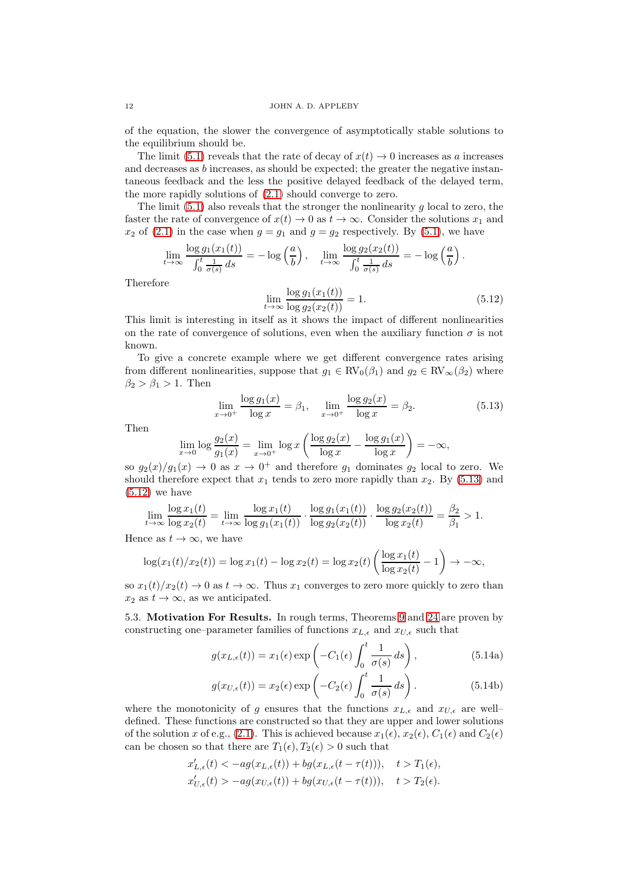of the equation, the slower the convergence of asymptotically stable solutions to the equilibrium should be.

The limit [\(5.1\)](#page-9-0) reveals that the rate of decay of  $x(t) \to 0$  increases as a increases and decreases as  $b$  increases, as should be expected; the greater the negative instantaneous feedback and the less the positive delayed feedback of the delayed term, the more rapidly solutions of [\(2.1\)](#page-2-2) should converge to zero.

The limit  $(5.1)$  also reveals that the stronger the nonlinearity g local to zero, the faster the rate of convergence of  $x(t) \to 0$  as  $t \to \infty$ . Consider the solutions  $x_1$  and  $x_2$  of [\(2.1\)](#page-2-2) in the case when  $g = g_1$  and  $g = g_2$  respectively. By [\(5.1\)](#page-9-0), we have

$$
\lim_{t \to \infty} \frac{\log g_1(x_1(t))}{\int_0^t \frac{1}{\sigma(s)} ds} = -\log \left(\frac{a}{b}\right), \quad \lim_{t \to \infty} \frac{\log g_2(x_2(t))}{\int_0^t \frac{1}{\sigma(s)} ds} = -\log \left(\frac{a}{b}\right).
$$
\nwhere

\n
$$
\log q_1(x_1(t)) \qquad (a, b) \in \mathbb{R}.
$$

**Therefor** 

<span id="page-11-1"></span>
$$
\lim_{t \to \infty} \frac{\log g_1(x_1(t))}{\log g_2(x_2(t))} = 1.
$$
\n(5.12)

This limit is interesting in itself as it shows the impact of different nonlinearities on the rate of convergence of solutions, even when the auxiliary function  $\sigma$  is not known.

To give a concrete example where we get different convergence rates arising from different nonlinearities, suppose that  $g_1 \in RV_0(\beta_1)$  and  $g_2 \in RV_\infty(\beta_2)$  where  $\beta_2 > \beta_1 > 1$ . Then

<span id="page-11-0"></span>
$$
\lim_{x \to 0^+} \frac{\log g_1(x)}{\log x} = \beta_1, \quad \lim_{x \to 0^+} \frac{\log g_2(x)}{\log x} = \beta_2.
$$
 (5.13)

Then

$$
\lim_{x \to 0} \log \frac{g_2(x)}{g_1(x)} = \lim_{x \to 0^+} \log x \left( \frac{\log g_2(x)}{\log x} - \frac{\log g_1(x)}{\log x} \right) = -\infty,
$$

so  $g_2(x)/g_1(x) \to 0$  as  $x \to 0^+$  and therefore  $g_1$  dominates  $g_2$  local to zero. We should therefore expect that  $x_1$  tends to zero more rapidly than  $x_2$ . By [\(5.13\)](#page-11-0) and  $(5.12)$  we have

$$
\lim_{t \to \infty} \frac{\log x_1(t)}{\log x_2(t)} = \lim_{t \to \infty} \frac{\log x_1(t)}{\log g_1(x_1(t))} \cdot \frac{\log g_1(x_1(t))}{\log g_2(x_2(t))} \cdot \frac{\log g_2(x_2(t))}{\log x_2(t)} = \frac{\beta_2}{\beta_1} > 1.
$$

Hence as  $t \to \infty$ , we have

$$
\log(x_1(t)/x_2(t)) = \log x_1(t) - \log x_2(t) = \log x_2(t) \left( \frac{\log x_1(t)}{\log x_2(t)} - 1 \right) \to -\infty,
$$

so  $x_1(t)/x_2(t) \to 0$  as  $t \to \infty$ . Thus  $x_1$  converges to zero more quickly to zero than  $x_2$  as  $t \to \infty$ , as we anticipated.

5.3. Motivation For Results. In rough terms, Theorems [9](#page-8-4) and [24](#page-20-0) are proven by constructing one–parameter families of functions  $x_{L,\epsilon}$  and  $x_{U,\epsilon}$  such that

<span id="page-11-2"></span>
$$
g(x_{L,\epsilon}(t)) = x_1(\epsilon) \exp\left(-C_1(\epsilon) \int_0^t \frac{1}{\sigma(s)} ds\right), \tag{5.14a}
$$

$$
g(x_{U,\epsilon}(t)) = x_2(\epsilon) \exp\left(-C_2(\epsilon) \int_0^t \frac{1}{\sigma(s)} ds\right).
$$
 (5.14b)

where the monotonicity of g ensures that the functions  $x_{L,\epsilon}$  and  $x_{U,\epsilon}$  are welldefined. These functions are constructed so that they are upper and lower solutions of the solution x of e.g., [\(2.1\)](#page-2-2). This is achieved because  $x_1(\epsilon), x_2(\epsilon), C_1(\epsilon)$  and  $C_2(\epsilon)$ can be chosen so that there are  $T_1(\epsilon), T_2(\epsilon) > 0$  such that

$$
\begin{aligned} x'_{L,\epsilon}(t) < -ag(x_{L,\epsilon}(t)) + bg(x_{L,\epsilon}(t-\tau(t))), \quad t > T_1(\epsilon),\\ x'_{U,\epsilon}(t) > -ag(x_{U,\epsilon}(t)) + bg(x_{U,\epsilon}(t-\tau(t))), \quad t > T_2(\epsilon). \end{aligned}
$$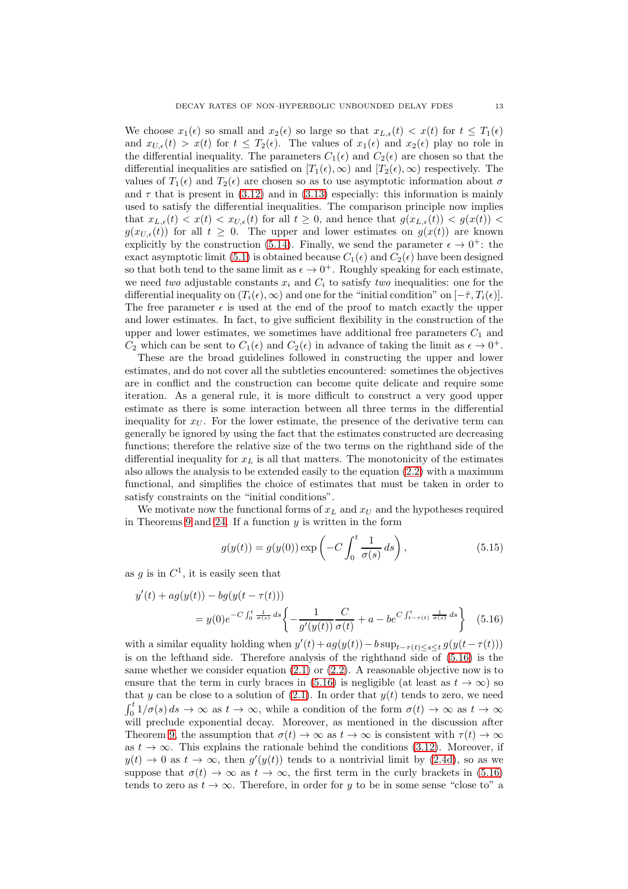We choose  $x_1(\epsilon)$  so small and  $x_2(\epsilon)$  so large so that  $x_{L,\epsilon}(t) < x(t)$  for  $t \leq T_1(\epsilon)$ and  $x_{U,\epsilon}(t) > x(t)$  for  $t \leq T_2(\epsilon)$ . The values of  $x_1(\epsilon)$  and  $x_2(\epsilon)$  play no role in the differential inequality. The parameters  $C_1(\epsilon)$  and  $C_2(\epsilon)$  are chosen so that the differential inequalities are satisfied on  $[T_1(\epsilon), \infty)$  and  $[T_2(\epsilon), \infty)$  respectively. The values of  $T_1(\epsilon)$  and  $T_2(\epsilon)$  are chosen so as to use asymptotic information about  $\sigma$ and  $\tau$  that is present in [\(3.12\)](#page-5-7) and in [\(3.13\)](#page-5-8) especially: this information is mainly used to satisfy the differential inequalities. The comparison principle now implies that  $x_{L,\epsilon}(t) < x(t) < x_{U,\epsilon}(t)$  for all  $t \geq 0$ , and hence that  $g(x_{L,\epsilon}(t)) < g(x(t))$  $g(x_{U,\epsilon}(t))$  for all  $t \geq 0$ . The upper and lower estimates on  $g(x(t))$  are known explicitly by the construction [\(5.14\)](#page-11-2). Finally, we send the parameter  $\epsilon \to 0^+$ : the exact asymptotic limit [\(5.1\)](#page-9-0) is obtained because  $C_1(\epsilon)$  and  $C_2(\epsilon)$  have been designed so that both tend to the same limit as  $\epsilon \to 0^+$ . Roughly speaking for each estimate, we need two adjustable constants  $x_i$  and  $C_i$  to satisfy two inequalities: one for the differential inequality on  $(T_i(\epsilon), \infty)$  and one for the "initial condition" on  $[-\bar{\tau}, T_i(\epsilon)]$ . The free parameter  $\epsilon$  is used at the end of the proof to match exactly the upper and lower estimates. In fact, to give sufficient flexibility in the construction of the upper and lower estimates, we sometimes have additional free parameters  $C_1$  and  $C_2$  which can be sent to  $C_1(\epsilon)$  and  $C_2(\epsilon)$  in advance of taking the limit as  $\epsilon \to 0^+$ .

These are the broad guidelines followed in constructing the upper and lower estimates, and do not cover all the subtleties encountered: sometimes the objectives are in conflict and the construction can become quite delicate and require some iteration. As a general rule, it is more difficult to construct a very good upper estimate as there is some interaction between all three terms in the differential inequality for  $x_U$ . For the lower estimate, the presence of the derivative term can generally be ignored by using the fact that the estimates constructed are decreasing functions; therefore the relative size of the two terms on the righthand side of the differential inequality for  $x_L$  is all that matters. The monotonicity of the estimates also allows the analysis to be extended easily to the equation [\(2.2\)](#page-2-3) with a maximum functional, and simplifies the choice of estimates that must be taken in order to satisfy constraints on the "initial conditions".

We motivate now the functional forms of  $x_L$  and  $x_U$  and the hypotheses required in Theorems [9](#page-8-4) and [24.](#page-20-0) If a function  $y$  is written in the form

<span id="page-12-1"></span><span id="page-12-0"></span>
$$
g(y(t)) = g(y(0)) \exp\left(-C \int_0^t \frac{1}{\sigma(s)} ds\right),\tag{5.15}
$$

as g is in  $C^1$ , it is easily seen that

$$
y'(t) + ag(y(t)) - bg(y(t - \tau(t)))
$$
  
=  $y(0)e^{-C\int_0^t \frac{1}{\sigma(s)} ds} \left\{-\frac{1}{g'(y(t))} \frac{C}{\sigma(t)} + a - be^{C\int_{t-\tau(t)}^t \frac{1}{\sigma(s)} ds}\right\}$  (5.16)

with a similar equality holding when  $y'(t) + ag(y(t)) - b \sup_{t-\tau(t) \le s \le t} g(y(t-\tau(t)))$ is on the lefthand side. Therefore analysis of the righthand side of [\(5.16\)](#page-12-0) is the same whether we consider equation  $(2.1)$  or  $(2.2)$ . A reasonable objective now is to ensure that the term in curly braces in [\(5.16\)](#page-12-0) is negligible (at least as  $t \to \infty$ ) so that y can be close to a solution of  $(2.1)$ . In order that  $y(t)$  tends to zero, we need  $\int_0^t 1/\sigma(s) ds \to \infty$  as  $t \to \infty$ , while a condition of the form  $\sigma(t) \to \infty$  as  $t \to \infty$ will preclude exponential decay. Moreover, as mentioned in the discussion after Theorem [9,](#page-8-4) the assumption that  $\sigma(t) \to \infty$  as  $t \to \infty$  is consistent with  $\tau(t) \to \infty$ as  $t \to \infty$ . This explains the rationale behind the conditions [\(3.12\)](#page-5-7). Moreover, if  $y(t) \to 0$  as  $t \to \infty$ , then  $g'(y(t))$  tends to a nontrivial limit by [\(2.4d\)](#page-2-7), so as we suppose that  $\sigma(t) \to \infty$  as  $t \to \infty$ , the first term in the curly brackets in [\(5.16\)](#page-12-0) tends to zero as  $t \to \infty$ . Therefore, in order for y to be in some sense "close to" a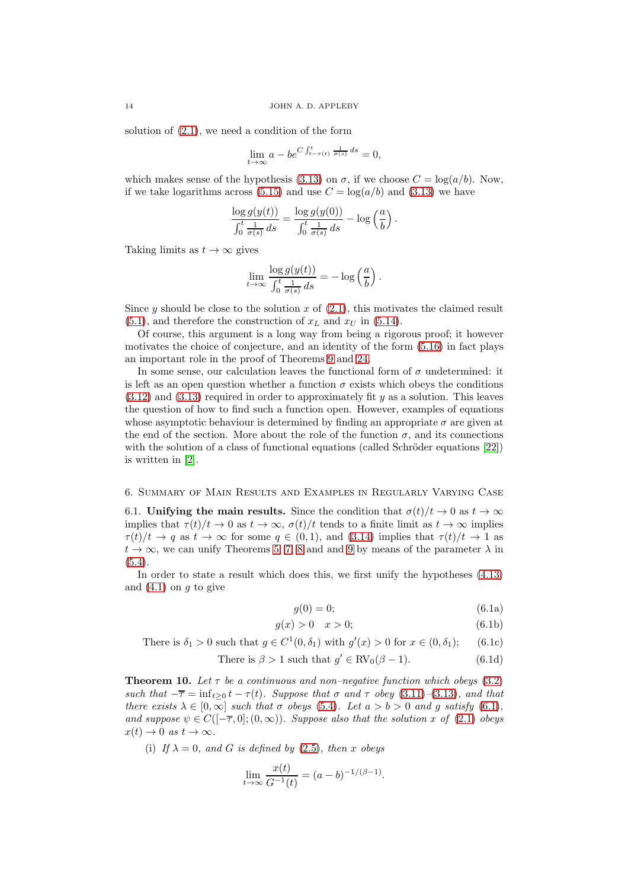solution of  $(2.1)$ , we need a condition of the form

$$
\lim_{t \to \infty} a - b e^{C \int_{t - \tau(t)}^t \frac{1}{\sigma(s)} ds} = 0,
$$

which makes sense of the hypothesis [\(3.13\)](#page-5-8) on  $\sigma$ , if we choose  $C = \log(a/b)$ . Now, if we take logarithms across [\(5.15\)](#page-12-1) and use  $C = \log(a/b)$  and [\(3.13\)](#page-5-8) we have

$$
\frac{\log g(y(t))}{\int_0^t \frac{1}{\sigma(s)} ds} = \frac{\log g(y(0))}{\int_0^t \frac{1}{\sigma(s)} ds} - \log \left(\frac{a}{b}\right).
$$

Taking limits as  $t \to \infty$  gives

$$
\lim_{t \to \infty} \frac{\log g(y(t))}{\int_0^t \frac{1}{\sigma(s)} ds} = -\log \left(\frac{a}{b}\right).
$$

Since y should be close to the solution x of  $(2.1)$ , this motivates the claimed result  $(5.1)$ , and therefore the construction of  $x_L$  and  $x_U$  in  $(5.14)$ .

Of course, this argument is a long way from being a rigorous proof; it however motivates the choice of conjecture, and an identity of the form [\(5.16\)](#page-12-0) in fact plays an important role in the proof of Theorems [9](#page-8-4) and [24.](#page-20-0)

In some sense, our calculation leaves the functional form of  $\sigma$  undetermined: it is left as an open question whether a function  $\sigma$  exists which obeys the conditions  $(3.12)$  and  $(3.13)$  required in order to approximately fit y as a solution. This leaves the question of how to find such a function open. However, examples of equations whose asymptotic behaviour is determined by finding an appropriate  $\sigma$  are given at the end of the section. More about the role of the function  $\sigma$ , and its connections with the solution of a class of functional equations (called Schröder equations  $[22]$ ) is written in [\[2\]](#page-52-21).

### 6. Summary of Main Results and Examples in Regularly Varying Case

6.1. Unifying the main results. Since the condition that  $\sigma(t)/t \to 0$  as  $t \to \infty$ implies that  $\tau(t)/t \to 0$  as  $t \to \infty$ ,  $\sigma(t)/t$  tends to a finite limit as  $t \to \infty$  implies  $\tau(t)/t \to q$  as  $t \to \infty$  for some  $q \in (0,1)$ , and  $(3.14)$  implies that  $\tau(t)/t \to 1$  as  $t \to \infty$ , we can unify Theorems [5,](#page-6-6) [7,](#page-7-0) [8](#page-8-3) and and [9](#page-8-4) by means of the parameter  $\lambda$  in [\(5.4\)](#page-10-0).

In order to state a result which does this, we first unify the hypotheses [\(4.13\)](#page-8-1) and  $(4.1)$  on q to give

$$
g(0) = 0; \tag{6.1a}
$$

<span id="page-13-0"></span>
$$
g(x) > 0 \quad x > 0; \tag{6.1b}
$$

.

There is  $\delta_1 > 0$  such that  $g \in C^1(0, \delta_1)$  with  $g'(x) > 0$  for  $x \in (0, \delta_1)$ ; (6.1c)

There is 
$$
\beta > 1
$$
 such that  $g' \in \text{RV}_0(\beta - 1)$ . (6.1d)

<span id="page-13-1"></span>**Theorem 10.** Let  $\tau$  be a continuous and non–negative function which obeys [\(3.2\)](#page-3-2) such that  $-\overline{\tau} = \inf_{t \geq 0} t - \tau(t)$ . Suppose that  $\sigma$  and  $\tau$  obey [\(3.11\)](#page-5-5)–[\(3.13\)](#page-5-8), and that there exists  $\lambda \in [0,\infty]$  such that  $\sigma$  obeys [\(5.4\)](#page-10-0). Let  $a > b > 0$  and g satisfy [\(6.1\)](#page-13-0), and suppose  $\psi \in C([-\overline{\tau},0];(0,\infty))$ . Suppose also that the solution x of [\(2.1\)](#page-2-2) obeys  $x(t) \to 0$  as  $t \to \infty$ .

(i) If  $\lambda = 0$ , and G is defined by [\(2.5\)](#page-2-5), then x obeys

$$
\lim_{t \to \infty} \frac{x(t)}{G^{-1}(t)} = (a - b)^{-1/(\beta - 1)}
$$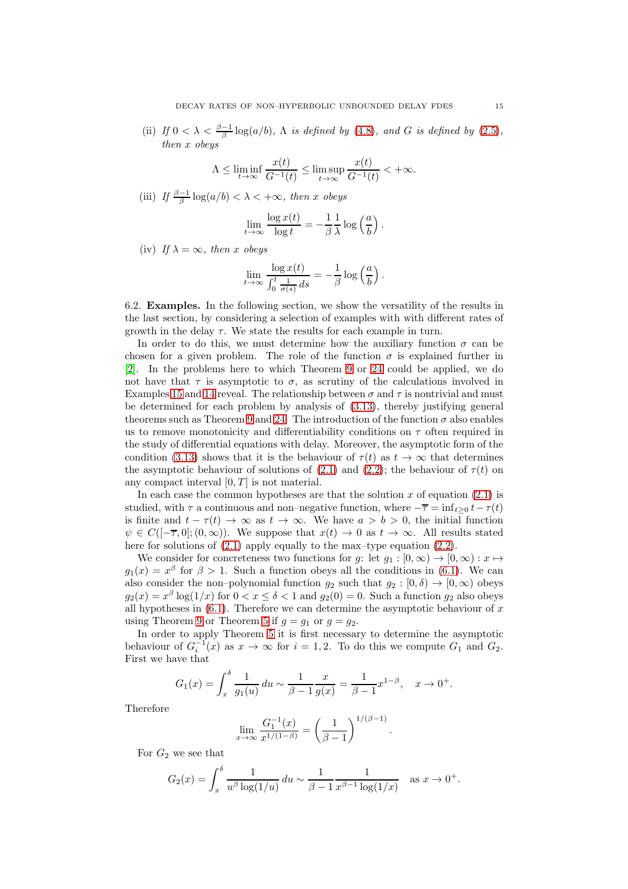(ii) If  $0 < \lambda < \frac{\beta - 1}{\beta} \log(a/b)$ ,  $\Lambda$  is defined by [\(4.8\)](#page-7-2), and G is defined by [\(2.5\)](#page-2-5), then x obeys

$$
\Lambda \leq \liminf_{t \to \infty} \frac{x(t)}{G^{-1}(t)} \leq \limsup_{t \to \infty} \frac{x(t)}{G^{-1}(t)} < +\infty.
$$

(iii) If  $\frac{\beta-1}{\beta}\log(a/b) < \lambda < +\infty$ , then x obeys

$$
\lim_{t \to \infty} \frac{\log x(t)}{\log t} = -\frac{1}{\beta} \frac{1}{\lambda} \log \left(\frac{a}{b}\right).
$$

(iv) If  $\lambda = \infty$ , then x obeys

$$
\lim_{t \to \infty} \frac{\log x(t)}{\int_0^t \frac{1}{\sigma(s)} ds} = -\frac{1}{\beta} \log \left(\frac{a}{b}\right).
$$

6.2. Examples. In the following section, we show the versatility of the results in the last section, by considering a selection of examples with with different rates of growth in the delay  $\tau$ . We state the results for each example in turn.

In order to do this, we must determine how the auxiliary function  $\sigma$  can be chosen for a given problem. The role of the function  $\sigma$  is explained further in [\[2\]](#page-52-21). In the problems here to which Theorem [9](#page-8-4) or [24](#page-20-0) could be applied, we do not have that  $\tau$  is asymptotic to  $\sigma$ , as scrutiny of the calculations involved in Examples [15](#page-16-0) and [14](#page-16-1) reveal. The relationship between  $\sigma$  and  $\tau$  is nontrivial and must be determined for each problem by analysis of [\(3.13\)](#page-5-8), thereby justifying general theorems such as Theorem [9](#page-8-4) and [24.](#page-20-0) The introduction of the function  $\sigma$  also enables us to remove monotonicity and differentiability conditions on  $\tau$  often required in the study of differential equations with delay. Moreover, the asymptotic form of the condition [\(3.13\)](#page-5-8) shows that it is the behaviour of  $\tau(t)$  as  $t \to \infty$  that determines the asymptotic behaviour of solutions of [\(2.1\)](#page-2-2) and [\(2.2\)](#page-2-3); the behaviour of  $\tau(t)$  on any compact interval  $[0, T]$  is not material.

In each case the common hypotheses are that the solution  $x$  of equation  $(2.1)$  is studied, with  $\tau$  a continuous and non–negative function, where  $-\overline{\tau} = \inf_{t>0} t - \tau(t)$ is finite and  $t - \tau(t) \to \infty$  as  $t \to \infty$ . We have  $a > b > 0$ , the initial function  $\psi \in C([-\overline{\tau},0];(0,\infty))$ . We suppose that  $x(t) \to 0$  as  $t \to \infty$ . All results stated here for solutions of  $(2.1)$  apply equally to the max–type equation  $(2.2)$ .

We consider for concreteness two functions for g: let  $g_1 : [0, \infty) \to [0, \infty) : x \mapsto$  $g_1(x) = x^{\beta}$  for  $\beta > 1$ . Such a function obeys all the conditions in [\(6.1\)](#page-13-0). We can also consider the non–polynomial function  $g_2$  such that  $g_2 : [0, \delta) \to [0, \infty)$  obeys  $g_2(x) = x^{\beta} \log(1/x)$  for  $0 < x \le \delta < 1$  and  $g_2(0) = 0$ . Such a function  $g_2$  also obeys all hypotheses in  $(6.1)$ . Therefore we can determine the asymptotic behaviour of x using Theorem [9](#page-8-4) or Theorem [5](#page-6-6) if  $q = q_1$  or  $q = q_2$ .

In order to apply Theorem [5](#page-6-6) it is first necessary to determine the asymptotic behaviour of  $G_i^{-1}(x)$  as  $x \to \infty$  for  $i = 1, 2$ . To do this we compute  $G_1$  and  $G_2$ . First we have that

$$
G_1(x) = \int_x^{\delta} \frac{1}{g_1(u)} du \sim \frac{1}{\beta - 1} \frac{x}{g(x)} = \frac{1}{\beta - 1} x^{1 - \beta}, \quad x \to 0^+.
$$

Therefore

$$
\lim_{x \to \infty} \frac{G_1^{-1}(x)}{x^{1/(1-\beta)}} = \left(\frac{1}{\beta - 1}\right)^{1/(\beta - 1)}.
$$

For  $G_2$  we see that

$$
G_2(x) = \int_x^{\delta} \frac{1}{u^{\beta} \log(1/u)} du \sim \frac{1}{\beta - 1} \frac{1}{x^{\beta - 1} \log(1/x)} \text{ as } x \to 0^+.
$$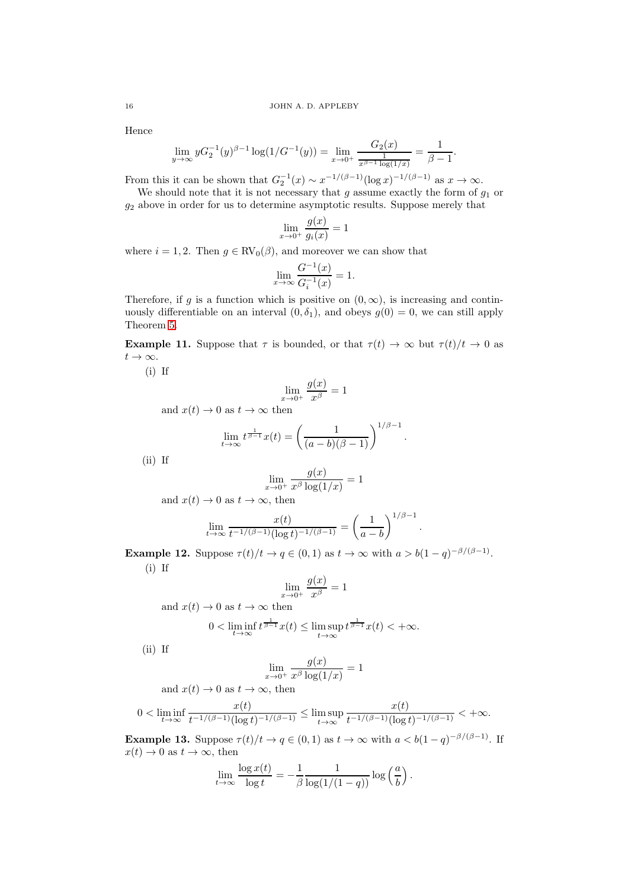Hence

$$
\lim_{y \to \infty} y G_2^{-1}(y)^{\beta - 1} \log(1/G^{-1}(y)) = \lim_{x \to 0^+} \frac{G_2(x)}{\frac{1}{x^{\beta - 1} \log(1/x)}} = \frac{1}{\beta - 1}.
$$

From this it can be shown that  $G_2^{-1}(x) \sim x^{-1/(\beta-1)}(\log x)^{-1/(\beta-1)}$  as  $x \to \infty$ .

We should note that it is not necessary that q assume exactly the form of  $q_1$  or  $g_2$  above in order for us to determine asymptotic results. Suppose merely that

$$
\lim_{x \to 0^+} \frac{g(x)}{g_i(x)} = 1
$$

where  $i = 1, 2$ . Then  $g \in RV_0(\beta)$ , and moreover we can show that

$$
\lim_{x \to \infty} \frac{G^{-1}(x)}{G_i^{-1}(x)} = 1.
$$

Therefore, if g is a function which is positive on  $(0, \infty)$ , is increasing and continuously differentiable on an interval  $(0, \delta_1)$ , and obeys  $g(0) = 0$ , we can still apply Theorem [5.](#page-6-6)

**Example 11.** Suppose that  $\tau$  is bounded, or that  $\tau(t) \to \infty$  but  $\tau(t)/t \to 0$  as  $t\to\infty$ .

(i) If

$$
\lim_{x \to 0^+} \frac{g(x)}{x^{\beta}} = 1
$$

and  $x(t) \to 0$  as  $t \to \infty$  then

$$
\lim_{t \to \infty} t^{\frac{1}{\beta - 1}} x(t) = \left( \frac{1}{(a - b)(\beta - 1)} \right)^{1/\beta - 1}.
$$

(ii) If

$$
\lim_{x \to 0^+} \frac{g(x)}{x^{\beta} \log(1/x)} = 1
$$

and  $x(t) \to 0$  as  $t \to \infty$ , then

$$
\lim_{t \to \infty} \frac{x(t)}{t^{-1/(\beta - 1)} (\log t)^{-1/(\beta - 1)}} = \left(\frac{1}{a - b}\right)^{1/\beta - 1}.
$$

**Example 12.** Suppose  $\tau(t)/t \to q \in (0,1)$  as  $t \to \infty$  with  $a > b(1-q)^{-\beta/(\beta-1)}$ . (i) If

$$
\lim_{x \to 0^+} \frac{g(x)}{x^{\beta}} = 1
$$
\nand  $x(t) \to 0$  as  $t \to \infty$  then\n
$$
0 < \liminf_{t \to \infty} t^{\frac{1}{\beta - 1}} x(t) \le \limsup_{t \to \infty} t^{\frac{1}{\beta - 1}} x(t) < +\infty.
$$

(ii) If

$$
\lim_{x \to 0^+} \frac{g(x)}{x^{\beta} \log(1/x)} = 1
$$

and  $x(t) \to 0$  as  $t \to \infty$ , then

$$
0<\liminf_{t\to\infty}\frac{x(t)}{t^{-1/(\beta-1)}(\log t)^{-1/(\beta-1)}}\le \limsup_{t\to\infty}\frac{x(t)}{t^{-1/(\beta-1)}(\log t)^{-1/(\beta-1)}}<+\infty.
$$

<span id="page-15-0"></span>**Example 13.** Suppose  $\tau(t)/t \to q \in (0,1)$  as  $t \to \infty$  with  $a < b(1-q)^{-\beta/(\beta-1)}$ . If  $x(t) \to 0$  as  $t \to \infty$ , then

$$
\lim_{t \to \infty} \frac{\log x(t)}{\log t} = -\frac{1}{\beta} \frac{1}{\log(1/(1-q))} \log \left(\frac{a}{b}\right).
$$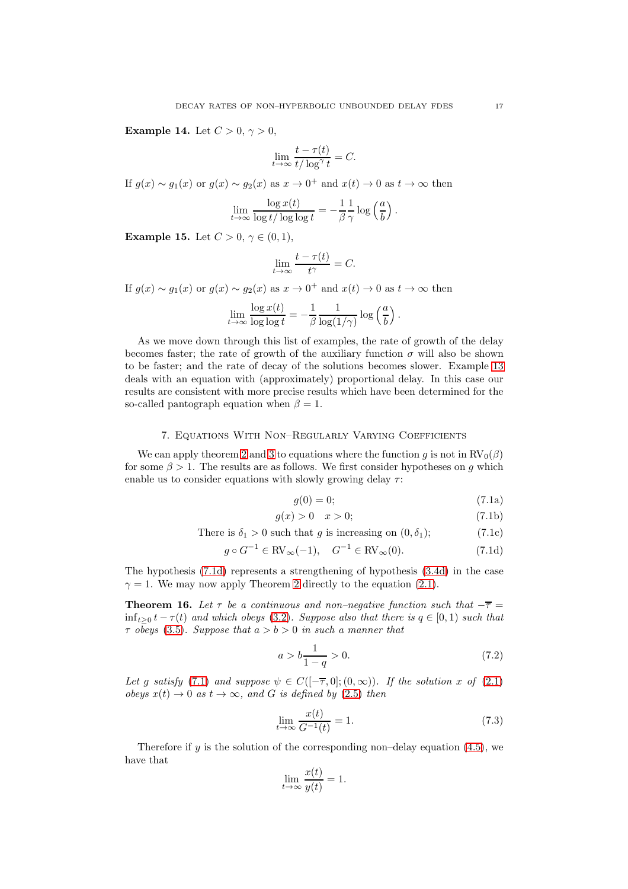<span id="page-16-1"></span>Example 14. Let  $C > 0, \gamma > 0$ ,

$$
\lim_{t \to \infty} \frac{t - \tau(t)}{t / \log^{\gamma} t} = C.
$$

If  $g(x) \sim g_1(x)$  or  $g(x) \sim g_2(x)$  as  $x \to 0^+$  and  $x(t) \to 0$  as  $t \to \infty$  then

$$
\lim_{t \to \infty} \frac{\log x(t)}{\log t / \log \log t} = -\frac{1}{\beta} \frac{1}{\gamma} \log \left(\frac{a}{b}\right).
$$

<span id="page-16-0"></span>**Example 15.** Let  $C > 0, \gamma \in (0, 1)$ ,

$$
\lim_{t \to \infty} \frac{t - \tau(t)}{t^{\gamma}} = C.
$$

If  $g(x) \sim g_1(x)$  or  $g(x) \sim g_2(x)$  as  $x \to 0^+$  and  $x(t) \to 0$  as  $t \to \infty$  then

$$
\lim_{t \to \infty} \frac{\log x(t)}{\log \log t} = -\frac{1}{\beta} \frac{1}{\log(1/\gamma)} \log \left(\frac{a}{b}\right).
$$

As we move down through this list of examples, the rate of growth of the delay becomes faster; the rate of growth of the auxiliary function  $\sigma$  will also be shown to be faster; and the rate of decay of the solutions becomes slower. Example [13](#page-15-0) deals with an equation with (approximately) proportional delay. In this case our results are consistent with more precise results which have been determined for the so-called pantograph equation when  $\beta = 1$ .

### 7. Equations With Non–Regularly Varying Coefficients

<span id="page-16-6"></span>We can apply theorem [2](#page-4-4) and [3](#page-5-3) to equations where the function g is not in  $RV_0(\beta)$ for some  $\beta > 1$ . The results are as follows. We first consider hypotheses on g which enable us to consider equations with slowly growing delay  $\tau$ :

<span id="page-16-3"></span><span id="page-16-2"></span>
$$
g(0) = 0; \tag{7.1a}
$$

$$
g(x) > 0 \quad x > 0; \tag{7.1b}
$$

There is 
$$
\delta_1 > 0
$$
 such that g is increasing on  $(0, \delta_1)$ ; (7.1c)

$$
g \circ G^{-1} \in \text{RV}_{\infty}(-1), \quad G^{-1} \in \text{RV}_{\infty}(0). \tag{7.1d}
$$

The hypothesis [\(7.1d\)](#page-16-2) represents a strengthening of hypothesis [\(3.4d\)](#page-4-2) in the case  $\gamma = 1$ . We may now apply Theorem [2](#page-4-4) directly to the equation [\(2.1\)](#page-2-2).

<span id="page-16-4"></span>**Theorem 16.** Let  $\tau$  be a continuous and non–negative function such that  $-\overline{\tau}$  =  $\inf_{t>0} t - \tau(t)$  and which obeys [\(3.2\)](#page-3-2). Suppose also that there is  $q \in [0,1)$  such that  $\tau$  obeys [\(3.5\)](#page-4-3). Suppose that  $a > b > 0$  in such a manner that

<span id="page-16-5"></span>
$$
a > b \frac{1}{1 - q} > 0. \tag{7.2}
$$

Let g satisfy [\(7.1\)](#page-16-3) and suppose  $\psi \in C([- \overline{\tau}, 0]; (0, \infty))$ . If the solution x of [\(2.1\)](#page-2-2) obeys  $x(t) \rightarrow 0$  as  $t \rightarrow \infty$ , and G is defined by [\(2.5\)](#page-2-5) then

$$
\lim_{t \to \infty} \frac{x(t)}{G^{-1}(t)} = 1.
$$
\n(7.3)

Therefore if  $\alpha$  is the solution of the corresponding non–delay equation [\(4.5\)](#page-6-3), we have that

$$
\lim_{t \to \infty} \frac{x(t)}{y(t)} = 1.
$$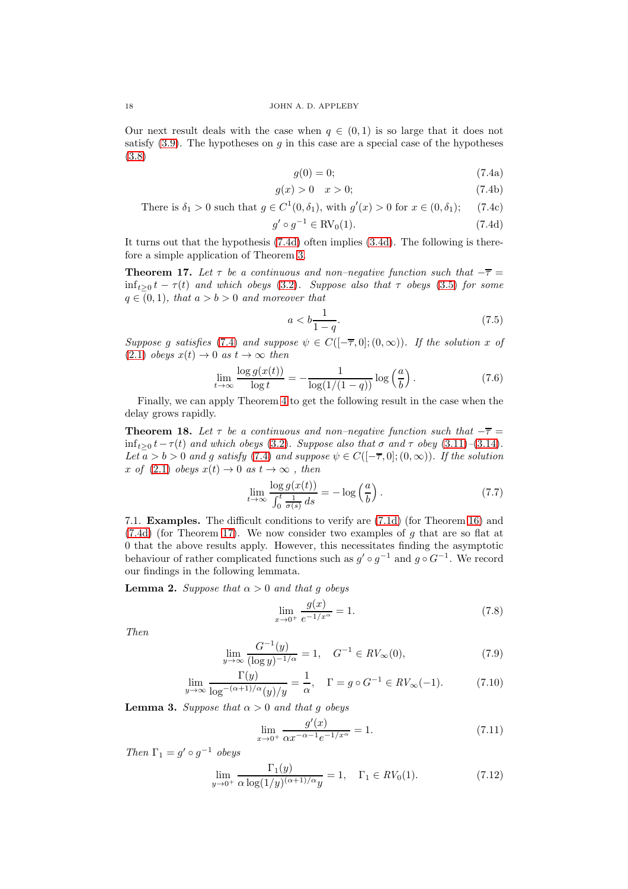<span id="page-17-1"></span>Our next result deals with the case when  $q \in (0,1)$  is so large that it does not satisfy  $(3.9)$ . The hypotheses on g in this case are a special case of the hypotheses [\(3.8\)](#page-5-2)

<span id="page-17-0"></span>
$$
g(0) = 0; \tag{7.4a}
$$

$$
g(x) > 0 \quad x > 0; \tag{7.4b}
$$

There is 
$$
\delta_1 > 0
$$
 such that  $g \in C^1(0, \delta_1)$ , with  $g'(x) > 0$  for  $x \in (0, \delta_1)$ ; (7.4c)

$$
g' \circ g^{-1} \in \text{RV}_0(1). \tag{7.4d}
$$

It turns out that the hypothesis [\(7.4d\)](#page-17-0) often implies [\(3.4d\)](#page-4-2). The following is therefore a simple application of Theorem [3.](#page-5-3)

<span id="page-17-2"></span>**Theorem 17.** Let  $\tau$  be a continuous and non–negative function such that  $-\overline{\tau}$  =  $\inf_{t>0} t - \tau(t)$  and which obeys [\(3.2\)](#page-3-2). Suppose also that  $\tau$  obeys [\(3.5\)](#page-4-3) for some  $q \in (0,1)$ , that  $a > b > 0$  and moreover that

$$
a < b \frac{1}{1 - q}.\tag{7.5}
$$

Suppose g satisfies [\(7.4\)](#page-17-1) and suppose  $\psi \in C([- \overline{\tau}, 0]; (0, \infty))$ . If the solution x of  $(2.1)$  obeys  $x(t) \rightarrow 0$  as  $t \rightarrow \infty$  then

$$
\lim_{t \to \infty} \frac{\log g(x(t))}{\log t} = -\frac{1}{\log(1/(1-q))} \log \left(\frac{a}{b}\right). \tag{7.6}
$$

Finally, we can apply Theorem [4](#page-5-4) to get the following result in the case when the delay grows rapidly.

<span id="page-17-9"></span>**Theorem 18.** Let  $\tau$  be a continuous and non–negative function such that  $-\overline{\tau}$  =  $\inf_{t>0} t-\tau(t)$  and which obeys [\(3.2\)](#page-3-2). Suppose also that  $\sigma$  and  $\tau$  obey [\(3.11\)](#page-5-5)–[\(3.14\)](#page-5-6). Let  $a > b > 0$  and g satisfy [\(7.4\)](#page-17-1) and suppose  $\psi \in C([-7,0];(0,\infty))$ . If the solution x of [\(2.1\)](#page-2-2) obeys  $x(t) \rightarrow 0$  as  $t \rightarrow \infty$ , then

$$
\lim_{t \to \infty} \frac{\log g(x(t))}{\int_0^t \frac{1}{\sigma(s)} ds} = -\log \left(\frac{a}{b}\right). \tag{7.7}
$$

7.1. Examples. The difficult conditions to verify are [\(7.1d\)](#page-16-2) (for Theorem [16\)](#page-16-4) and  $(7.4d)$  (for Theorem [17\)](#page-17-2). We now consider two examples of g that are so flat at 0 that the above results apply. However, this necessitates finding the asymptotic behaviour of rather complicated functions such as  $g' \circ g^{-1}$  and  $g \circ G^{-1}$ . We record our findings in the following lemmata.

<span id="page-17-3"></span>**Lemma 2.** Suppose that  $\alpha > 0$  and that g obeys

<span id="page-17-6"></span><span id="page-17-5"></span><span id="page-17-4"></span>
$$
\lim_{x \to 0^+} \frac{g(x)}{e^{-1/x^{\alpha}}} = 1.
$$
\n(7.8)

Then

$$
\lim_{y \to \infty} \frac{G^{-1}(y)}{(\log y)^{-1/\alpha}} = 1, \quad G^{-1} \in RV_{\infty}(0), \tag{7.9}
$$

$$
\lim_{y \to \infty} \frac{\Gamma(y)}{\log^{-(\alpha+1)/\alpha}(y)/y} = \frac{1}{\alpha}, \quad \Gamma = g \circ G^{-1} \in RV_{\infty}(-1). \tag{7.10}
$$

<span id="page-17-7"></span>**Lemma 3.** Suppose that  $\alpha > 0$  and that g obeys

$$
\lim_{x \to 0^+} \frac{g'(x)}{\alpha x^{-\alpha - 1} e^{-1/x^{\alpha}}} = 1.
$$
\n(7.11)

Then  $\Gamma_1 = g' \circ g^{-1}$  obeys

<span id="page-17-8"></span>
$$
\lim_{y \to 0^+} \frac{\Gamma_1(y)}{\alpha \log(1/y)^{(\alpha+1)/\alpha} y} = 1, \quad \Gamma_1 \in RV_0(1). \tag{7.12}
$$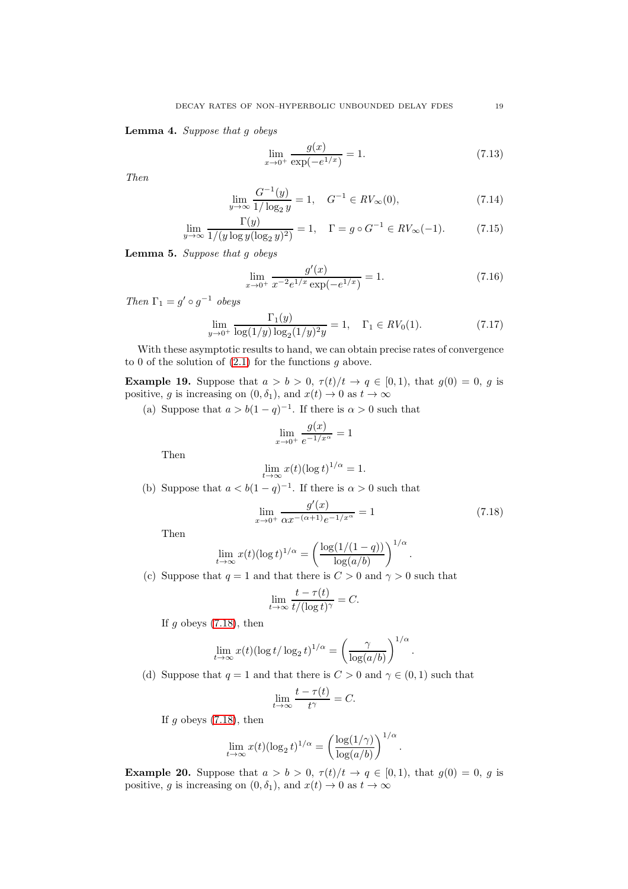<span id="page-18-1"></span>Lemma 4. Suppose that g obeys

<span id="page-18-3"></span><span id="page-18-2"></span>
$$
\lim_{x \to 0^+} \frac{g(x)}{\exp(-e^{1/x})} = 1.
$$
\n(7.13)

Then

$$
\lim_{y \to \infty} \frac{G^{-1}(y)}{1/\log_2 y} = 1, \quad G^{-1} \in RV_{\infty}(0),
$$
\n(7.14)

$$
\lim_{y \to \infty} \frac{\Gamma(y)}{1/(y \log y (\log_2 y)^2)} = 1, \quad \Gamma = g \circ G^{-1} \in RV_{\infty}(-1). \tag{7.15}
$$

<span id="page-18-4"></span>Lemma 5. Suppose that g obeys

$$
\lim_{x \to 0^+} \frac{g'(x)}{x^{-2}e^{1/x} \exp(-e^{1/x})} = 1.
$$
\n(7.16)

Then  $\Gamma_1 = g' \circ g^{-1}$  obeys

<span id="page-18-5"></span>
$$
\lim_{y \to 0^+} \frac{\Gamma_1(y)}{\log(1/y) \log_2(1/y)^2 y} = 1, \quad \Gamma_1 \in RV_0(1). \tag{7.17}
$$

With these asymptotic results to hand, we can obtain precise rates of convergence to 0 of the solution of  $(2.1)$  for the functions g above.

<span id="page-18-6"></span>**Example 19.** Suppose that  $a > b > 0$ ,  $\tau(t)/t \rightarrow q \in [0,1)$ , that  $g(0) = 0$ , g is positive, g is increasing on  $(0, \delta_1)$ , and  $x(t) \to 0$  as  $t \to \infty$ 

(a) Suppose that  $a > b(1-q)^{-1}$ . If there is  $\alpha > 0$  such that

$$
\lim_{x \to 0^+} \frac{g(x)}{e^{-1/x^{\alpha}}} = 1
$$

Then

$$
\lim_{t\to\infty}x(t)(\log t)^{1/\alpha}=1.
$$

(b) Suppose that  $a < b(1-q)^{-1}$ . If there is  $\alpha > 0$  such that

<span id="page-18-0"></span>
$$
\lim_{x \to 0^+} \frac{g'(x)}{\alpha x^{-(\alpha+1)} e^{-1/x^{\alpha}}} = 1
$$
\n(7.18)

.

.

Then

$$
\lim_{t \to \infty} x(t) (\log t)^{1/\alpha} = \left(\frac{\log(1/(1-q))}{\log(a/b)}\right)^{1/\alpha}
$$

(c) Suppose that  $q = 1$  and that there is  $C > 0$  and  $\gamma > 0$  such that

$$
\lim_{t \to \infty} \frac{t - \tau(t)}{t/(\log t)^{\gamma}} = C.
$$

If  $g$  obeys [\(7.18\)](#page-18-0), then

$$
\lim_{t \to \infty} x(t) (\log t / \log_2 t)^{1/\alpha} = \left(\frac{\gamma}{\log(a/b)}\right)^{1/\alpha}
$$

(d) Suppose that  $q = 1$  and that there is  $C > 0$  and  $\gamma \in (0, 1)$  such that

$$
\lim_{t \to \infty} \frac{t - \tau(t)}{t^{\gamma}} = C.
$$

If  $g$  obeys  $(7.18)$ , then

$$
\lim_{t \to \infty} x(t) (\log_2 t)^{1/\alpha} = \left( \frac{\log(1/\gamma)}{\log(a/b)} \right)^{1/\alpha}.
$$

<span id="page-18-7"></span>**Example 20.** Suppose that  $a > b > 0$ ,  $\tau(t)/t \rightarrow q \in [0,1)$ , that  $g(0) = 0$ , g is positive, g is increasing on  $(0, \delta_1)$ , and  $x(t) \to 0$  as  $t \to \infty$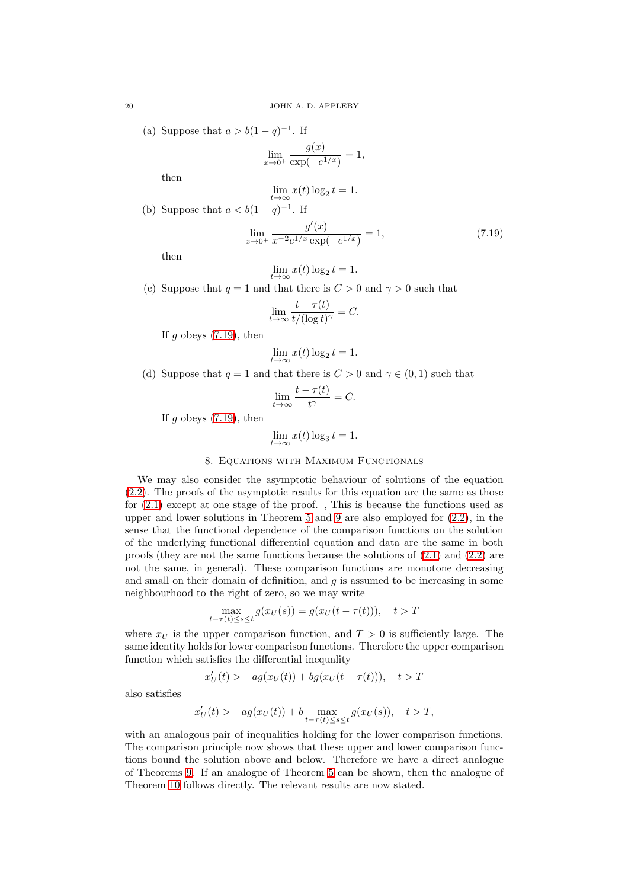(a) Suppose that  $a > b(1-q)^{-1}$ . If

$$
\lim_{x \to 0^+} \frac{g(x)}{\exp(-e^{1/x})} = 1,
$$

then

$$
\lim_{t \to \infty} x(t) \log_2 t = 1.
$$

(b) Suppose that  $a < b(1-q)^{-1}$ . If

<span id="page-19-0"></span>
$$
\lim_{x \to 0^+} \frac{g'(x)}{x^{-2}e^{1/x}\exp(-e^{1/x})} = 1,
$$
\n(7.19)

then

$$
\lim_{t \to \infty} x(t) \log_2 t = 1.
$$

(c) Suppose that  $q = 1$  and that there is  $C > 0$  and  $\gamma > 0$  such that

$$
\lim_{t \to \infty} \frac{t - \tau(t)}{t/(\log t)^{\gamma}} = C.
$$

If g obeys  $(7.19)$ , then

$$
\lim_{t \to \infty} x(t) \log_2 t = 1.
$$

(d) Suppose that  $q = 1$  and that there is  $C > 0$  and  $\gamma \in (0, 1)$  such that

$$
\lim_{t \to \infty} \frac{t - \tau(t)}{t^{\gamma}} = C.
$$

If g obeys  $(7.19)$ , then

$$
\lim_{t \to \infty} x(t) \log_3 t = 1.
$$

# 8. Equations with Maximum Functionals

We may also consider the asymptotic behaviour of solutions of the equation [\(2.2\)](#page-2-3). The proofs of the asymptotic results for this equation are the same as those for [\(2.1\)](#page-2-2) except at one stage of the proof. , This is because the functions used as upper and lower solutions in Theorem [5](#page-6-6) and [9](#page-8-4) are also employed for [\(2.2\)](#page-2-3), in the sense that the functional dependence of the comparison functions on the solution of the underlying functional differential equation and data are the same in both proofs (they are not the same functions because the solutions of [\(2.1\)](#page-2-2) and [\(2.2\)](#page-2-3) are not the same, in general). These comparison functions are monotone decreasing and small on their domain of definition, and  $g$  is assumed to be increasing in some neighbourhood to the right of zero, so we may write

$$
\max_{t-\tau(t)\le s\le t} g(x_U(s)) = g(x_U(t-\tau(t))), \quad t > T
$$

where  $x_U$  is the upper comparison function, and  $T > 0$  is sufficiently large. The same identity holds for lower comparison functions. Therefore the upper comparison function which satisfies the differential inequality

$$
x'_U(t) > -ag(x_U(t)) + bg(x_U(t-\tau(t))), \quad t > T
$$

also satisfies

$$
x'_U(t)>-ag(x_U(t))+b\max_{t-\tau(t)\le s\le t}g(x_U(s)),\quad t>T,
$$

with an analogous pair of inequalities holding for the lower comparison functions. The comparison principle now shows that these upper and lower comparison functions bound the solution above and below. Therefore we have a direct analogue of Theorems [9.](#page-8-4) If an analogue of Theorem [5](#page-6-6) can be shown, then the analogue of Theorem [10](#page-13-1) follows directly. The relevant results are now stated.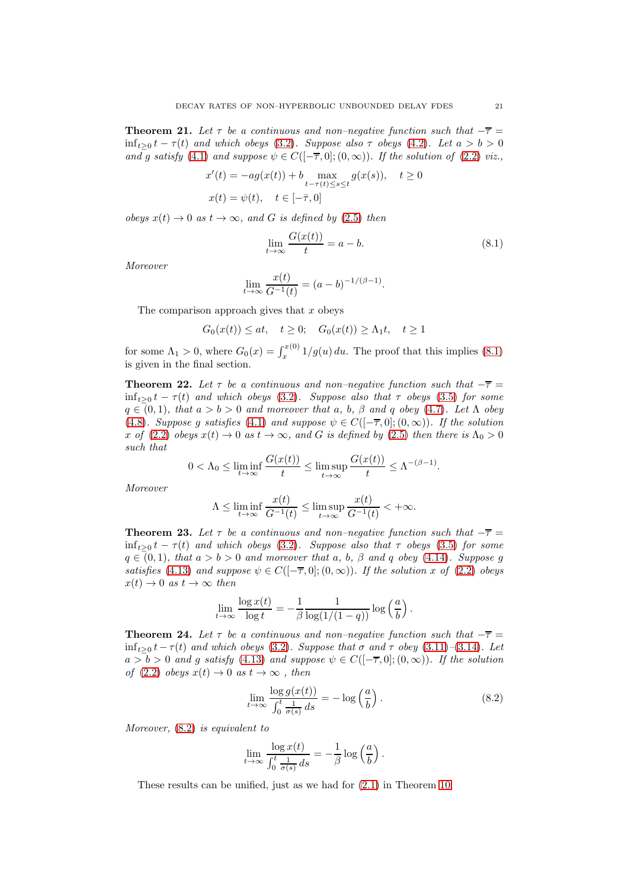<span id="page-20-3"></span>**Theorem 21.** Let  $\tau$  be a continuous and non–negative function such that  $-\overline{\tau}$  =  $\inf_{t>0} t - \tau(t)$  and which obeys [\(3.2\)](#page-3-2). Suppose also  $\tau$  obeys [\(4.2\)](#page-6-7). Let  $a > b > 0$ and g satisfy [\(4.1\)](#page-6-0) and suppose  $\psi \in C([-\overline{\tau},0];(0,\infty))$ . If the solution of [\(2.2\)](#page-2-3) viz.,

$$
x'(t) = -ag(x(t)) + b \max_{t-\tau(t)\le s \le t} g(x(s)), \quad t \ge 0
$$
  

$$
x(t) = \psi(t), \quad t \in [-\bar{\tau}, 0]
$$

obeys  $x(t) \rightarrow 0$  as  $t \rightarrow \infty$ , and G is defined by [\(2.5\)](#page-2-5) then

<span id="page-20-1"></span>
$$
\lim_{t \to \infty} \frac{G(x(t))}{t} = a - b. \tag{8.1}
$$

Moreover

$$
\lim_{t \to \infty} \frac{x(t)}{G^{-1}(t)} = (a - b)^{-1/(\beta - 1)}.
$$

The comparison approach gives that  $x$  obeys

$$
G_0(x(t)) \le at, \quad t \ge 0; \quad G_0(x(t)) \ge \Lambda_1 t, \quad t \ge 1
$$

for some  $\Lambda_1 > 0$ , where  $G_0(x) = \int_x^{x(0)} 1/g(u) du$ . The proof that this implies [\(8.1\)](#page-20-1) is given in the final section.

**Theorem 22.** Let  $\tau$  be a continuous and non–negative function such that  $-\overline{\tau}$  =  $\inf_{t>0} t - \tau(t)$  and which obeys [\(3.2\)](#page-3-2). Suppose also that  $\tau$  obeys [\(3.5\)](#page-4-3) for some  $q \in (0,1)$ , that  $a > b > 0$  and moreover that a, b,  $\beta$  and q obey [\(4.7\)](#page-7-1). Let  $\Lambda$  obey [\(4.8\)](#page-7-2). Suppose g satisfies [\(4.1\)](#page-6-0) and suppose  $\psi \in C([-\overline{\tau}, 0]; (0, \infty))$ . If the solution x of [\(2.2\)](#page-2-3) obeys  $x(t) \to 0$  as  $t \to \infty$ , and G is defined by [\(2.5\)](#page-2-5) then there is  $\Lambda_0 > 0$ such that

$$
0 < \Lambda_0 \leq \liminf_{t \to \infty} \frac{G(x(t))}{t} \leq \limsup_{t \to \infty} \frac{G(x(t))}{t} \leq \Lambda^{-(\beta - 1)}.
$$

Moreover

$$
\Lambda\leq \liminf_{t\to\infty}\frac{x(t)}{G^{-1}(t)}\leq \limsup_{t\to\infty}\frac{x(t)}{G^{-1}(t)}<+\infty.
$$

**Theorem 23.** Let  $\tau$  be a continuous and non–negative function such that  $-\overline{\tau}$  =  $\inf_{t>0} t - \tau(t)$  and which obeys [\(3.2\)](#page-3-2). Suppose also that  $\tau$  obeys [\(3.5\)](#page-4-3) for some  $q \in (0,1)$ , that  $a > b > 0$  and moreover that a, b,  $\beta$  and q obey [\(4.14\)](#page-8-0). Suppose g satisfies [\(4.13\)](#page-8-1) and suppose  $\psi \in C([-\overline{\tau},0];(0,\infty))$ . If the solution x of [\(2.2\)](#page-2-3) obeys  $x(t) \rightarrow 0$  as  $t \rightarrow \infty$  then

$$
\lim_{t \to \infty} \frac{\log x(t)}{\log t} = -\frac{1}{\beta} \frac{1}{\log(1/(1-q))} \log \left(\frac{a}{b}\right).
$$

<span id="page-20-0"></span>**Theorem 24.** Let  $\tau$  be a continuous and non–negative function such that  $-\overline{\tau}$  =  $\inf_{t>0} t - \tau(t)$  and which obeys [\(3.2\)](#page-3-2). Suppose that  $\sigma$  and  $\tau$  obey [\(3.11\)](#page-5-5)–[\(3.14\)](#page-5-6). Let  $a > b > 0$  and g satisfy [\(4.13\)](#page-8-1) and suppose  $\psi \in C([-\overline{\tau}, 0]; (0, \infty))$ . If the solution of [\(2.2\)](#page-2-3) obeys  $x(t) \to 0$  as  $t \to \infty$ , then

<span id="page-20-2"></span>
$$
\lim_{t \to \infty} \frac{\log g(x(t))}{\int_0^t \frac{1}{\sigma(s)} ds} = -\log \left(\frac{a}{b}\right). \tag{8.2}
$$

Moreover, [\(8.2\)](#page-20-2) is equivalent to

$$
\lim_{t \to \infty} \frac{\log x(t)}{\int_0^t \frac{1}{\sigma(s)} ds} = -\frac{1}{\beta} \log \left( \frac{a}{b} \right).
$$

These results can be unified, just as we had for [\(2.1\)](#page-2-2) in Theorem [10.](#page-13-1)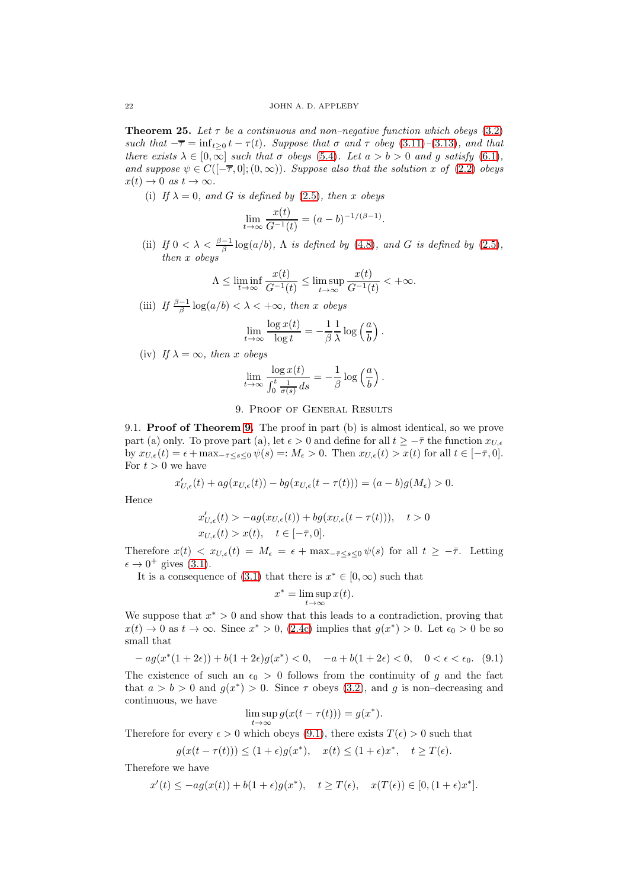**Theorem 25.** Let  $\tau$  be a continuous and non-negative function which obeys [\(3.2\)](#page-3-2) such that  $-\overline{\tau} = \inf_{t>0} t - \tau(t)$ . Suppose that  $\sigma$  and  $\tau$  obey [\(3.11\)](#page-5-5)–[\(3.13\)](#page-5-8), and that there exists  $\lambda \in [0, \infty]$  such that  $\sigma$  obeys [\(5.4\)](#page-10-0). Let  $a > b > 0$  and g satisfy [\(6.1\)](#page-13-0), and suppose  $\psi \in C([-\overline{\tau},0];(0,\infty))$ . Suppose also that the solution x of [\(2.2\)](#page-2-3) obeys  $x(t) \rightarrow 0$  as  $t \rightarrow \infty$ .

(i) If  $\lambda = 0$ , and G is defined by [\(2.5\)](#page-2-5), then x obeys

$$
\lim_{t \to \infty} \frac{x(t)}{G^{-1}(t)} = (a - b)^{-1/(\beta - 1)}.
$$

(ii) If  $0 < \lambda < \frac{\beta - 1}{\beta} \log(a/b)$ ,  $\Lambda$  is defined by [\(4.8\)](#page-7-2), and G is defined by [\(2.5\)](#page-2-5), then x obeys

$$
\Lambda \leq \liminf_{t \to \infty} \frac{x(t)}{G^{-1}(t)} \leq \limsup_{t \to \infty} \frac{x(t)}{G^{-1}(t)} < +\infty.
$$

(iii) If  $\frac{\beta-1}{\beta}\log(a/b) < \lambda < +\infty$ , then x obeys

$$
\lim_{t \to \infty} \frac{\log x(t)}{\log t} = -\frac{1}{\beta} \frac{1}{\lambda} \log \left(\frac{a}{b}\right).
$$

(iv) If  $\lambda = \infty$ , then x obeys

$$
\lim_{t \to \infty} \frac{\log x(t)}{\int_0^t \frac{1}{\sigma(s)} ds} = -\frac{1}{\beta} \log \left(\frac{a}{b}\right).
$$

# 9. Proof of General Results

9.1. Proof of Theorem [9.](#page-8-4) The proof in part (b) is almost identical, so we prove part (a) only. To prove part (a), let  $\epsilon > 0$  and define for all  $t \geq -\bar{\tau}$  the function  $x_{U,\epsilon}$ by  $x_{U,\epsilon}(t) = \epsilon + \max_{-\bar{\tau} \leq s \leq 0} \psi(s) =: M_{\epsilon} > 0$ . Then  $x_{U,\epsilon}(t) > x(t)$  for all  $t \in [-\bar{\tau}, 0]$ . For  $t > 0$  we have

$$
x'_{U,\epsilon}(t)+ag(x_{U,\epsilon}(t))-bg(x_{U,\epsilon}(t-\tau(t)))=(a-b)g(M_{\epsilon})>0.
$$

Hence

$$
x'_{U,\epsilon}(t) > -ag(x_{U,\epsilon}(t)) + bg(x_{U,\epsilon}(t-\tau(t))), \quad t > 0
$$
  

$$
x_{U,\epsilon}(t) > x(t), \quad t \in [-\bar{\tau}, 0].
$$

Therefore  $x(t) < x_{U,\epsilon}(t) = M_{\epsilon} = \epsilon + \max_{-\bar{\tau}\leq s\leq 0} \psi(s)$  for all  $t \geq -\bar{\tau}$ . Letting  $\epsilon \to 0^+$  gives [\(3.1\)](#page-3-0).

It is a consequence of  $(3.1)$  that there is  $x^* \in [0, \infty)$  such that

$$
x^* = \limsup_{t \to \infty} x(t).
$$

We suppose that  $x^* > 0$  and show that this leads to a contradiction, proving that  $x(t) \to 0$  as  $t \to \infty$ . Since  $x^* > 0$ , [\(2.4c\)](#page-2-0) implies that  $g(x^*) > 0$ . Let  $\epsilon_0 > 0$  be so small that

<span id="page-21-0"></span>
$$
- ag(x^*(1+2\epsilon)) + b(1+2\epsilon)g(x^*) < 0, \quad -a + b(1+2\epsilon) < 0, \quad 0 < \epsilon < \epsilon_0. \tag{9.1}
$$

The existence of such an  $\epsilon_0 > 0$  follows from the continuity of g and the fact that  $a > b > 0$  and  $g(x^*) > 0$ . Since  $\tau$  obeys [\(3.2\)](#page-3-2), and g is non-decreasing and continuous, we have

$$
\limsup_{t \to \infty} g(x(t - \tau(t))) = g(x^*).
$$

Therefore for every  $\epsilon > 0$  which obeys [\(9.1\)](#page-21-0), there exists  $T(\epsilon) > 0$  such that

$$
g(x(t-\tau(t))) \le (1+\epsilon)g(x^*), \quad x(t) \le (1+\epsilon)x^*, \quad t \ge T(\epsilon).
$$

Therefore we have

$$
x'(t) \le -ag(x(t)) + b(1+\epsilon)g(x^*), \quad t \ge T(\epsilon), \quad x(T(\epsilon)) \in [0, (1+\epsilon)x^*].
$$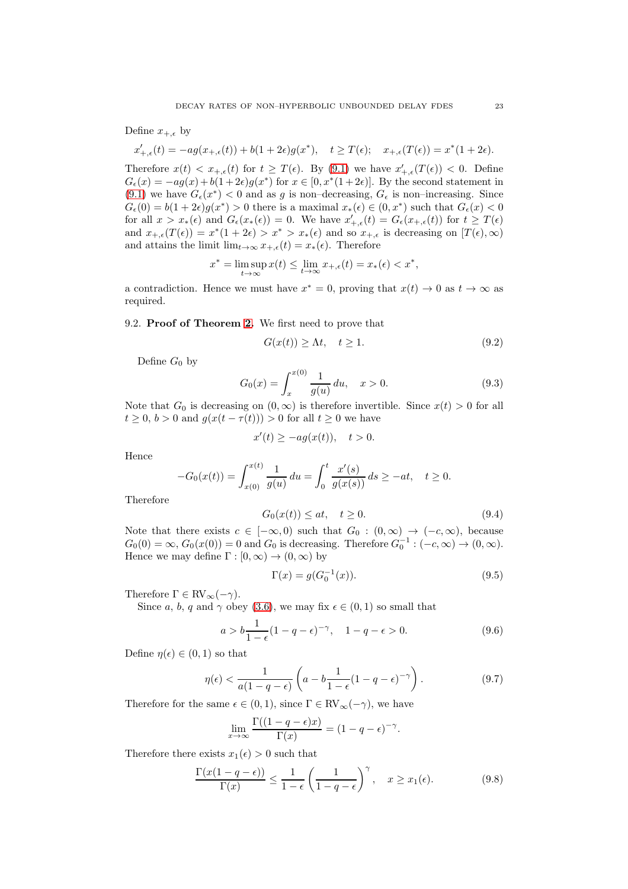## Define  $x_{+,\epsilon}$  by

$$
x'_{+,\epsilon}(t)=-ag(x_{+,\epsilon}(t))+b(1+2\epsilon)g(x^*),\quad t\geq T(\epsilon); \quad x_{+,\epsilon}(T(\epsilon))=x^*(1+2\epsilon).
$$

Therefore  $x(t) < x_{+,\epsilon}(t)$  for  $t \geq T(\epsilon)$ . By [\(9.1\)](#page-21-0) we have  $x'_{+,\epsilon}(T(\epsilon)) < 0$ . Define  $G_{\epsilon}(x) = -ag(x) + b(1+2\epsilon)g(x^*)$  for  $x \in [0, x^*(1+2\epsilon)]$ . By the second statement in [\(9.1\)](#page-21-0) we have  $G_{\epsilon}(x^*)$  < 0 and as g is non-decreasing,  $G_{\epsilon}$  is non-increasing. Since  $G_{\epsilon}(0) = b(1+2\epsilon)g(x^*) > 0$  there is a maximal  $x_*(\epsilon) \in (0, x^*)$  such that  $G_{\epsilon}(x) < 0$ for all  $x > x_*(\epsilon)$  and  $G_{\epsilon}(x_*(\epsilon)) = 0$ . We have  $x'_{+,\epsilon}(t) = G_{\epsilon}(x_{+,\epsilon}(t))$  for  $t \geq T(\epsilon)$ and  $x_{+,\epsilon}(T(\epsilon)) = x^*(1+2\epsilon) > x^* > x_*(\epsilon)$  and so  $x_{+,\epsilon}$  is decreasing on  $[T(\epsilon),\infty)$ and attains the limit  $\lim_{t\to\infty} x_{+,\epsilon}(t) = x_*(\epsilon)$ . Therefore

$$
x^* = \limsup_{t \to \infty} x(t) \le \lim_{t \to \infty} x_{+,\epsilon}(t) = x_*(\epsilon) < x^*,
$$

a contradiction. Hence we must have  $x^* = 0$ , proving that  $x(t) \to 0$  as  $t \to \infty$  as required.

## 9.2. Proof of Theorem [2.](#page-4-4) We first need to prove that

<span id="page-22-5"></span>
$$
G(x(t)) \ge \Lambda t, \quad t \ge 1. \tag{9.2}
$$

Define  $G_0$  by

<span id="page-22-6"></span>
$$
G_0(x) = \int_x^{x(0)} \frac{1}{g(u)} du, \quad x > 0.
$$
\n(9.3)

Note that  $G_0$  is decreasing on  $(0, \infty)$  is therefore invertible. Since  $x(t) > 0$  for all  $t \geq 0$ ,  $b > 0$  and  $g(x(t - \tau(t))) > 0$  for all  $t \geq 0$  we have

$$
x'(t) \ge -ag(x(t)), \quad t > 0.
$$

Hence

$$
-G_0(x(t)) = \int_{x(0)}^{x(t)} \frac{1}{g(u)} du = \int_0^t \frac{x'(s)}{g(x(s))} ds \ge -at, \quad t \ge 0.
$$

Therefore

<span id="page-22-0"></span>
$$
G_0(x(t)) \le at, \quad t \ge 0. \tag{9.4}
$$

Note that there exists  $c \in [-\infty, 0)$  such that  $G_0 : (0, \infty) \to (-c, \infty)$ , because  $G_0(0) = \infty$ ,  $G_0(x(0)) = 0$  and  $G_0$  is decreasing. Therefore  $G_0^{-1}$  :  $(-c, \infty) \to (0, \infty)$ . Hence we may define  $\Gamma : [0, \infty) \to (0, \infty)$  by

<span id="page-22-2"></span>
$$
\Gamma(x) = g(G_0^{-1}(x)).
$$
\n(9.5)

Therefore  $\Gamma \in RV_{\infty}(-\gamma)$ .

Since a, b, q and  $\gamma$  obey [\(3.6\)](#page-4-5), we may fix  $\epsilon \in (0,1)$  so small that

<span id="page-22-4"></span>
$$
a > b \frac{1}{1 - \epsilon} (1 - q - \epsilon)^{-\gamma}, \quad 1 - q - \epsilon > 0.
$$
 (9.6)

Define  $\eta(\epsilon) \in (0,1)$  so that

<span id="page-22-1"></span>
$$
\eta(\epsilon) < \frac{1}{a(1-q-\epsilon)} \left( a - b \frac{1}{1-\epsilon} (1-q-\epsilon)^{-\gamma} \right). \tag{9.7}
$$

Therefore for the same  $\epsilon \in (0,1)$ , since  $\Gamma \in \text{RV}_{\infty}(-\gamma)$ , we have

$$
\lim_{x \to \infty} \frac{\Gamma((1 - q - \epsilon)x)}{\Gamma(x)} = (1 - q - \epsilon)^{-\gamma}.
$$

Therefore there exists  $x_1(\epsilon) > 0$  such that

<span id="page-22-3"></span>
$$
\frac{\Gamma(x(1-q-\epsilon))}{\Gamma(x)} \le \frac{1}{1-\epsilon} \left(\frac{1}{1-q-\epsilon}\right)^{\gamma}, \quad x \ge x_1(\epsilon). \tag{9.8}
$$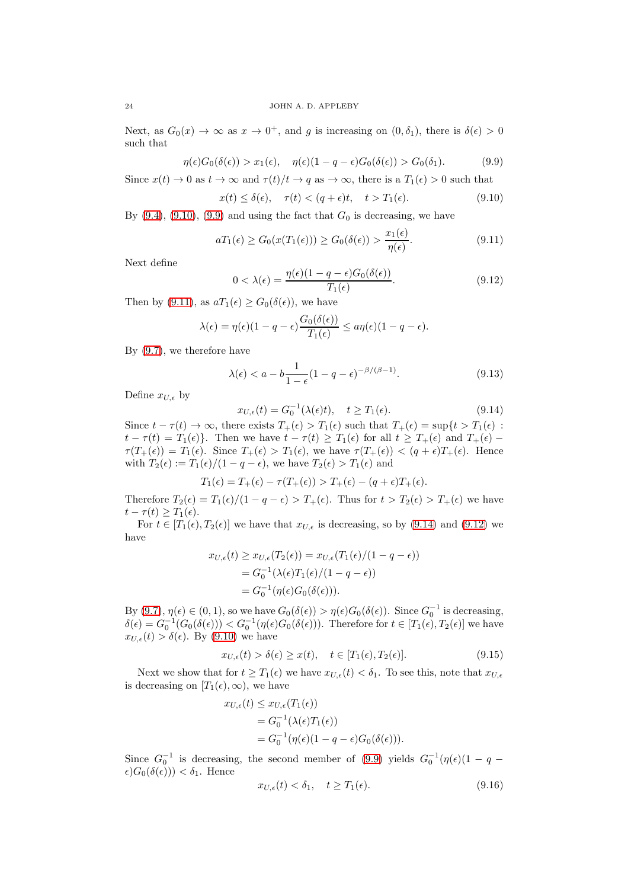Next, as  $G_0(x) \to \infty$  as  $x \to 0^+$ , and g is increasing on  $(0, \delta_1)$ , there is  $\delta(\epsilon) > 0$ such that

<span id="page-23-1"></span>
$$
\eta(\epsilon)G_0(\delta(\epsilon)) > x_1(\epsilon), \quad \eta(\epsilon)(1 - q - \epsilon)G_0(\delta(\epsilon)) > G_0(\delta_1). \tag{9.9}
$$

Since  $x(t) \to 0$  as  $t \to \infty$  and  $\tau(t)/t \to q$  as  $\to \infty$ , there is a  $T_1(\epsilon) > 0$  such that

<span id="page-23-0"></span>
$$
x(t) \le \delta(\epsilon), \quad \tau(t) < (q + \epsilon)t, \quad t > T_1(\epsilon). \tag{9.10}
$$

By  $(9.4)$ ,  $(9.10)$ ,  $(9.9)$  and using the fact that  $G_0$  is decreasing, we have

<span id="page-23-2"></span>
$$
aT_1(\epsilon) \ge G_0(x(T_1(\epsilon))) \ge G_0(\delta(\epsilon)) > \frac{x_1(\epsilon)}{\eta(\epsilon)}.
$$
\n(9.11)

Next define

<span id="page-23-4"></span>
$$
0 < \lambda(\epsilon) = \frac{\eta(\epsilon)(1 - q - \epsilon)G_0(\delta(\epsilon))}{T_1(\epsilon)}.\tag{9.12}
$$

Then by [\(9.11\)](#page-23-2), as  $aT_1(\epsilon) \geq G_0(\delta(\epsilon))$ , we have

$$
\lambda(\epsilon) = \eta(\epsilon)(1 - q - \epsilon) \frac{G_0(\delta(\epsilon))}{T_1(\epsilon)} \le a\eta(\epsilon)(1 - q - \epsilon).
$$

By [\(9.7\)](#page-22-1), we therefore have

<span id="page-23-6"></span>
$$
\lambda(\epsilon) < a - b \frac{1}{1 - \epsilon} (1 - q - \epsilon)^{-\beta/(\beta - 1)}.\tag{9.13}
$$

Define  $x_{U,\epsilon}$  by

<span id="page-23-3"></span>
$$
x_{U,\epsilon}(t) = G_0^{-1}(\lambda(\epsilon)t), \quad t \ge T_1(\epsilon). \tag{9.14}
$$

Since  $t - \tau(t) \to \infty$ , there exists  $T_+(\epsilon) > T_1(\epsilon)$  such that  $T_+(\epsilon) = \sup\{t > T_1(\epsilon)$ :  $t - \tau(t) = T_1(\epsilon)$ . Then we have  $t - \tau(t) \geq T_1(\epsilon)$  for all  $t \geq T_+(\epsilon)$  and  $T_+(\epsilon)$  $\tau(T_+(\epsilon)) = T_1(\epsilon)$ . Since  $T_+(\epsilon) > T_1(\epsilon)$ , we have  $\tau(T_+(\epsilon)) < (q + \epsilon)T_+(\epsilon)$ . Hence with  $T_2(\epsilon) := T_1(\epsilon)/(1 - q - \epsilon)$ , we have  $T_2(\epsilon) > T_1(\epsilon)$  and

$$
T_1(\epsilon) = T_+(\epsilon) - \tau(T_+(\epsilon)) > T_+(\epsilon) - (q + \epsilon)T_+(\epsilon).
$$

Therefore  $T_2(\epsilon) = T_1(\epsilon)/(1 - q - \epsilon) > T_+(\epsilon)$ . Thus for  $t > T_2(\epsilon) > T_+(\epsilon)$  we have  $t - \tau(t) \geq T_1(\epsilon).$ 

For  $t \in [T_1(\epsilon), T_2(\epsilon)]$  we have that  $x_{U,\epsilon}$  is decreasing, so by [\(9.14\)](#page-23-3) and [\(9.12\)](#page-23-4) we have

$$
x_{U,\epsilon}(t) \ge x_{U,\epsilon}(T_2(\epsilon)) = x_{U,\epsilon}(T_1(\epsilon)/(1-q-\epsilon))
$$
  
=  $G_0^{-1}(\lambda(\epsilon)T_1(\epsilon)/(1-q-\epsilon))$   
=  $G_0^{-1}(\eta(\epsilon)G_0(\delta(\epsilon))).$ 

By [\(9.7\)](#page-22-1),  $\eta(\epsilon) \in (0, 1)$ , so we have  $G_0(\delta(\epsilon)) > \eta(\epsilon)G_0(\delta(\epsilon))$ . Since  $G_0^{-1}$  is decreasing,  $\delta(\epsilon) = G_0^{-1}(G_0(\delta(\epsilon))) < G_0^{-1}(\eta(\epsilon)G_0(\delta(\epsilon)))$ . Therefore for  $t \in [T_1(\epsilon), T_2(\epsilon)]$  we have  $x_{U,\epsilon}(t) > \delta(\epsilon)$ . By [\(9.10\)](#page-23-0) we have

<span id="page-23-7"></span>
$$
x_{U,\epsilon}(t) > \delta(\epsilon) \ge x(t), \quad t \in [T_1(\epsilon), T_2(\epsilon)].
$$
\n(9.15)

Next we show that for  $t \geq T_1(\epsilon)$  we have  $x_{U,\epsilon}(t) < \delta_1$ . To see this, note that  $x_{U,\epsilon}$ is decreasing on  $[T_1(\epsilon), \infty)$ , we have

$$
x_{U,\epsilon}(t) \leq x_{U,\epsilon}(T_1(\epsilon))
$$
  
=  $G_0^{-1}(\lambda(\epsilon)T_1(\epsilon))$   
=  $G_0^{-1}(\eta(\epsilon)(1-q-\epsilon)G_0(\delta(\epsilon))).$ 

Since  $G_0^{-1}$  is decreasing, the second member of [\(9.9\)](#page-23-1) yields  $G_0^{-1}(\eta(\epsilon))(1-q - \epsilon)$  $\epsilon)G_0(\delta(\epsilon))$ ) <  $\delta_1$ . Hence

<span id="page-23-5"></span>
$$
x_{U,\epsilon}(t) < \delta_1, \quad t \ge T_1(\epsilon). \tag{9.16}
$$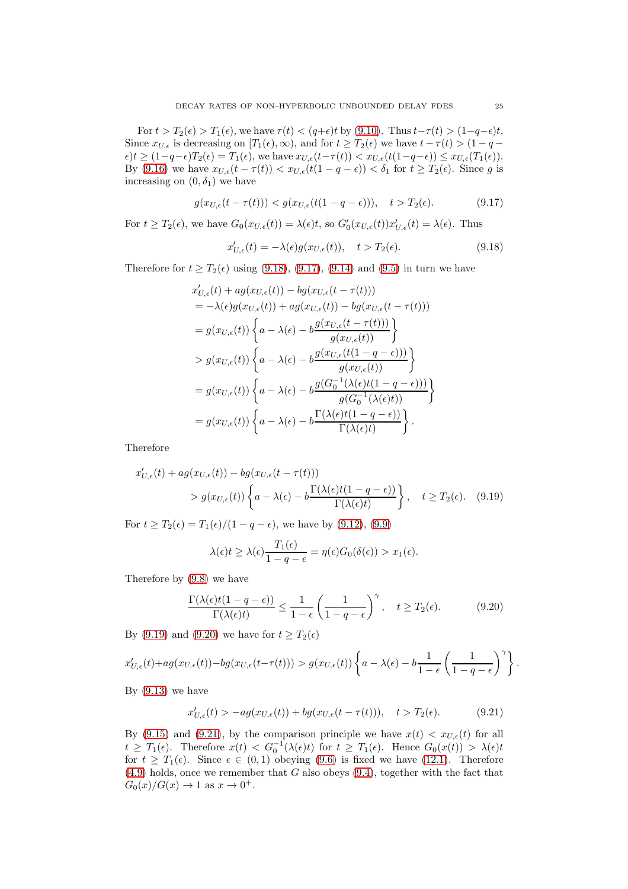For  $t > T_2(\epsilon) > T_1(\epsilon)$ , we have  $\tau(t) < (q+\epsilon)t$  by [\(9.10\)](#page-23-0). Thus  $t-\tau(t) > (1-q-\epsilon)t$ . Since  $x_{U,\epsilon}$  is decreasing on  $[T_1(\epsilon), \infty)$ , and for  $t \geq T_2(\epsilon)$  we have  $t - \tau(t) > (1 - q - \epsilon)$  $\epsilon$ )t  $\geq (1-q-\epsilon)T_2(\epsilon) = T_1(\epsilon)$ , we have  $x_{U,\epsilon}(t-\tau(t)) < x_{U,\epsilon}(t(1-q-\epsilon)) \leq x_{U,\epsilon}(T_1(\epsilon))$ . By [\(9.16\)](#page-23-5) we have  $x_{U,\epsilon}(t-\tau(t)) < x_{U,\epsilon}(t(1-q-\epsilon)) < \delta_1$  for  $t \geq T_2(\epsilon)$ . Since g is increasing on  $(0, \delta_1)$  we have

<span id="page-24-1"></span>
$$
g(x_{U,\epsilon}(t-\tau(t))) < g(x_{U,\epsilon}(t(1-q-\epsilon))), \quad t > T_2(\epsilon). \tag{9.17}
$$

For  $t \geq T_2(\epsilon)$ , we have  $G_0(x_{U,\epsilon}(t)) = \lambda(\epsilon)t$ , so  $G'_0(x_{U,\epsilon}(t))x'_{U,\epsilon}(t) = \lambda(\epsilon)$ . Thus

<span id="page-24-0"></span>
$$
x'_{U,\epsilon}(t) = -\lambda(\epsilon)g(x_{U,\epsilon}(t)), \quad t > T_2(\epsilon). \tag{9.18}
$$

Therefore for  $t \geq T_2(\epsilon)$  using [\(9.18\)](#page-24-0), [\(9.17\)](#page-24-1), [\(9.14\)](#page-23-3) and [\(9.5\)](#page-22-2) in turn we have

$$
x'_{U,\epsilon}(t) + ag(x_{U,\epsilon}(t)) - bg(x_{U,\epsilon}(t-\tau(t)))
$$
  
\n
$$
= -\lambda(\epsilon)g(x_{U,\epsilon}(t)) + ag(x_{U,\epsilon}(t)) - bg(x_{U,\epsilon}(t-\tau(t)))
$$
  
\n
$$
= g(x_{U,\epsilon}(t)) \left\{ a - \lambda(\epsilon) - b \frac{g(x_{U,\epsilon}(t-\tau(t)))}{g(x_{U,\epsilon}(t))} \right\}
$$
  
\n
$$
> g(x_{U,\epsilon}(t)) \left\{ a - \lambda(\epsilon) - b \frac{g(x_{U,\epsilon}(t(1-q-\epsilon)))}{g(x_{U,\epsilon}(t))} \right\}
$$
  
\n
$$
= g(x_{U,\epsilon}(t)) \left\{ a - \lambda(\epsilon) - b \frac{g(G_0^{-1}(\lambda(\epsilon)t(1-q-\epsilon)))}{g(G_0^{-1}(\lambda(\epsilon)t))} \right\}
$$
  
\n
$$
= g(x_{U,\epsilon}(t)) \left\{ a - \lambda(\epsilon) - b \frac{\Gamma(\lambda(\epsilon)t(1-q-\epsilon))}{\Gamma(\lambda(\epsilon)t)} \right\}.
$$

Therefore

$$
x'_{U,\epsilon}(t) + ag(x_{U,\epsilon}(t)) - bg(x_{U,\epsilon}(t-\tau(t)))
$$
  
>  $g(x_{U,\epsilon}(t)) \left\{ a - \lambda(\epsilon) - b \frac{\Gamma(\lambda(\epsilon)t(1-q-\epsilon))}{\Gamma(\lambda(\epsilon)t)} \right\}, \quad t \ge T_2(\epsilon).$  (9.19)

For  $t \geq T_2(\epsilon) = T_1(\epsilon)/(1-q-\epsilon)$ , we have by [\(9.12\)](#page-23-4), [\(9.9\)](#page-23-1)

<span id="page-24-2"></span>
$$
\lambda(\epsilon)t \geq \lambda(\epsilon)\frac{T_1(\epsilon)}{1-q-\epsilon} = \eta(\epsilon)G_0(\delta(\epsilon)) > x_1(\epsilon).
$$

Therefore by [\(9.8\)](#page-22-3) we have

<span id="page-24-3"></span>
$$
\frac{\Gamma(\lambda(\epsilon)t(1-q-\epsilon))}{\Gamma(\lambda(\epsilon)t)} \le \frac{1}{1-\epsilon} \left(\frac{1}{1-q-\epsilon}\right)^{\gamma}, \quad t \ge T_2(\epsilon). \tag{9.20}
$$

By [\(9.19\)](#page-24-2) and [\(9.20\)](#page-24-3) we have for  $t \geq T_2(\epsilon)$ 

$$
x'_{U,\epsilon}(t) + ag(x_{U,\epsilon}(t)) - bg(x_{U,\epsilon}(t-\tau(t))) > g(x_{U,\epsilon}(t)) \left\{ a - \lambda(\epsilon) - b \frac{1}{1-\epsilon} \left( \frac{1}{1-q-\epsilon} \right)^{\gamma} \right\}.
$$

By  $(9.13)$  we have

<span id="page-24-4"></span>
$$
x'_{U,\epsilon}(t) > -ag(x_{U,\epsilon}(t)) + bg(x_{U,\epsilon}(t-\tau(t))), \quad t > T_2(\epsilon). \tag{9.21}
$$

By [\(9.15\)](#page-23-7) and [\(9.21\)](#page-24-4), by the comparison principle we have  $x(t) < x_{U,\epsilon}(t)$  for all  $t \geq T_1(\epsilon)$ . Therefore  $x(t) < G_0^{-1}(\lambda(\epsilon)t)$  for  $t \geq T_1(\epsilon)$ . Hence  $G_0(x(t)) > \lambda(\epsilon)t$ for  $t \geq T_1(\epsilon)$ . Since  $\epsilon \in (0,1)$  obeying  $(9.6)$  is fixed we have  $(12.1)$ . Therefore  $(4.9)$  holds, once we remember that G also obeys  $(9.4)$ , together with the fact that  $G_0(x)/G(x) \to 1$  as  $x \to 0^+$ .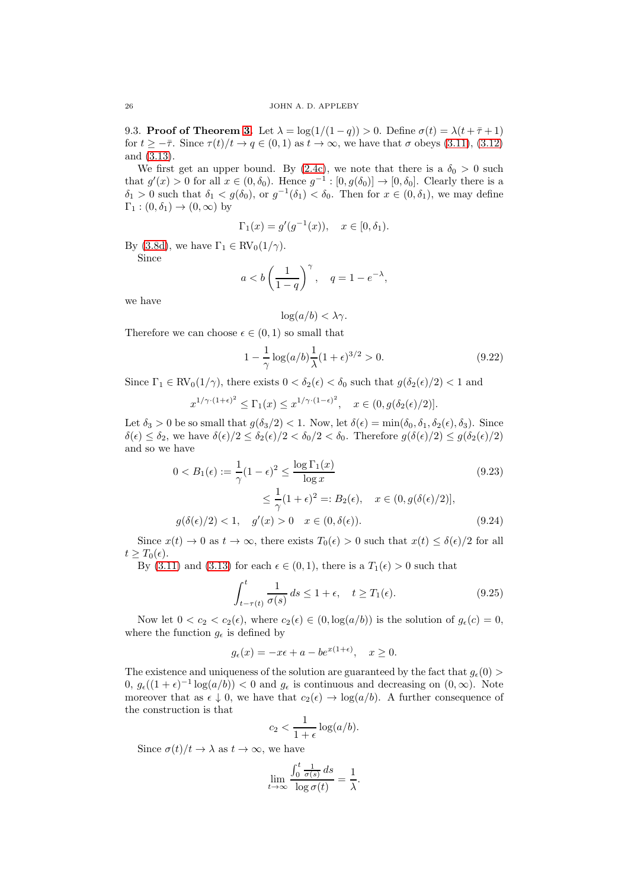9.3. Proof of Theorem [3.](#page-5-3) Let  $\lambda = \log(1/(1-q)) > 0$ . Define  $\sigma(t) = \lambda(t + \bar{\tau} + 1)$ for  $t \geq -\bar{\tau}$ . Since  $\tau(t)/t \to q \in (0,1)$  as  $t \to \infty$ , we have that  $\sigma$  obeys [\(3.11\)](#page-5-5), [\(3.12\)](#page-5-7) and [\(3.13\)](#page-5-8).

We first get an upper bound. By [\(2.4c\)](#page-2-0), we note that there is a  $\delta_0 > 0$  such that  $g'(x) > 0$  for all  $x \in (0, \delta_0)$ . Hence  $g^{-1} : [0, g(\delta_0)] \to [0, \delta_0]$ . Clearly there is a  $\delta_1 > 0$  such that  $\delta_1 < g(\delta_0)$ , or  $g^{-1}(\delta_1) < \delta_0$ . Then for  $x \in (0, \delta_1)$ , we may define  $\Gamma_1$  :  $(0, \delta_1) \rightarrow (0, \infty)$  by

$$
\Gamma_1(x) = g'(g^{-1}(x)), \quad x \in [0, \delta_1).
$$

By [\(3.8d\)](#page-5-1), we have  $\Gamma_1 \in RV_0(1/\gamma)$ .

Since

$$
a < b \left( \frac{1}{1-q} \right)^{\gamma}, \quad q = 1 - e^{-\lambda},
$$

we have

<span id="page-25-2"></span>
$$
\log(a/b) < \lambda \gamma.
$$

Therefore we can choose  $\epsilon \in (0,1)$  so small that

<span id="page-25-0"></span>
$$
1 - \frac{1}{\gamma} \log(a/b) \frac{1}{\lambda} (1 + \epsilon)^{3/2} > 0.
$$
 (9.22)

Since  $\Gamma_1 \in RV_0(1/\gamma)$ , there exists  $0 < \delta_2(\epsilon) < \delta_0$  such that  $q(\delta_2(\epsilon)/2) < 1$  and

$$
x^{1/\gamma \cdot (1+\epsilon)^2} \le \Gamma_1(x) \le x^{1/\gamma \cdot (1-\epsilon)^2}, \quad x \in (0, g(\delta_2(\epsilon)/2)].
$$

Let  $\delta_3 > 0$  be so small that  $g(\delta_3/2) < 1$ . Now, let  $\delta(\epsilon) = \min(\delta_0, \delta_1, \delta_2(\epsilon), \delta_3)$ . Since  $\delta(\epsilon) \leq \delta_2$ , we have  $\delta(\epsilon)/2 \leq \delta_2(\epsilon)/2 < \delta_0/2 < \delta_0$ . Therefore  $g(\delta(\epsilon)/2) \leq g(\delta_2(\epsilon)/2)$ and so we have

$$
0 < B_1(\epsilon) := \frac{1}{\gamma} (1 - \epsilon)^2 \le \frac{\log \Gamma_1(x)}{\log x} \tag{9.23}
$$
\n
$$
\le \frac{1}{\gamma} (1 + \epsilon)^2 =: B_2(\epsilon), \quad x \in (0, g(\delta(\epsilon)/2)],
$$
\n
$$
g(\delta(\epsilon)/2) < 1, \quad g'(x) > 0 \quad x \in (0, \delta(\epsilon)). \tag{9.24}
$$

Since  $x(t) \to 0$  as  $t \to \infty$ , there exists  $T_0(\epsilon) > 0$  such that  $x(t) \leq \delta(\epsilon)/2$  for all  $t \geq T_0(\epsilon)$ .

By [\(3.11\)](#page-5-5) and [\(3.13\)](#page-5-8) for each  $\epsilon \in (0,1)$ , there is a  $T_1(\epsilon) > 0$  such that

<span id="page-25-1"></span>
$$
\int_{t-\tau(t)}^{t} \frac{1}{\sigma(s)} ds \le 1 + \epsilon, \quad t \ge T_1(\epsilon). \tag{9.25}
$$

Now let  $0 < c_2 < c_2(\epsilon)$ , where  $c_2(\epsilon) \in (0, \log(a/b))$  is the solution of  $g_{\epsilon}(c) = 0$ , where the function  $g_{\epsilon}$  is defined by

$$
g_{\epsilon}(x) = -x\epsilon + a - be^{x(1+\epsilon)}, \quad x \ge 0.
$$

The existence and uniqueness of the solution are guaranteed by the fact that  $g_{\epsilon}(0)$  $0, g_{\epsilon}((1+\epsilon)^{-1}\log(a/b)) < 0$  and  $g_{\epsilon}$  is continuous and decreasing on  $(0, \infty)$ . Note moreover that as  $\epsilon \downarrow 0$ , we have that  $c_2(\epsilon) \rightarrow \log(a/b)$ . A further consequence of the construction is that

$$
c_2 < \frac{1}{1+\epsilon} \log(a/b).
$$

Since  $\sigma(t)/t \to \lambda$  as  $t \to \infty$ , we have

$$
\lim_{t \to \infty} \frac{\int_0^t \frac{1}{\sigma(s)} ds}{\log \sigma(t)} = \frac{1}{\lambda}.
$$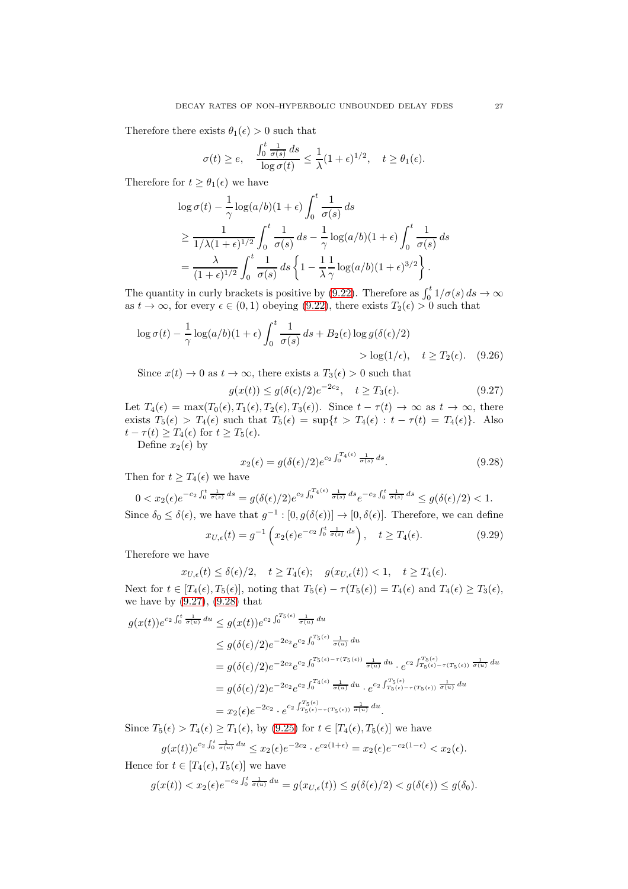Therefore there exists  $\theta_1(\epsilon) > 0$  such that

$$
\sigma(t) \ge e, \quad \frac{\int_0^t \frac{1}{\sigma(s)} ds}{\log \sigma(t)} \le \frac{1}{\lambda} (1+\epsilon)^{1/2}, \quad t \ge \theta_1(\epsilon).
$$

Therefore for  $t \geq \theta_1(\epsilon)$  we have

$$
\log \sigma(t) - \frac{1}{\gamma} \log(a/b)(1+\epsilon) \int_0^t \frac{1}{\sigma(s)} ds
$$
  
\n
$$
\geq \frac{1}{1/\lambda(1+\epsilon)^{1/2}} \int_0^t \frac{1}{\sigma(s)} ds - \frac{1}{\gamma} \log(a/b)(1+\epsilon) \int_0^t \frac{1}{\sigma(s)} ds
$$
  
\n
$$
= \frac{\lambda}{(1+\epsilon)^{1/2}} \int_0^t \frac{1}{\sigma(s)} ds \left\{ 1 - \frac{1}{\lambda} \frac{1}{\gamma} \log(a/b)(1+\epsilon)^{3/2} \right\}.
$$

The quantity in curly brackets is positive by [\(9.22\)](#page-25-0). Therefore as  $\int_0^t 1/\sigma(s) ds \to \infty$ as  $t \to \infty$ , for every  $\epsilon \in (0, 1)$  obeying  $(9.22)$ , there exists  $T_2(\epsilon) > 0$  such that

$$
\log \sigma(t) - \frac{1}{\gamma} \log(a/b)(1+\epsilon) \int_0^t \frac{1}{\sigma(s)} ds + B_2(\epsilon) \log g(\delta(\epsilon)/2)
$$
  
> 
$$
\log(1/\epsilon), \quad t \ge T_2(\epsilon). \quad (9.26)
$$

Since  $x(t) \to 0$  as  $t \to \infty$ , there exists a  $T_3(\epsilon) > 0$  such that

<span id="page-26-0"></span>
$$
g(x(t)) \le g(\delta(\epsilon)/2)e^{-2c_2}, \quad t \ge T_3(\epsilon). \tag{9.27}
$$

Let  $T_4(\epsilon) = \max(T_0(\epsilon), T_1(\epsilon), T_2(\epsilon), T_3(\epsilon))$ . Since  $t - \tau(t) \to \infty$  as  $t \to \infty$ , there exists  $T_5(\epsilon) > T_4(\epsilon)$  such that  $T_5(\epsilon) = \sup\{t > T_4(\epsilon) : t - \tau(t) = T_4(\epsilon)\}\$ . Also  $t - \tau(t) \geq T_4(\epsilon)$  for  $t \geq T_5(\epsilon)$ .

Define  $x_2(\epsilon)$  by

<span id="page-26-1"></span>
$$
x_2(\epsilon) = g(\delta(\epsilon)/2)e^{c_2 \int_0^{T_4(\epsilon)} \frac{1}{\sigma(s)} ds}.
$$
\n(9.28)

Then for  $t \geq T_4(\epsilon)$  we have

$$
0 < x_2(\epsilon) e^{-c_2 \int_0^t \frac{1}{\sigma(s)} ds} = g(\delta(\epsilon)/2) e^{c_2 \int_0^{T_4(\epsilon)} \frac{1}{\sigma(s)} ds} e^{-c_2 \int_0^t \frac{1}{\sigma(s)} ds} \le g(\delta(\epsilon)/2) < 1.
$$
\nSince  $\delta_0 \le \delta(\epsilon)$ , we have that  $g^{-1} : [0, g(\delta(\epsilon))] \to [0, \delta(\epsilon)]$ . Therefore, we can define

<span id="page-26-2"></span>
$$
x_{U,\epsilon}(t) = g^{-1}\left(x_2(\epsilon)e^{-c_2\int_0^t \frac{1}{\sigma(s)} ds}\right), \quad t \ge T_4(\epsilon). \tag{9.29}
$$

Therefore we have

$$
x_{U,\epsilon}(t) \leq \delta(\epsilon)/2
$$
,  $t \geq T_4(\epsilon)$ ;  $g(x_{U,\epsilon}(t)) < 1$ ,  $t \geq T_4(\epsilon)$ .

Next for  $t \in [T_4(\epsilon), T_5(\epsilon)]$ , noting that  $T_5(\epsilon) - \tau(T_5(\epsilon)) = T_4(\epsilon)$  and  $T_4(\epsilon) \geq T_3(\epsilon)$ , we have by [\(9.27\)](#page-26-0), [\(9.28\)](#page-26-1) that

$$
g(x(t))e^{c_2\int_0^t \frac{1}{\sigma(u)} du} \le g(x(t))e^{c_2\int_0^{T_5(\epsilon)} \frac{1}{\sigma(u)} du}
$$
  
\n
$$
\le g(\delta(\epsilon)/2)e^{-2c_2}e^{c_2\int_0^{T_5(\epsilon)} \frac{1}{\sigma(u)} du}
$$
  
\n
$$
= g(\delta(\epsilon)/2)e^{-2c_2}e^{c_2\int_0^{T_5(\epsilon)-\tau(T_5(\epsilon))} \frac{1}{\sigma(u)} du} \cdot e^{c_2\int_{T_5(\epsilon)-\tau(T_5(\epsilon))}^{T_5(\epsilon)} \frac{1}{\sigma(u)} du}
$$
  
\n
$$
= g(\delta(\epsilon)/2)e^{-2c_2}e^{c_2\int_0^{T_4(\epsilon)} \frac{1}{\sigma(u)} du} \cdot e^{c_2\int_{T_5(\epsilon)-\tau(T_5(\epsilon))}^{T_5(\epsilon)} \frac{1}{\sigma(u)} du}
$$
  
\n
$$
= x_2(\epsilon)e^{-2c_2} \cdot e^{c_2\int_{T_5(\epsilon)-\tau(T_5(\epsilon))}^{T_5(\epsilon)} \frac{1}{\sigma(u)} du}.
$$

Since  $T_5(\epsilon) > T_4(\epsilon) \ge T_1(\epsilon)$ , by [\(9.25\)](#page-25-1) for  $t \in [T_4(\epsilon), T_5(\epsilon)]$  we have

$$
g(x(t))e^{c_2\int_0^t \frac{1}{\sigma(u)} du} \leq x_2(\epsilon)e^{-2c_2} \cdot e^{c_2(1+\epsilon)} = x_2(\epsilon)e^{-c_2(1-\epsilon)} < x_2(\epsilon).
$$

Hence for  $t \in [T_4(\epsilon), T_5(\epsilon)]$  we have

$$
g(x(t)) < x_2(\epsilon)e^{-c_2\int_0^t \frac{1}{\sigma(u)} du} = g(x_{U,\epsilon}(t)) \le g(\delta(\epsilon)/2) < g(\delta(\epsilon)) \le g(\delta_0).
$$

<span id="page-26-3"></span>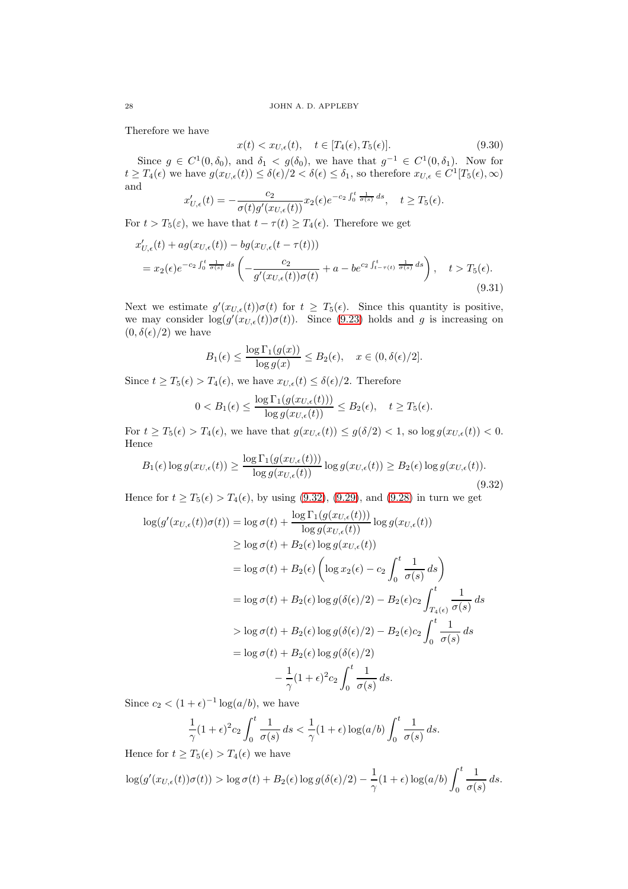Therefore we have

<span id="page-27-1"></span>
$$
x(t) < x_{U,\epsilon}(t), \quad t \in [T_4(\epsilon), T_5(\epsilon)].\tag{9.30}
$$

Since  $g \in C^1(0, \delta_0)$ , and  $\delta_1 < g(\delta_0)$ , we have that  $g^{-1} \in C^1(0, \delta_1)$ . Now for  $t \geq T_4(\epsilon)$  we have  $g(x_{U,\epsilon}(t)) \leq \delta(\epsilon)/2 < \delta(\epsilon) \leq \delta_1$ , so therefore  $x_{U,\epsilon} \in C^1[T_5(\epsilon),\infty)$ and

$$
x'_{U,\epsilon}(t) = -\frac{c_2}{\sigma(t)g'(x_{U,\epsilon}(t))}x_2(\epsilon)e^{-c_2\int_0^t \frac{1}{\sigma(s)}ds}, \quad t \ge T_5(\epsilon).
$$

For  $t > T_5(\varepsilon)$ , we have that  $t - \tau(t) \geq T_4(\varepsilon)$ . Therefore we get

$$
x'_{U,\epsilon}(t) + ag(x_{U,\epsilon}(t)) - bg(x_{U,\epsilon}(t-\tau(t)))
$$
  
=  $x_2(\epsilon)e^{-c_2\int_0^t \frac{1}{\sigma(s)}ds} \left( -\frac{c_2}{g'(x_{U,\epsilon}(t))\sigma(t)} + a - be^{c_2\int_{t-\tau(t)}^t \frac{1}{\sigma(s)}ds} \right), \quad t > T_5(\epsilon).$  (9.31)

Next we estimate  $g'(x_{U,\epsilon}(t))\sigma(t)$  for  $t \geq T_5(\epsilon)$ . Since this quantity is positive, we may consider  $\log(g'(x_{U,\epsilon}(t))\sigma(t))$ . Since [\(9.23\)](#page-25-2) holds and g is increasing on  $(0, \delta(\epsilon)/2)$  we have

$$
B_1(\epsilon) \le \frac{\log \Gamma_1(g(x))}{\log g(x)} \le B_2(\epsilon), \quad x \in (0, \delta(\epsilon)/2].
$$

Since  $t \geq T_5(\epsilon) > T_4(\epsilon)$ , we have  $x_{U,\epsilon}(t) \leq \delta(\epsilon)/2$ . Therefore

$$
0 < B_1(\epsilon) \le \frac{\log \Gamma_1(g(x_{U,\epsilon}(t)))}{\log g(x_{U,\epsilon}(t))} \le B_2(\epsilon), \quad t \ge T_5(\epsilon).
$$

For  $t \geq T_5(\epsilon) > T_4(\epsilon)$ , we have that  $g(x_{U,\epsilon}(t)) \leq g(\delta/2) < 1$ , so  $\log g(x_{U,\epsilon}(t)) < 0$ . Hence

<span id="page-27-0"></span>
$$
B_1(\epsilon) \log g(x_{U,\epsilon}(t)) \ge \frac{\log \Gamma_1(g(x_{U,\epsilon}(t)))}{\log g(x_{U,\epsilon}(t))} \log g(x_{U,\epsilon}(t)) \ge B_2(\epsilon) \log g(x_{U,\epsilon}(t)).
$$
\n(9.32)

Hence for  $t \geq T_5(\epsilon) > T_4(\epsilon)$ , by using [\(9.32\)](#page-27-0), [\(9.29\)](#page-26-2), and [\(9.28\)](#page-26-1) in turn we get

$$
\log(g'(x_{U,\epsilon}(t))\sigma(t)) = \log \sigma(t) + \frac{\log \Gamma_1(g(x_{U,\epsilon}(t)))}{\log g(x_{U,\epsilon}(t))} \log g(x_{U,\epsilon}(t))
$$
  
\n
$$
\geq \log \sigma(t) + B_2(\epsilon) \log g(x_{U,\epsilon}(t))
$$
  
\n
$$
= \log \sigma(t) + B_2(\epsilon) \left( \log x_2(\epsilon) - c_2 \int_0^t \frac{1}{\sigma(s)} ds \right)
$$
  
\n
$$
= \log \sigma(t) + B_2(\epsilon) \log g(\delta(\epsilon)/2) - B_2(\epsilon) c_2 \int_{T_4(\epsilon)}^t \frac{1}{\sigma(s)} ds
$$
  
\n
$$
> \log \sigma(t) + B_2(\epsilon) \log g(\delta(\epsilon)/2) - B_2(\epsilon) c_2 \int_0^t \frac{1}{\sigma(s)} ds
$$
  
\n
$$
= \log \sigma(t) + B_2(\epsilon) \log g(\delta(\epsilon)/2)
$$
  
\n
$$
- \frac{1}{\gamma} (1 + \epsilon)^2 c_2 \int_0^t \frac{1}{\sigma(s)} ds.
$$

Since  $c_2 < (1 + \epsilon)^{-1} \log(a/b)$ , we have

$$
\frac{1}{\gamma}(1+\epsilon)^2 c_2 \int_0^t \frac{1}{\sigma(s)} ds < \frac{1}{\gamma}(1+\epsilon) \log(a/b) \int_0^t \frac{1}{\sigma(s)} ds.
$$

Hence for  $t \geq T_5(\epsilon) > T_4(\epsilon)$  we have

$$
\log(g'(x_{U,\epsilon}(t))\sigma(t)) > \log \sigma(t) + B_2(\epsilon) \log g(\delta(\epsilon)/2) - \frac{1}{\gamma}(1+\epsilon) \log(a/b) \int_0^t \frac{1}{\sigma(s)} ds.
$$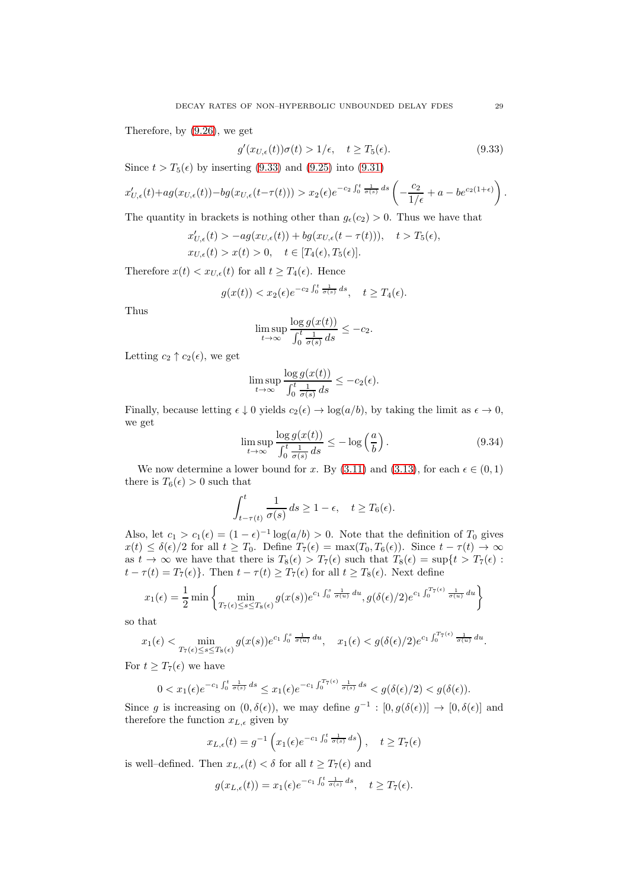Therefore, by [\(9.26\)](#page-26-3), we get

<span id="page-28-0"></span>
$$
g'(x_{U,\epsilon}(t))\sigma(t) > 1/\epsilon, \quad t \ge T_5(\epsilon). \tag{9.33}
$$

Since  $t > T_5(\epsilon)$  by inserting [\(9.33\)](#page-28-0) and [\(9.25\)](#page-25-1) into [\(9.31\)](#page-27-1)

$$
x'_{U,\epsilon}(t) + ag(x_{U,\epsilon}(t)) - bg(x_{U,\epsilon}(t-\tau(t))) > x_2(\epsilon)e^{-c_2\int_0^t \frac{1}{\sigma(s)} ds} \left(-\frac{c_2}{1/\epsilon} + a - be^{c_2(1+\epsilon)}\right).
$$

The quantity in brackets is nothing other than  $g_{\epsilon}(c_2) > 0$ . Thus we have that

$$
x'_{U,\epsilon}(t) > -ag(x_{U,\epsilon}(t)) + bg(x_{U,\epsilon}(t-\tau(t))), \quad t > T_5(\epsilon),
$$
  

$$
x_{U,\epsilon}(t) > x(t) > 0, \quad t \in [T_4(\epsilon), T_5(\epsilon)].
$$

Therefore  $x(t) < x_{U,\epsilon}(t)$  for all  $t \geq T_4(\epsilon)$ . Hence

$$
g(x(t)) < x_2(\epsilon)e^{-c_2\int_0^t \frac{1}{\sigma(s)} ds}, \quad t \ge T_4(\epsilon).
$$

Thus

$$
\limsup_{t \to \infty} \frac{\log g(x(t))}{\int_0^t \frac{1}{\sigma(s)} ds} \le -c_2.
$$

Letting  $c_2 \uparrow c_2(\epsilon)$ , we get

$$
\limsup_{t \to \infty} \frac{\log g(x(t))}{\int_0^t \frac{1}{\sigma(s)} ds} \leq -c_2(\epsilon).
$$

Finally, because letting  $\epsilon \downarrow 0$  yields  $c_2(\epsilon) \rightarrow \log(a/b)$ , by taking the limit as  $\epsilon \rightarrow 0$ , we get

<span id="page-28-1"></span>
$$
\limsup_{t \to \infty} \frac{\log g(x(t))}{\int_0^t \frac{1}{\sigma(s)} ds} \le -\log \left(\frac{a}{b}\right). \tag{9.34}
$$

We now determine a lower bound for x. By [\(3.11\)](#page-5-5) and [\(3.13\)](#page-5-8), for each  $\epsilon \in (0,1)$ there is  $T_6(\epsilon) > 0$  such that

$$
\int_{t-\tau(t)}^t \frac{1}{\sigma(s)} ds \ge 1 - \epsilon, \quad t \ge T_6(\epsilon).
$$

Also, let  $c_1 > c_1(\epsilon) = (1 - \epsilon)^{-1} \log(a/b) > 0$ . Note that the definition of  $T_0$  gives  $x(t) \leq \delta(\epsilon)/2$  for all  $t \geq T_0$ . Define  $T_7(\epsilon) = \max(T_0, T_6(\epsilon))$ . Since  $t - \tau(t) \to \infty$ as  $t \to \infty$  we have that there is  $T_8(\epsilon) > T_7(\epsilon)$  such that  $T_8(\epsilon) = \sup\{t > T_7(\epsilon)$ :  $t - \tau(t) = T_7(\epsilon)$ . Then  $t - \tau(t) \geq T_7(\epsilon)$  for all  $t \geq T_8(\epsilon)$ . Next define

$$
x_1(\epsilon) = \frac{1}{2} \min \left\{ \min_{T_7(\epsilon) \le s \le T_8(\epsilon)} g(x(s)) e^{c_1 \int_0^s \frac{1}{\sigma(u)} du}, g(\delta(\epsilon)/2) e^{c_1 \int_0^{T_7(\epsilon)} \frac{1}{\sigma(u)} du} \right\}
$$

so that

$$
x_1(\epsilon) < \min_{T_7(\epsilon) \le s \le T_8(\epsilon)} g(x(s)) e^{c_1 \int_0^s \frac{1}{\sigma(u)} du}, \quad x_1(\epsilon) < g(\delta(\epsilon)/2) e^{c_1 \int_0^{T_7(\epsilon)} \frac{1}{\sigma(u)} du}.
$$

For  $t \geq T_7(\epsilon)$  we have

$$
0 < x_1(\epsilon) e^{-c_1 \int_0^t \frac{1}{\sigma(s)} ds} \leq x_1(\epsilon) e^{-c_1 \int_0^{T_7(\epsilon)} \frac{1}{\sigma(s)} ds} < g(\delta(\epsilon)/2) < g(\delta(\epsilon)).
$$

Since g is increasing on  $(0, \delta(\epsilon))$ , we may define  $g^{-1} : [0, g(\delta(\epsilon))] \to [0, \delta(\epsilon)]$  and therefore the function  $x_{L,\epsilon}$  given by

$$
x_{L,\epsilon}(t) = g^{-1}\left(x_1(\epsilon)e^{-c_1\int_0^t \frac{1}{\sigma(s)} ds}\right), \quad t \geq T_7(\epsilon)
$$

is well–defined. Then  $x_{L,\epsilon}(t)<\delta$  for all  $t\geq T_7(\epsilon)$  and

$$
g(x_{L,\epsilon}(t)) = x_1(\epsilon) e^{-c_1 \int_0^t \frac{1}{\sigma(s)} ds}, \quad t \ge T_7(\epsilon).
$$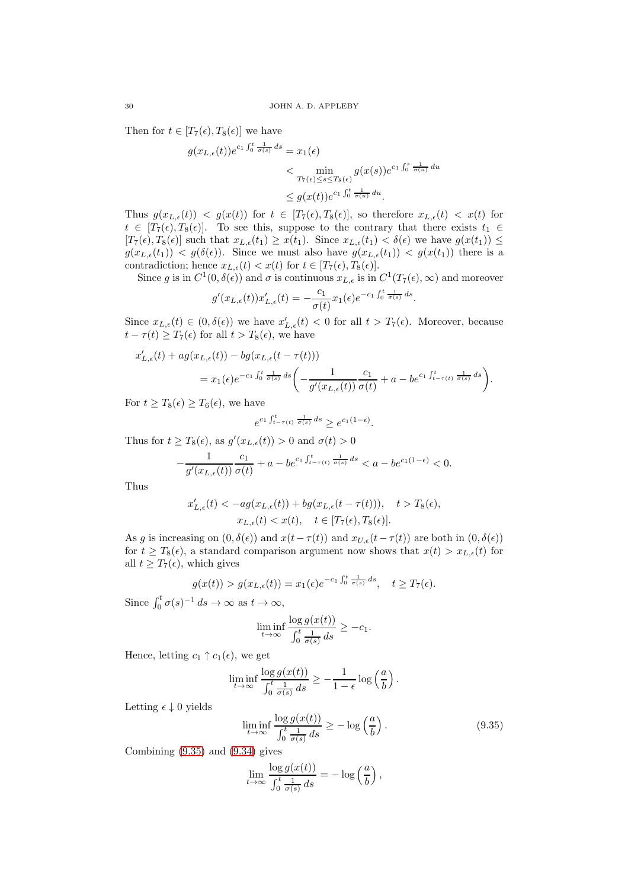Then for  $t \in [T_7(\epsilon), T_8(\epsilon)]$  we have

$$
g(x_{L,\epsilon}(t))e^{c_1\int_0^t \frac{1}{\sigma(s)} ds} = x_1(\epsilon)
$$
  

$$
< \min_{T_7(\epsilon) \le s \le T_8(\epsilon)} g(x(s))e^{c_1\int_0^s \frac{1}{\sigma(u)} du}
$$
  

$$
\le g(x(t))e^{c_1\int_0^t \frac{1}{\sigma(u)} du}.
$$

Thus  $g(x_{L,\epsilon}(t)) < g(x(t))$  for  $t \in [T_7(\epsilon), T_8(\epsilon)]$ , so therefore  $x_{L,\epsilon}(t) < x(t)$  for  $t \in [T_7(\epsilon), T_8(\epsilon)]$ . To see this, suppose to the contrary that there exists  $t_1 \in$  $[T_7(\epsilon), T_8(\epsilon)]$  such that  $x_{L,\epsilon}(t_1) \geq x(t_1)$ . Since  $x_{L,\epsilon}(t_1) < \delta(\epsilon)$  we have  $g(x(t_1)) \leq$  $g(x_{L,\epsilon}(t_1)) < g(\delta(\epsilon))$ . Since we must also have  $g(x_{L,\epsilon}(t_1)) < g(x(t_1))$  there is a contradiction; hence  $x_{L,\epsilon}(t) < x(t)$  for  $t \in [T_7(\epsilon), T_8(\epsilon)]$ .

Since g is in  $C^1(0, \delta(\epsilon))$  and  $\sigma$  is continuous  $x_{L,\epsilon}$  is in  $C^1(T_7(\epsilon), \infty)$  and moreover

$$
g'(x_{L,\epsilon}(t))x'_{L,\epsilon}(t) = -\frac{c_1}{\sigma(t)}x_1(\epsilon)e^{-c_1\int_0^t \frac{1}{\sigma(s)}ds}.
$$

Since  $x_{L,\epsilon}(t) \in (0,\delta(\epsilon))$  we have  $x'_{L,\epsilon}(t) < 0$  for all  $t > T_7(\epsilon)$ . Moreover, because  $t - \tau(t) \geq T_7(\epsilon)$  for all  $t > T_8(\epsilon)$ , we have

$$
x'_{L,\epsilon}(t) + ag(x_{L,\epsilon}(t)) - bg(x_{L,\epsilon}(t-\tau(t)))
$$
  
=  $x_1(\epsilon)e^{-c_1\int_0^t \frac{1}{\sigma(s)} ds} \left( -\frac{1}{g'(x_{L,\epsilon}(t))} \frac{c_1}{\sigma(t)} + a - be^{c_1\int_{t-\tau(t)}^t \frac{1}{\sigma(s)} ds} \right).$ 

For  $t \geq T_8(\epsilon) \geq T_6(\epsilon)$ , we have

$$
e^{c_1 \int_{t-\tau(t)}^t \frac{1}{\sigma(s)} ds} \ge e^{c_1(1-\epsilon)}.
$$

Thus for  $t \geq T_8(\epsilon)$ , as  $g'(x_{L,\epsilon}(t)) > 0$  and  $\sigma(t) > 0$ 

$$
-\frac{1}{g'(x_{L,\epsilon}(t))}\frac{c_1}{\sigma(t)}+a-b e^{c_1\int_{t-\tau(t)}^t\frac{1}{\sigma(s)}\,ds}
$$

Thus

$$
\begin{aligned} x'_{L,\epsilon}(t) < -ag(x_{L,\epsilon}(t)) + bg(x_{L,\epsilon}(t-\tau(t))), \quad t > T_8(\epsilon),\\ x_{L,\epsilon}(t) < x(t), \quad t \in [T_7(\epsilon),T_8(\epsilon)]. \end{aligned}
$$

As g is increasing on  $(0, \delta(\epsilon))$  and  $x(t - \tau(t))$  and  $x_{U,\epsilon}(t - \tau(t))$  are both in  $(0, \delta(\epsilon))$ for  $t \geq T_8(\epsilon)$ , a standard comparison argument now shows that  $x(t) > x_{L,\epsilon}(t)$  for all  $t \geq T_7(\epsilon)$ , which gives

$$
g(x(t)) > g(x_{L,\epsilon}(t)) = x_1(\epsilon)e^{-c_1\int_0^t \frac{1}{\sigma(s)} ds}, \quad t \geq T_7(\epsilon).
$$

Since  $\int_0^t \sigma(s)^{-1} ds \to \infty$  as  $t \to \infty$ ,

$$
\liminf_{t \to \infty} \frac{\log g(x(t))}{\int_0^t \frac{1}{\sigma(s)} ds} \ge -c_1.
$$

Hence, letting  $c_1 \uparrow c_1(\epsilon)$ , we get

$$
\liminf_{t \to \infty} \frac{\log g(x(t))}{\int_0^t \frac{1}{\sigma(s)} ds} \ge -\frac{1}{1-\epsilon} \log \left(\frac{a}{b}\right).
$$

Letting  $\epsilon \downarrow 0$  yields

<span id="page-29-0"></span>
$$
\liminf_{t \to \infty} \frac{\log g(x(t))}{\int_0^t \frac{1}{\sigma(s)} ds} \ge -\log \left(\frac{a}{b}\right). \tag{9.35}
$$

Combining [\(9.35\)](#page-29-0) and [\(9.34\)](#page-28-1) gives

$$
\lim_{t \to \infty} \frac{\log g(x(t))}{\int_0^t \frac{1}{\sigma(s)} ds} = -\log \left(\frac{a}{b}\right),\,
$$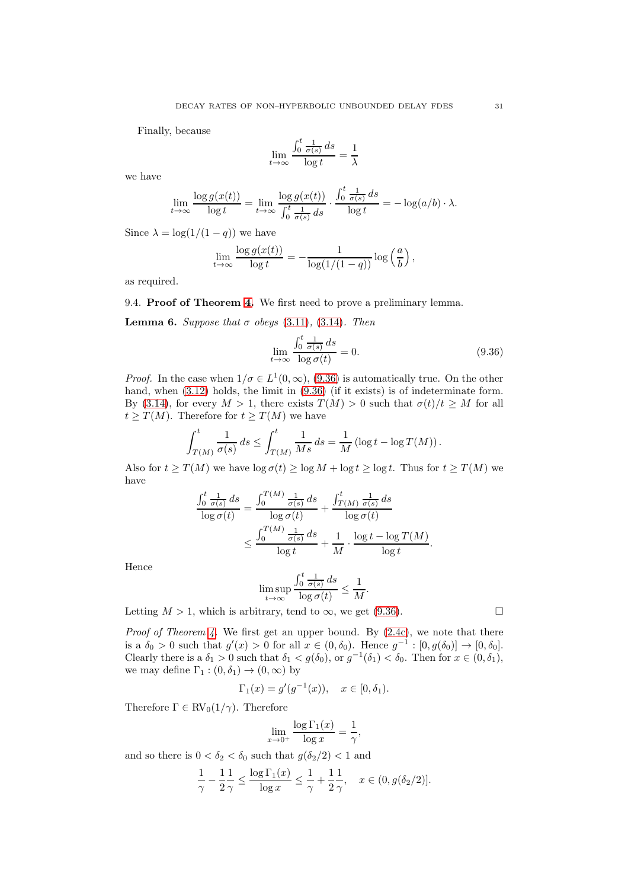Finally, because

$$
\lim_{t \to \infty} \frac{\int_0^t \frac{1}{\sigma(s)} ds}{\log t} = \frac{1}{\lambda}
$$

we have

$$
\lim_{t \to \infty} \frac{\log g(x(t))}{\log t} = \lim_{t \to \infty} \frac{\log g(x(t))}{\int_0^t \frac{1}{\sigma(s)} ds} \cdot \frac{\int_0^t \frac{1}{\sigma(s)} ds}{\log t} = -\log(a/b) \cdot \lambda.
$$

Since  $\lambda = \log(1/(1-q))$  we have

$$
\lim_{t \to \infty} \frac{\log g(x(t))}{\log t} = -\frac{1}{\log(1/(1-q))} \log \left(\frac{a}{b}\right),\,
$$

as required.

9.4. Proof of Theorem [4.](#page-5-4) We first need to prove a preliminary lemma.

<span id="page-30-1"></span>**Lemma 6.** Suppose that  $\sigma$  obeys [\(3.11\)](#page-5-5), [\(3.14\)](#page-5-6). Then

<span id="page-30-0"></span>
$$
\lim_{t \to \infty} \frac{\int_0^t \frac{1}{\sigma(s)} ds}{\log \sigma(t)} = 0.
$$
\n(9.36)

*Proof.* In the case when  $1/\sigma \in L^1(0,\infty)$ , [\(9.36\)](#page-30-0) is automatically true. On the other hand, when  $(3.12)$  holds, the limit in  $(9.36)$  (if it exists) is of indeterminate form. By [\(3.14\)](#page-5-6), for every  $M > 1$ , there exists  $T(M) > 0$  such that  $\sigma(t)/t \geq M$  for all  $t \geq T(M)$ . Therefore for  $t \geq T(M)$  we have

$$
\int_{T(M)}^t \frac{1}{\sigma(s)} ds \le \int_{T(M)}^t \frac{1}{Ms} ds = \frac{1}{M} \left( \log t - \log T(M) \right).
$$

Also for  $t \geq T(M)$  we have  $\log \sigma(t) \geq \log M + \log t \geq \log t$ . Thus for  $t \geq T(M)$  we have

$$
\frac{\int_0^t \frac{1}{\sigma(s)} ds}{\log \sigma(t)} = \frac{\int_0^{T(M)} \frac{1}{\sigma(s)} ds}{\log \sigma(t)} + \frac{\int_{T(M)}^t \frac{1}{\sigma(s)} ds}{\log \sigma(t)}
$$

$$
\leq \frac{\int_0^{T(M)} \frac{1}{\sigma(s)} ds}{\log t} + \frac{1}{M} \cdot \frac{\log t - \log T(M)}{\log t}.
$$

Hence

$$
\limsup_{t \to \infty} \frac{\int_0^t \frac{1}{\sigma(s)} ds}{\log \sigma(t)} \le \frac{1}{M}.
$$

Letting  $M > 1$ , which is arbitrary, tend to  $\infty$ , we get [\(9.36\)](#page-30-0).

*Proof of Theorem [4.](#page-5-4)* We first get an upper bound. By  $(2.4c)$ , we note that there is a  $\delta_0 > 0$  such that  $g'(x) > 0$  for all  $x \in (0, \delta_0)$ . Hence  $g^{-1} : [0, g(\delta_0)] \to [0, \delta_0]$ . Clearly there is a  $\delta_1 > 0$  such that  $\delta_1 < g(\delta_0)$ , or  $g^{-1}(\delta_1) < \delta_0$ . Then for  $x \in (0, \delta_1)$ , we may define  $\Gamma_1 : (0, \delta_1) \to (0, \infty)$  by

$$
\Gamma_1(x) = g'(g^{-1}(x)), \quad x \in [0, \delta_1).
$$

Therefore  $\Gamma \in RV_0(1/\gamma)$ . Therefore

$$
\lim_{x \to 0^+} \frac{\log \Gamma_1(x)}{\log x} = \frac{1}{\gamma},
$$

and so there is  $0 < \delta_2 < \delta_0$  such that  $g(\delta_2/2) < 1$  and

$$
\frac{1}{\gamma} - \frac{1}{2} \frac{1}{\gamma} \le \frac{\log \Gamma_1(x)}{\log x} \le \frac{1}{\gamma} + \frac{1}{2} \frac{1}{\gamma}, \quad x \in (0, g(\delta_2/2)].
$$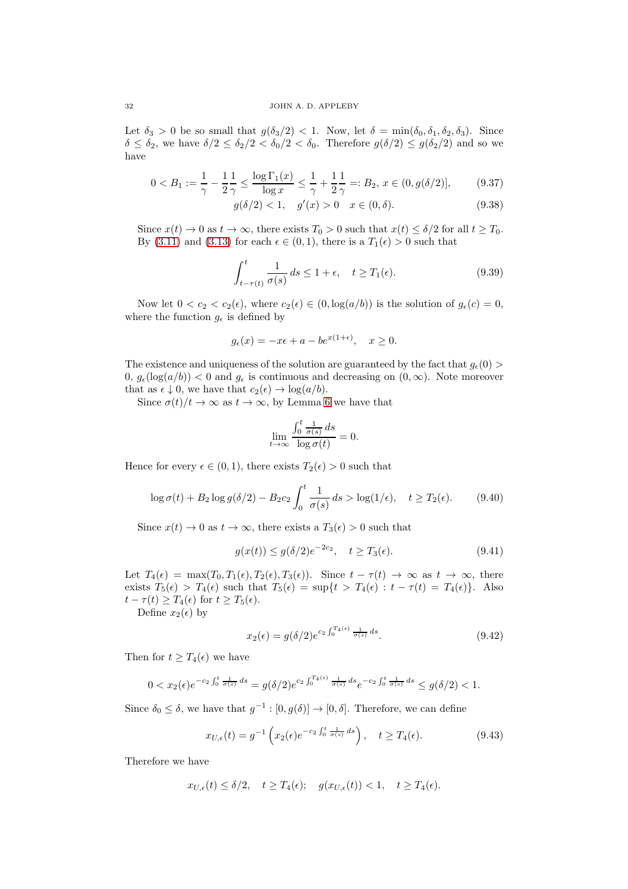Let  $\delta_3 > 0$  be so small that  $g(\delta_3/2) < 1$ . Now, let  $\delta = \min(\delta_0, \delta_1, \delta_2, \delta_3)$ . Since  $\delta \leq \delta_2$ , we have  $\delta/2 \leq \delta_2/2 < \delta_0/2 < \delta_0$ . Therefore  $g(\delta/2) \leq g(\delta_2/2)$  and so we have

$$
0 < B_1 := \frac{1}{\gamma} - \frac{1}{2} \frac{1}{\gamma} \le \frac{\log \Gamma_1(x)}{\log x} \le \frac{1}{\gamma} + \frac{1}{2} \frac{1}{\gamma} =: B_2, \, x \in (0, g(\delta/2)],\tag{9.37}
$$

<span id="page-31-3"></span>
$$
g(\delta/2) < 1, \quad g'(x) > 0 \quad x \in (0, \delta). \tag{9.38}
$$

Since  $x(t) \to 0$  as  $t \to \infty$ , there exists  $T_0 > 0$  such that  $x(t) \leq \delta/2$  for all  $t \geq T_0$ . By [\(3.11\)](#page-5-5) and [\(3.13\)](#page-5-8) for each  $\epsilon \in (0,1)$ , there is a  $T_1(\epsilon) > 0$  such that

<span id="page-31-2"></span>
$$
\int_{t-\tau(t)}^{t} \frac{1}{\sigma(s)} ds \le 1 + \epsilon, \quad t \ge T_1(\epsilon). \tag{9.39}
$$

Now let  $0 < c_2 < c_2(\epsilon)$ , where  $c_2(\epsilon) \in (0, \log(a/b))$  is the solution of  $g_{\epsilon}(c) = 0$ , where the function  $g_{\epsilon}$  is defined by

$$
g_{\epsilon}(x) = -x\epsilon + a - be^{x(1+\epsilon)}, \quad x \ge 0.
$$

The existence and uniqueness of the solution are guaranteed by the fact that  $q_e(0)$  $0, g_{\epsilon}(\log(a/b)) < 0$  and  $g_{\epsilon}$  is continuous and decreasing on  $(0, \infty)$ . Note moreover that as  $\epsilon \downarrow 0$ , we have that  $c_2(\epsilon) \rightarrow \log(a/b)$ .

Since  $\sigma(t)/t \to \infty$  as  $t \to \infty$ , by Lemma [6](#page-30-1) we have that

$$
\lim_{t \to \infty} \frac{\int_0^t \frac{1}{\sigma(s)} ds}{\log \sigma(t)} = 0.
$$

Hence for every  $\epsilon \in (0,1)$ , there exists  $T_2(\epsilon) > 0$  such that

<span id="page-31-5"></span>
$$
\log \sigma(t) + B_2 \log g(\delta/2) - B_2 c_2 \int_0^t \frac{1}{\sigma(s)} ds > \log(1/\epsilon), \quad t \ge T_2(\epsilon). \tag{9.40}
$$

Since  $x(t) \to 0$  as  $t \to \infty$ , there exists a  $T_3(\epsilon) > 0$  such that

<span id="page-31-0"></span>
$$
g(x(t)) \le g(\delta/2)e^{-2c_2}, \quad t \ge T_3(\epsilon). \tag{9.41}
$$

Let  $T_4(\epsilon) = \max(T_0, T_1(\epsilon), T_2(\epsilon), T_3(\epsilon))$ . Since  $t - \tau(t) \to \infty$  as  $t \to \infty$ , there exists  $T_5(\epsilon) > T_4(\epsilon)$  such that  $T_5(\epsilon) = \sup\{t > T_4(\epsilon) : t - \tau(t) = T_4(\epsilon)\}\$ . Also  $t - \tau(t) \geq T_4(\epsilon)$  for  $t \geq T_5(\epsilon)$ .

Define  $x_2(\epsilon)$  by

<span id="page-31-1"></span>
$$
x_2(\epsilon) = g(\delta/2)e^{c_2 \int_0^{T_4(\epsilon)} \frac{1}{\sigma(s)} ds}.
$$
\n(9.42)

Then for  $t \geq T_4(\epsilon)$  we have

$$
0 < x_2(\epsilon)e^{-c_2\int_0^t \frac{1}{\sigma(s)}ds} = g(\delta/2)e^{c_2\int_0^{T_4(\epsilon)} \frac{1}{\sigma(s)}ds}e^{-c_2\int_0^t \frac{1}{\sigma(s)}ds} \le g(\delta/2) < 1.
$$

Since  $\delta_0 \leq \delta$ , we have that  $g^{-1} : [0, g(\delta)] \to [0, \delta]$ . Therefore, we can define

<span id="page-31-4"></span>
$$
x_{U,\epsilon}(t) = g^{-1}\left(x_2(\epsilon)e^{-c_2\int_0^t \frac{1}{\sigma(s)} ds}\right), \quad t \ge T_4(\epsilon). \tag{9.43}
$$

Therefore we have

$$
x_{U,\epsilon}(t) \le \delta/2
$$
,  $t \ge T_4(\epsilon)$ ;  $g(x_{U,\epsilon}(t)) < 1$ ,  $t \ge T_4(\epsilon)$ .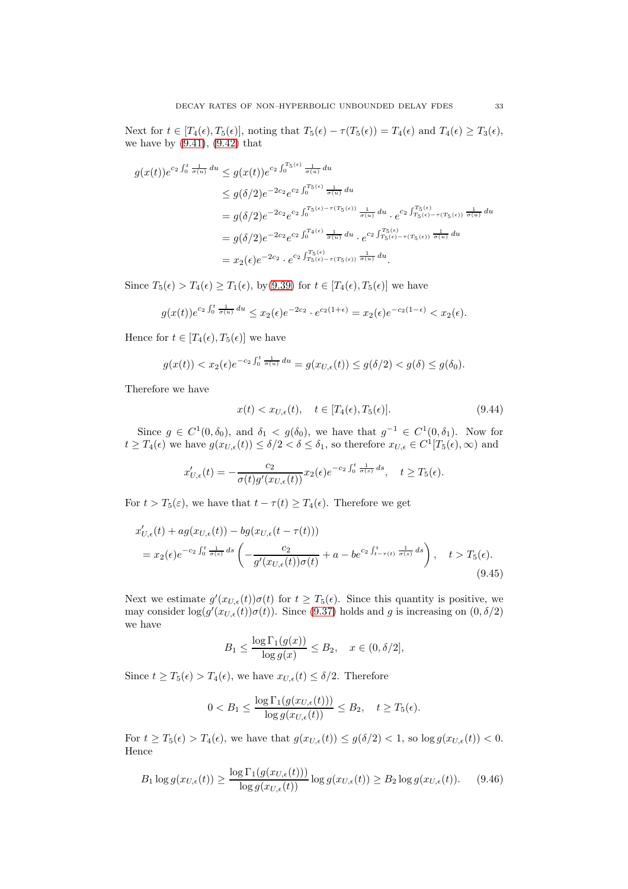Next for  $t \in [T_4(\epsilon), T_5(\epsilon)]$ , noting that  $T_5(\epsilon) - \tau(T_5(\epsilon)) = T_4(\epsilon)$  and  $T_4(\epsilon) \geq T_3(\epsilon)$ , we have by  $(9.41)$ ,  $(9.42)$  that

$$
g(x(t))e^{c_2\int_0^t \frac{1}{\sigma(u)} du} \le g(x(t))e^{c_2\int_0^{T_5(\epsilon)} \frac{1}{\sigma(u)} du}
$$
  
\n
$$
\le g(\delta/2)e^{-2c_2}e^{c_2\int_0^{T_5(\epsilon)} \frac{1}{\sigma(u)} du}
$$
  
\n
$$
= g(\delta/2)e^{-2c_2}e^{c_2\int_0^{T_5(\epsilon)-\tau(T_5(\epsilon))} \frac{1}{\sigma(u)} du} \cdot e^{c_2\int_{T_5(\epsilon)-\tau(T_5(\epsilon))}^{T_5(\epsilon)} \frac{1}{\sigma(u)} du}
$$
  
\n
$$
= g(\delta/2)e^{-2c_2}e^{c_2\int_0^{T_4(\epsilon)} \frac{1}{\sigma(u)} du} \cdot e^{c_2\int_{T_5(\epsilon)-\tau(T_5(\epsilon))}^{T_5(\epsilon)} \frac{1}{\sigma(u)} du}
$$
  
\n
$$
= x_2(\epsilon)e^{-2c_2} \cdot e^{c_2\int_{T_5(\epsilon)-\tau(T_5(\epsilon))}^{T_5(\epsilon)} \frac{1}{\sigma(u)} du}.
$$

Since  $T_5(\epsilon) > T_4(\epsilon) \geq T_1(\epsilon)$ , by[\(9.39\)](#page-31-2) for  $t \in [T_4(\epsilon), T_5(\epsilon)]$  we have

$$
g(x(t))e^{c_2\int_0^t \frac{1}{\sigma(u)} du} \le x_2(\epsilon)e^{-2c_2} \cdot e^{c_2(1+\epsilon)} = x_2(\epsilon)e^{-c_2(1-\epsilon)} < x_2(\epsilon).
$$

Hence for  $t \in [T_4(\epsilon), T_5(\epsilon)]$  we have

$$
g(x(t)) < x_2(\epsilon) e^{-c_2 \int_0^t \frac{1}{\sigma(u)} du} = g(x_{U,\epsilon}(t)) \le g(\delta/2) < g(\delta) \le g(\delta_0).
$$

Therefore we have

$$
x(t) < x_{U,\epsilon}(t), \quad t \in [T_4(\epsilon), T_5(\epsilon)].\tag{9.44}
$$

Since  $g \in C^1(0, \delta_0)$ , and  $\delta_1 < g(\delta_0)$ , we have that  $g^{-1} \in C^1(0, \delta_1)$ . Now for  $t \geq T_4(\epsilon)$  we have  $g(x_{U,\epsilon}(t)) \leq \delta/2 < \delta \leq \delta_1$ , so therefore  $x_{U,\epsilon} \in C^1[T_5(\epsilon),\infty)$  and

$$
x'_{U,\epsilon}(t) = -\frac{c_2}{\sigma(t)g'(x_{U,\epsilon}(t))}x_2(\epsilon)e^{-c_2\int_0^t \frac{1}{\sigma(s)}ds}, \quad t \ge T_5(\epsilon).
$$

For  $t > T_5(\varepsilon)$ , we have that  $t - \tau(t) \geq T_4(\varepsilon)$ . Therefore we get

$$
x'_{U,\epsilon}(t) + ag(x_{U,\epsilon}(t)) - bg(x_{U,\epsilon}(t-\tau(t)))
$$
  
=  $x_2(\epsilon)e^{-c_2\int_0^t \frac{1}{\sigma(s)}ds} \left( -\frac{c_2}{g'(x_{U,\epsilon}(t))\sigma(t)} + a - be^{c_2\int_{t-\tau(t)}^t \frac{1}{\sigma(s)}ds} \right), \quad t > T_5(\epsilon).$  (9.45)

Next we estimate  $g'(x_{U,\epsilon}(t))\sigma(t)$  for  $t \geq T_5(\epsilon)$ . Since this quantity is positive, we may consider  $\log(g'(x_{U,\epsilon}(t))\sigma(t))$ . Since [\(9.37\)](#page-31-3) holds and g is increasing on  $(0,\delta/2)$ we have

<span id="page-32-1"></span>
$$
B_1 \le \frac{\log \Gamma_1(g(x))}{\log g(x)} \le B_2, \quad x \in (0, \delta/2],
$$

Since  $t \geq T_5(\epsilon) > T_4(\epsilon)$ , we have  $x_{U,\epsilon}(t) \leq \delta/2$ . Therefore

$$
0 < B_1 \le \frac{\log \Gamma_1(g(x_{U,\epsilon}(t)))}{\log g(x_{U,\epsilon}(t))} \le B_2, \quad t \ge T_5(\epsilon).
$$

For  $t \geq T_5(\epsilon) > T_4(\epsilon)$ , we have that  $g(x_{U,\epsilon}(t)) \leq g(\delta/2) < 1$ , so  $\log g(x_{U,\epsilon}(t)) < 0$ . Hence

<span id="page-32-0"></span>
$$
B_1 \log g(x_{U,\epsilon}(t)) \ge \frac{\log \Gamma_1(g(x_{U,\epsilon}(t)))}{\log g(x_{U,\epsilon}(t))} \log g(x_{U,\epsilon}(t)) \ge B_2 \log g(x_{U,\epsilon}(t)). \tag{9.46}
$$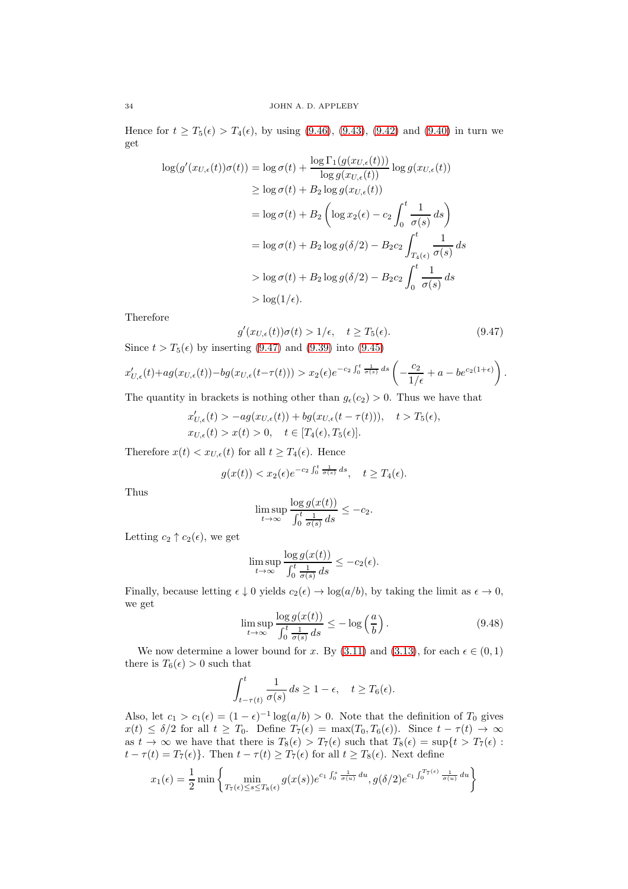Hence for  $t \geq T_5(\epsilon) > T_4(\epsilon)$ , by using [\(9.46\)](#page-32-0), [\(9.43\)](#page-31-4), [\(9.42\)](#page-31-1) and [\(9.40\)](#page-31-5) in turn we get

$$
\log(g'(x_{U,\epsilon}(t))\sigma(t)) = \log \sigma(t) + \frac{\log \Gamma_1(g(x_{U,\epsilon}(t)))}{\log g(x_{U,\epsilon}(t))} \log g(x_{U,\epsilon}(t))
$$
  
\n
$$
\geq \log \sigma(t) + B_2 \log g(x_{U,\epsilon}(t))
$$
  
\n
$$
= \log \sigma(t) + B_2 \left( \log x_2(\epsilon) - c_2 \int_0^t \frac{1}{\sigma(s)} ds \right)
$$
  
\n
$$
= \log \sigma(t) + B_2 \log g(\delta/2) - B_2 c_2 \int_{T_4(\epsilon)}^t \frac{1}{\sigma(s)} ds
$$
  
\n
$$
> \log \sigma(t) + B_2 \log g(\delta/2) - B_2 c_2 \int_0^t \frac{1}{\sigma(s)} ds
$$
  
\n
$$
> \log(1/\epsilon).
$$

Therefore

$$
g'(x_{U,\epsilon}(t))\sigma(t) > 1/\epsilon, \quad t \ge T_5(\epsilon). \tag{9.47}
$$
  
Since  $t > T_5(\epsilon)$  by inserting (9.47) and (9.39) into (9.45)

 $\big)$  .

$$
x'_{U,\epsilon}(t)+ag(x_{U,\epsilon}(t))-bg(x_{U,\epsilon}(t-\tau(t)))> x_2(\epsilon)e^{-c_2\int_0^t\frac{1}{\sigma(s)}\,ds}\left(-\frac{c_2}{1/\epsilon}+a-be^{c_2(1+\epsilon)}\right)
$$

The quantity in brackets is nothing other than  $g_{\epsilon}(c_2) > 0$ . Thus we have that

<span id="page-33-0"></span>
$$
x'_{U,\epsilon}(t) > -ag(x_{U,\epsilon}(t)) + bg(x_{U,\epsilon}(t-\tau(t))), \quad t > T_5(\epsilon),
$$
  

$$
x_{U,\epsilon}(t) > x(t) > 0, \quad t \in [T_4(\epsilon), T_5(\epsilon)].
$$

Therefore  $x(t) < x_{U,\epsilon}(t)$  for all  $t \geq T_4(\epsilon)$ . Hence

$$
g(x(t)) < x_2(\epsilon) e^{-c_2 \int_0^t \frac{1}{\sigma(s)} ds}, \quad t \ge T_4(\epsilon).
$$

Thus

$$
\limsup_{t \to \infty} \frac{\log g(x(t))}{\int_0^t \frac{1}{\sigma(s)} ds} \le -c_2.
$$

Letting  $c_2 \uparrow c_2(\epsilon)$ , we get

$$
\limsup_{t \to \infty} \frac{\log g(x(t))}{\int_0^t \frac{1}{\sigma(s)} ds} \le -c_2(\epsilon).
$$

Finally, because letting  $\epsilon \downarrow 0$  yields  $c_2(\epsilon) \rightarrow \log(a/b)$ , by taking the limit as  $\epsilon \rightarrow 0$ , we get

<span id="page-33-1"></span>
$$
\limsup_{t \to \infty} \frac{\log g(x(t))}{\int_0^t \frac{1}{\sigma(s)} ds} \le -\log \left(\frac{a}{b}\right). \tag{9.48}
$$

We now determine a lower bound for x. By [\(3.11\)](#page-5-5) and [\(3.13\)](#page-5-8), for each  $\epsilon \in (0,1)$ there is  $T_6(\epsilon) > 0$  such that

$$
\int_{t-\tau(t)}^t \frac{1}{\sigma(s)} ds \ge 1 - \epsilon, \quad t \ge T_6(\epsilon).
$$

Also, let  $c_1 > c_1(\epsilon) = (1 - \epsilon)^{-1} \log(a/b) > 0$ . Note that the definition of  $T_0$  gives  $x(t) \leq \delta/2$  for all  $t \geq T_0$ . Define  $T_7(\epsilon) = \max(T_0, T_6(\epsilon))$ . Since  $t - \tau(t) \to \infty$ as  $t \to \infty$  we have that there is  $T_8(\epsilon) > T_7(\epsilon)$  such that  $T_8(\epsilon) = \sup\{t > T_7(\epsilon)$ :  $t - \tau(t) = T_7(\epsilon)$ . Then  $t - \tau(t) \geq T_7(\epsilon)$  for all  $t \geq T_8(\epsilon)$ . Next define

$$
x_1(\epsilon) = \frac{1}{2} \min \left\{ \min_{T_7(\epsilon) \le s \le T_8(\epsilon)} g(x(s)) e^{c_1 \int_0^s \frac{1}{\sigma(u)} du}, g(\delta/2) e^{c_1 \int_0^{T_7(\epsilon)} \frac{1}{\sigma(u)} du} \right\}
$$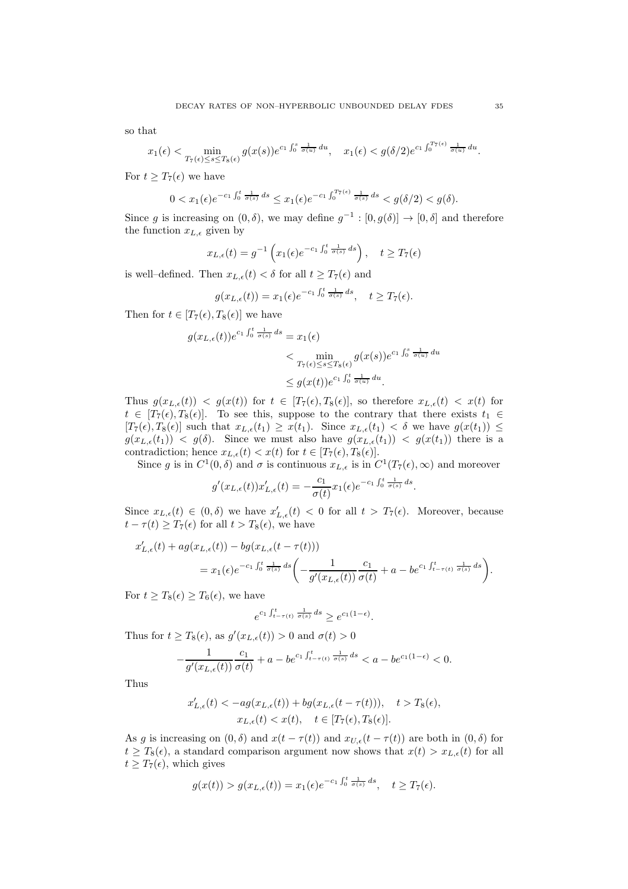so that

$$
x_1(\epsilon) < \min_{T_7(\epsilon) \le s \le T_8(\epsilon)} g(x(s)) e^{c_1 \int_0^s \frac{1}{\sigma(u)} du}, \quad x_1(\epsilon) < g(\delta/2) e^{c_1 \int_0^{T_7(\epsilon)} \frac{1}{\sigma(u)} du}.
$$

For  $t \geq T_7(\epsilon)$  we have

$$
0 < x_1(\epsilon)e^{-c_1\int_0^t \frac{1}{\sigma(s)}ds} \le x_1(\epsilon)e^{-c_1\int_0^{T_7(\epsilon)} \frac{1}{\sigma(s)}ds} < g(\delta/2) < g(\delta).
$$

Since g is increasing on  $(0, \delta)$ , we may define  $g^{-1} : [0, g(\delta)] \to [0, \delta]$  and therefore the function  $x_{L,\epsilon}$  given by

$$
x_{L,\epsilon}(t) = g^{-1}\left(x_1(\epsilon)e^{-c_1\int_0^t \frac{1}{\sigma(s)} ds}\right), \quad t \ge T_7(\epsilon)
$$

is well–defined. Then  $x_{L,\epsilon}(t) < \delta$  for all  $t \geq T_7(\epsilon)$  and

$$
g(x_{L,\epsilon}(t)) = x_1(\epsilon) e^{-c_1 \int_0^t \frac{1}{\sigma(s)} ds}, \quad t \ge T_7(\epsilon).
$$

Then for  $t \in [T_7(\epsilon), T_8(\epsilon)]$  we have

$$
g(x_{L,\epsilon}(t))e^{c_1\int_0^t \frac{1}{\sigma(s)} ds} = x_1(\epsilon)
$$
  

$$
< \min_{T_7(\epsilon) \le s \le T_8(\epsilon)} g(x(s))e^{c_1\int_0^s \frac{1}{\sigma(u)} du}
$$
  

$$
\le g(x(t))e^{c_1\int_0^t \frac{1}{\sigma(u)} du}.
$$

Thus  $g(x_{L,\epsilon}(t)) < g(x(t))$  for  $t \in [T_7(\epsilon), T_8(\epsilon)]$ , so therefore  $x_{L,\epsilon}(t) < x(t)$  for  $t \in [T_7(\epsilon), T_8(\epsilon)]$ . To see this, suppose to the contrary that there exists  $t_1 \in$  $[T_7(\epsilon), T_8(\epsilon)]$  such that  $x_{L,\epsilon}(t_1) \geq x(t_1)$ . Since  $x_{L,\epsilon}(t_1) < \delta$  we have  $g(x(t_1)) \leq$  $g(x_{L,\epsilon}(t_1)) < g(\delta)$ . Since we must also have  $g(x_{L,\epsilon}(t_1)) < g(x(t_1))$  there is a contradiction; hence  $x_{L,\epsilon}(t) < x(t)$  for  $t \in [T_7(\epsilon), T_8(\epsilon)]$ .

Since g is in  $C^1(0,\delta)$  and  $\sigma$  is continuous  $x_{L,\epsilon}$  is in  $C^1(T_7(\epsilon),\infty)$  and moreover

$$
g'(x_{L,\epsilon}(t))x'_{L,\epsilon}(t) = -\frac{c_1}{\sigma(t)}x_1(\epsilon)e^{-c_1\int_0^t \frac{1}{\sigma(s)}ds}.
$$

Since  $x_{L,\epsilon}(t) \in (0,\delta)$  we have  $x'_{L,\epsilon}(t) < 0$  for all  $t > T_7(\epsilon)$ . Moreover, because  $t - \tau(t) \geq T_7(\epsilon)$  for all  $t > T_8(\epsilon)$ , we have

$$
x'_{L,\epsilon}(t) + ag(x_{L,\epsilon}(t)) - bg(x_{L,\epsilon}(t-\tau(t)))
$$
  
=  $x_1(\epsilon)e^{-c_1\int_0^t \frac{1}{\sigma(s)} ds} \left( -\frac{1}{g'(x_{L,\epsilon}(t))} \frac{c_1}{\sigma(t)} + a - be^{c_1\int_{t-\tau(t)}^t \frac{1}{\sigma(s)} ds} \right).$ 

For  $t \geq T_8(\epsilon) \geq T_6(\epsilon)$ , we have

$$
e^{c_1 \int_{t-\tau(t)}^t \frac{1}{\sigma(s)} ds} \ge e^{c_1(1-\epsilon)}.
$$

Thus for  $t \geq T_8(\epsilon)$ , as  $g'(x_{L,\epsilon}(t)) > 0$  and  $\sigma(t) > 0$ 

$$
-\frac{1}{g'(x_{L,\epsilon}(t))}\frac{c_1}{\sigma(t)}+a-b e^{c_1\int_{t-\tau(t)}^t\frac{1}{\sigma(s)}\,ds}
$$

Thus

$$
\begin{aligned} x'_{L,\epsilon}(t) < -ag(x_{L,\epsilon}(t)) + bg(x_{L,\epsilon}(t-\tau(t))), \quad t > T_8(\epsilon),\\ x_{L,\epsilon}(t) < x(t), \quad t \in [T_7(\epsilon),T_8(\epsilon)]. \end{aligned}
$$

As g is increasing on  $(0, \delta)$  and  $x(t - \tau(t))$  and  $x_{U,\epsilon}(t - \tau(t))$  are both in  $(0, \delta)$  for  $t \geq T_8(\epsilon)$ , a standard comparison argument now shows that  $x(t) > x_{L,\epsilon}(t)$  for all  $t \geq T_7(\epsilon)$ , which gives

$$
g(x(t)) > g(x_{L,\epsilon}(t)) = x_1(\epsilon)e^{-c_1\int_0^t \frac{1}{\sigma(s)} ds}, \quad t \ge T_7(\epsilon).
$$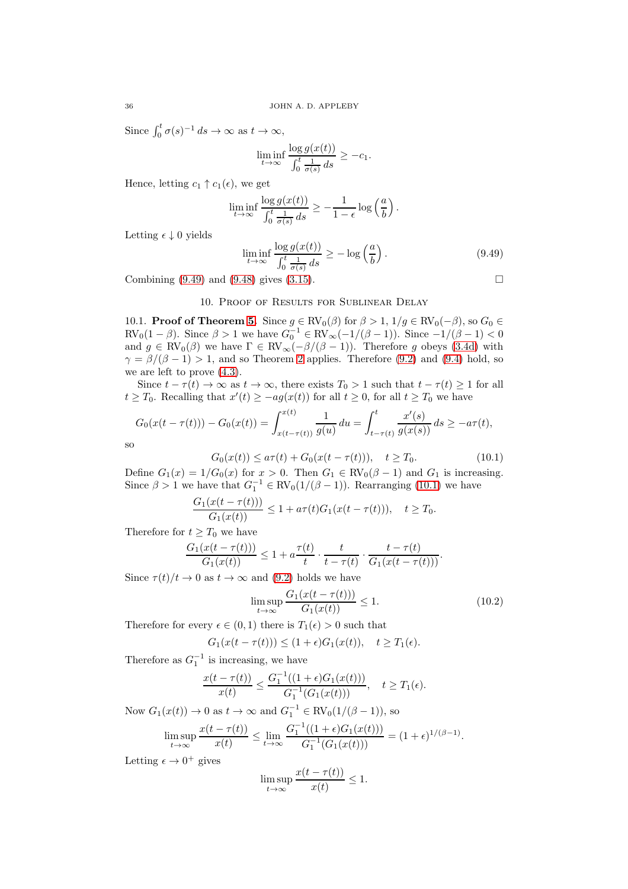Since  $\int_0^t \sigma(s)^{-1} ds \to \infty$  as  $t \to \infty$ ,

$$
\liminf_{t \to \infty} \frac{\log g(x(t))}{\int_0^t \frac{1}{\sigma(s)} ds} \ge -c_1.
$$

Hence, letting  $c_1 \uparrow c_1(\epsilon)$ , we get

$$
\liminf_{t \to \infty} \frac{\log g(x(t))}{\int_0^t \frac{1}{\sigma(s)} ds} \ge -\frac{1}{1-\epsilon} \log \left(\frac{a}{b}\right).
$$

Letting  $\epsilon \downarrow 0$  yields

<span id="page-35-1"></span>
$$
\liminf_{t \to \infty} \frac{\log g(x(t))}{\int_0^t \frac{1}{\sigma(s)} ds} \ge -\log \left(\frac{a}{b}\right). \tag{9.49}
$$

<span id="page-35-0"></span>Combining  $(9.49)$  and  $(9.48)$  gives  $(3.15)$ .

### 10. Proof of Results for Sublinear Delay

10.1. **Proof of Theorem [5.](#page-6-6)** Since  $g \in RV_0(\beta)$  for  $\beta > 1$ ,  $1/g \in RV_0(-\beta)$ , so  $G_0 \in$  $RV_0(1 - \beta)$ . Since  $\beta > 1$  we have  $G_0^{-1} \in RV_{\infty}(-1/(\beta - 1))$ . Since  $-1/(\beta - 1) < 0$ and  $g \in RV_0(\beta)$  we have  $\Gamma \in RV_\infty(-\beta/(\beta-1))$ . Therefore g obeys [\(3.4d\)](#page-4-2) with  $\gamma = \beta/(\beta - 1) > 1$ , and so Theorem [2](#page-4-4) applies. Therefore [\(9.2\)](#page-22-5) and [\(9.4\)](#page-22-0) hold, so we are left to prove [\(4.3\)](#page-6-2).

Since  $t - \tau(t) \to \infty$  as  $t \to \infty$ , there exists  $T_0 > 1$  such that  $t - \tau(t) \ge 1$  for all  $t \geq T_0$ . Recalling that  $x'(t) \geq -ag(x(t))$  for all  $t \geq 0$ , for all  $t \geq T_0$  we have

$$
G_0(x(t-\tau(t))) - G_0(x(t)) = \int_{x(t-\tau(t))}^{x(t)} \frac{1}{g(u)} du = \int_{t-\tau(t)}^t \frac{x'(s)}{g(x(s))} ds \ge -a\tau(t),
$$

so

<span id="page-35-2"></span>
$$
G_0(x(t)) \le a\tau(t) + G_0(x(t-\tau(t))), \quad t \ge T_0. \tag{10.1}
$$

Define  $G_1(x) = 1/G_0(x)$  for  $x > 0$ . Then  $G_1 \in RV_0(\beta - 1)$  and  $G_1$  is increasing. Since  $\beta > 1$  we have that  $G_1^{-1} \in RV_0(1/(\beta - 1))$ . Rearranging [\(10.1\)](#page-35-2) we have

$$
\frac{G_1(x(t-\tau(t)))}{G_1(x(t))} \le 1 + a\tau(t)G_1(x(t-\tau(t))), \quad t \ge T_0.
$$

Therefore for  $t \geq T_0$  we have

$$
\frac{G_1(x(t-\tau(t)))}{G_1(x(t))} \le 1 + a \frac{\tau(t)}{t} \cdot \frac{t}{t-\tau(t)} \cdot \frac{t-\tau(t)}{G_1(x(t-\tau(t)))}.
$$

Since  $\tau(t)/t \to 0$  as  $t \to \infty$  and [\(9.2\)](#page-22-5) holds we have

<span id="page-35-3"></span>
$$
\limsup_{t \to \infty} \frac{G_1(x(t - \tau(t)))}{G_1(x(t))} \le 1.
$$
\n(10.2)

Therefore for every  $\epsilon \in (0,1)$  there is  $T_1(\epsilon) > 0$  such that

$$
G_1(x(t-\tau(t))) \le (1+\epsilon)G_1(x(t)), \quad t \ge T_1(\epsilon).
$$

Therefore as  $G_1^{-1}$  is increasing, we have

$$
\frac{x(t-\tau(t))}{x(t)} \le \frac{G_1^{-1}((1+\epsilon)G_1(x(t)))}{G_1^{-1}(G_1(x(t)))}, \quad t \ge T_1(\epsilon).
$$

Now  $G_1(x(t)) \to 0$  as  $t \to \infty$  and  $G_1^{-1} \in RV_0(1/(\beta - 1)),$  so

$$
\limsup_{t \to \infty} \frac{x(t - \tau(t))}{x(t)} \le \lim_{t \to \infty} \frac{G_1^{-1}((1 + \epsilon)G_1(x(t)))}{G_1^{-1}(G_1(x(t)))} = (1 + \epsilon)^{1/(\beta - 1)}.
$$

Letting  $\epsilon \to 0^+$  gives

$$
\limsup_{t \to \infty} \frac{x(t - \tau(t))}{x(t)} \le 1.
$$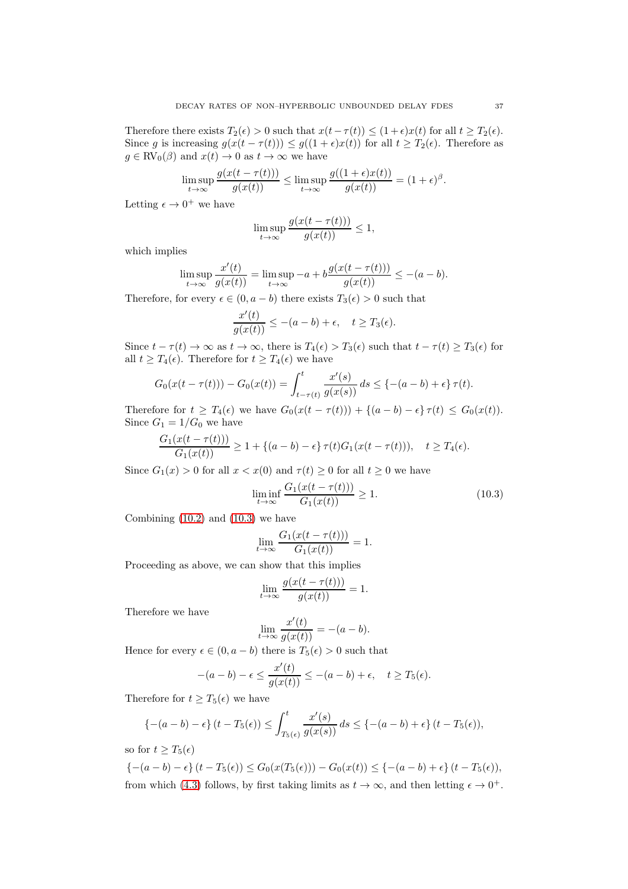Therefore there exists  $T_2(\epsilon) > 0$  such that  $x(t-\tau(t)) \leq (1+\epsilon)x(t)$  for all  $t \geq T_2(\epsilon)$ . Since g is increasing  $g(x(t - \tau(t))) \leq g((1 + \epsilon)x(t))$  for all  $t \geq T_2(\epsilon)$ . Therefore as  $g \in RV_0(\beta)$  and  $x(t) \to 0$  as  $t \to \infty$  we have

$$
\limsup_{t \to \infty} \frac{g(x(t - \tau(t)))}{g(x(t))} \le \limsup_{t \to \infty} \frac{g((1 + \epsilon)x(t))}{g(x(t))} = (1 + \epsilon)^{\beta}.
$$

Letting  $\epsilon \to 0^+$  we have

$$
\limsup_{t \to \infty} \frac{g(x(t - \tau(t)))}{g(x(t))} \le 1,
$$

which implies

$$
\limsup_{t \to \infty} \frac{x'(t)}{g(x(t))} = \limsup_{t \to \infty} -a + b \frac{g(x(t - \tau(t)))}{g(x(t))} \le -(a - b).
$$

Therefore, for every  $\epsilon \in (0, a - b)$  there exists  $T_3(\epsilon) > 0$  such that

$$
\frac{x'(t)}{g(x(t))} \le -(a-b) + \epsilon, \quad t \ge T_3(\epsilon).
$$

Since  $t - \tau(t) \to \infty$  as  $t \to \infty$ , there is  $T_4(\epsilon) > T_3(\epsilon)$  such that  $t - \tau(t) \ge T_3(\epsilon)$  for all  $t \geq T_4(\epsilon)$ . Therefore for  $t \geq T_4(\epsilon)$  we have

$$
G_0(x(t-\tau(t))) - G_0(x(t)) = \int_{t-\tau(t)}^t \frac{x'(s)}{g(x(s))} ds \leq \{-(a-b) + \epsilon\} \tau(t).
$$

Therefore for  $t \geq T_4(\epsilon)$  we have  $G_0(x(t - \tau(t))) + \{(a - b) - \epsilon\} \tau(t) \leq G_0(x(t)).$ Since  $G_1 = 1/G_0$  we have

$$
\frac{G_1(x(t-\tau(t)))}{G_1(x(t))} \ge 1 + \{(a-b) - \epsilon\} \tau(t) G_1(x(t-\tau(t))), \quad t \ge T_4(\epsilon).
$$

Since  $G_1(x) > 0$  for all  $x < x(0)$  and  $\tau(t) > 0$  for all  $t > 0$  we have

<span id="page-36-0"></span>
$$
\liminf_{t \to \infty} \frac{G_1(x(t - \tau(t)))}{G_1(x(t))} \ge 1.
$$
\n(10.3)

Combining  $(10.2)$  and  $(10.3)$  we have

$$
\lim_{t \to \infty} \frac{G_1(x(t - \tau(t)))}{G_1(x(t))} = 1.
$$

Proceeding as above, we can show that this implies

$$
\lim_{t \to \infty} \frac{g(x(t - \tau(t)))}{g(x(t))} = 1.
$$

Therefore we have

$$
\lim_{t \to \infty} \frac{x'(t)}{g(x(t))} = -(a - b).
$$

Hence for every  $\epsilon \in (0, a - b)$  there is  $T_5(\epsilon) > 0$  such that

$$
-(a-b)-\epsilon \le \frac{x'(t)}{g(x(t))} \le -(a-b)+\epsilon, \quad t \ge T_5(\epsilon).
$$

Therefore for  $t \geq T_5(\epsilon)$  we have

$$
\{-(a-b)-\epsilon\}\left(t-T_5(\epsilon)\right)\leq \int_{T_5(\epsilon)}^t \frac{x'(s)}{g(x(s))}\,ds\leq \{-(a-b)+\epsilon\}\left(t-T_5(\epsilon)\right),
$$

so for  $t > T_5(\epsilon)$ 

 ${-(a - b) - \epsilon}(t - T_5(\epsilon)) \le G_0(x(T_5(\epsilon))) - G_0(x(t)) \le (- (a - b) + \epsilon)(t - T_5(\epsilon)),$ from which [\(4.3\)](#page-6-2) follows, by first taking limits as  $t \to \infty$ , and then letting  $\epsilon \to 0^+$ .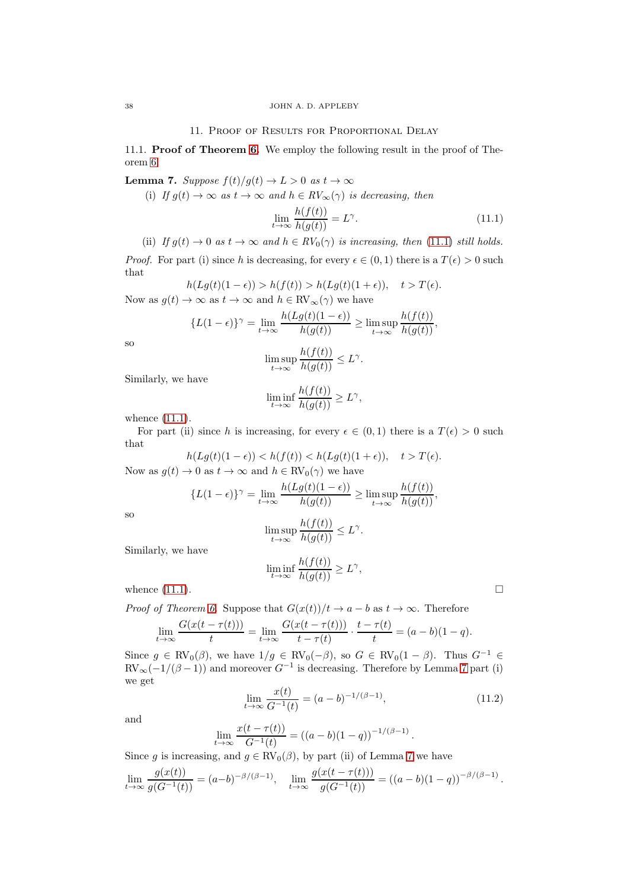### 11. Proof of Results for Proportional Delay

11.1. Proof of Theorem [6.](#page-6-5) We employ the following result in the proof of Theorem [6.](#page-6-5)

<span id="page-37-1"></span>**Lemma 7.** Suppose  $f(t)/g(t) \rightarrow L > 0$  as  $t \rightarrow \infty$ 

(i) If  $g(t) \to \infty$  as  $t \to \infty$  and  $h \in RV_{\infty}(\gamma)$  is decreasing, then

<span id="page-37-0"></span>
$$
\lim_{t \to \infty} \frac{h(f(t))}{h(g(t))} = L^{\gamma}.
$$
\n(11.1)

(ii) If  $g(t) \to 0$  as  $t \to \infty$  and  $h \in RV_0(\gamma)$  is increasing, then [\(11.1\)](#page-37-0) still holds.

*Proof.* For part (i) since h is decreasing, for every  $\epsilon \in (0,1)$  there is a  $T(\epsilon) > 0$  such that

$$
h(Lg(t)(1-\epsilon)) > h(f(t)) > h(Lg(t)(1+\epsilon)), \quad t > T(\epsilon).
$$

Now as  $g(t) \to \infty$  as  $t \to \infty$  and  $h \in RV_{\infty}(\gamma)$  we have

$$
\{L(1-\epsilon)\}^{\gamma} = \lim_{t \to \infty} \frac{h(Lg(t)(1-\epsilon))}{h(g(t))} \ge \limsup_{t \to \infty} \frac{h(f(t))}{h(g(t))},
$$

so

$$
\limsup_{t \to \infty} \frac{h(f(t))}{h(g(t))} \le L^{\gamma}
$$

.

Similarly, we have

$$
\liminf_{t \to \infty} \frac{h(f(t))}{h(g(t))} \ge L^{\gamma},
$$

whence [\(11.1\)](#page-37-0).

For part (ii) since h is increasing, for every  $\epsilon \in (0,1)$  there is a  $T(\epsilon) > 0$  such that

$$
h(Lg(t)(1-\epsilon)) < h(f(t)) < h(Lg(t)(1+\epsilon)), \quad t > T(\epsilon).
$$

Now as  $g(t) \to 0$  as  $t \to \infty$  and  $h \in RV_0(\gamma)$  we have

$$
\{L(1-\epsilon)\}^{\gamma} = \lim_{t \to \infty} \frac{h(Lg(t)(1-\epsilon))}{h(g(t))} \ge \limsup_{t \to \infty} \frac{h(f(t))}{h(g(t))},
$$

so

$$
\limsup_{t\to\infty}\frac{h(f(t))}{h(g(t))}\leq L^\gamma.
$$

Similarly, we have

$$
\liminf_{t \to \infty} \frac{h(f(t))}{h(g(t))} \ge L^{\gamma},
$$

whence  $(11.1)$ .

*Proof of Theorem [6.](#page-6-5)* Suppose that  $G(x(t))/t \to a - b$  as  $t \to \infty$ . Therefore

$$
\lim_{t \to \infty} \frac{G(x(t - \tau(t)))}{t} = \lim_{t \to \infty} \frac{G(x(t - \tau(t)))}{t - \tau(t)} \cdot \frac{t - \tau(t)}{t} = (a - b)(1 - q).
$$

Since  $g \in RV_0(\beta)$ , we have  $1/g \in RV_0(-\beta)$ , so  $G \in RV_0(1-\beta)$ . Thus  $G^{-1} \in$  $RV_{\infty}(-1/(\beta-1))$  and moreover  $G^{-1}$  is decreasing. Therefore by Lemma [7](#page-37-1) part (i) we get

<span id="page-37-2"></span>
$$
\lim_{t \to \infty} \frac{x(t)}{G^{-1}(t)} = (a - b)^{-1/(\beta - 1)},\tag{11.2}
$$

and

$$
\lim_{t \to \infty} \frac{x(t - \tau(t))}{G^{-1}(t)} = ((a - b)(1 - q))^{-1/(\beta - 1)}.
$$

Since g is increasing, and  $g \in RV_0(\beta)$ , by part (ii) of Lemma [7](#page-37-1) we have

$$
\lim_{t \to \infty} \frac{g(x(t))}{g(G^{-1}(t))} = (a - b)^{-\beta/(\beta - 1)}, \quad \lim_{t \to \infty} \frac{g(x(t - \tau(t)))}{g(G^{-1}(t))} = ((a - b)(1 - q))^{-\beta/(\beta - 1)}.
$$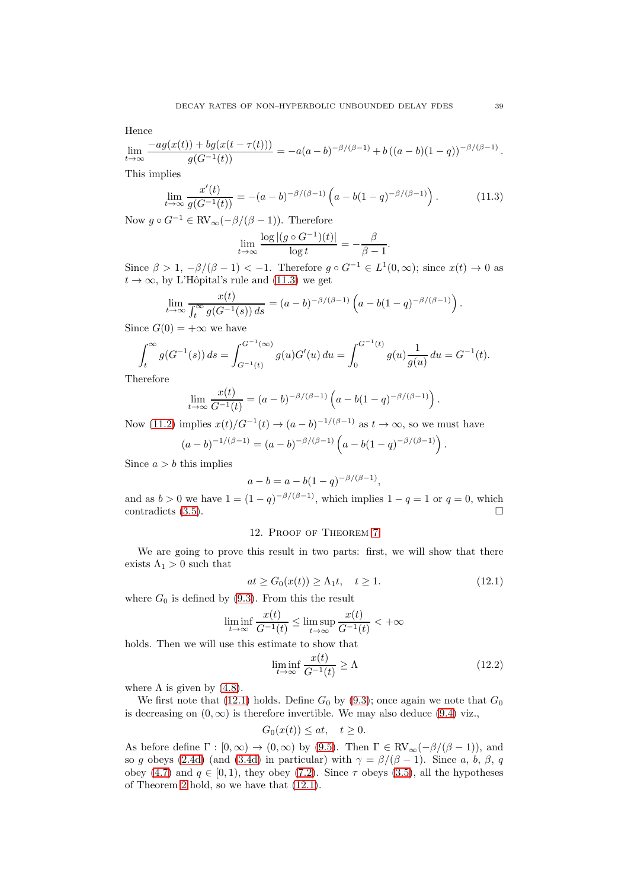Hence

$$
\lim_{t \to \infty} \frac{-ag(x(t)) + bg(x(t - \tau(t)))}{g(G^{-1}(t))} = -a(a - b)^{-\beta/(\beta - 1)} + b((a - b)(1 - q))^{-\beta/(\beta - 1)}.
$$

This implies

<span id="page-38-1"></span>
$$
\lim_{t \to \infty} \frac{x'(t)}{g(G^{-1}(t))} = -(a-b)^{-\beta/(\beta-1)} \left( a - b(1-q)^{-\beta/(\beta-1)} \right). \tag{11.3}
$$

Now  $g \circ G^{-1} \in \text{RV}_{\infty}(-\beta/(\beta-1)).$  Therefore

$$
\lim_{t \to \infty} \frac{\log |(g \circ G^{-1})(t)|}{\log t} = -\frac{\beta}{\beta - 1}.
$$

Since  $\beta > 1, -\beta/(\beta - 1) < -1$ . Therefore  $g \circ G^{-1} \in L^1(0, \infty)$ ; since  $x(t) \to 0$  as  $t \to \infty$ , by L'Hôpital's rule and [\(11.3\)](#page-38-1) we get

$$
\lim_{t \to \infty} \frac{x(t)}{\int_t^{\infty} g(G^{-1}(s)) ds} = (a - b)^{-\beta/(\beta - 1)} \left( a - b(1 - q)^{-\beta/(\beta - 1)} \right).
$$

Since  $G(0) = +\infty$  we have

$$
\int_{t}^{\infty} g(G^{-1}(s)) ds = \int_{G^{-1}(t)}^{G^{-1}(\infty)} g(u)G'(u) du = \int_{0}^{G^{-1}(t)} g(u) \frac{1}{g(u)} du = G^{-1}(t).
$$

Therefore

$$
\lim_{t \to \infty} \frac{x(t)}{G^{-1}(t)} = (a - b)^{-\beta/(\beta - 1)} \left( a - b(1 - q)^{-\beta/(\beta - 1)} \right).
$$

Now [\(11.2\)](#page-37-2) implies  $x(t)/G^{-1}(t) \to (a-b)^{-1/(\beta-1)}$  as  $t \to \infty$ , so we must have

$$
(a-b)^{-1/(\beta-1)} = (a-b)^{-\beta/(\beta-1)} \left( a - b(1-q)^{-\beta/(\beta-1)} \right).
$$

Since  $a > b$  this implies

$$
a - b = a - b(1 - q)^{-\beta/(\beta - 1)},
$$

and as  $b > 0$  we have  $1 = (1 - q)^{-\beta/(\beta - 1)}$ , which implies  $1 - q = 1$  or  $q = 0$ , which contradicts  $(3.5)$ .

### 12. Proof of Theorem [7](#page-7-0)

We are going to prove this result in two parts: first, we will show that there exists  $\Lambda_1 > 0$  such that

<span id="page-38-0"></span>
$$
at \ge G_0(x(t)) \ge \Lambda_1 t, \quad t \ge 1. \tag{12.1}
$$

where  $G_0$  is defined by [\(9.3\)](#page-22-6). From this the result

$$
\liminf_{t \to \infty} \frac{x(t)}{G^{-1}(t)} \le \limsup_{t \to \infty} \frac{x(t)}{G^{-1}(t)} < +\infty
$$

holds. Then we will use this estimate to show that

<span id="page-38-2"></span>
$$
\liminf_{t \to \infty} \frac{x(t)}{G^{-1}(t)} \ge \Lambda \tag{12.2}
$$

where  $\Lambda$  is given by [\(4.8\)](#page-7-2).

We first note that [\(12.1\)](#page-38-0) holds. Define  $G_0$  by [\(9.3\)](#page-22-6); once again we note that  $G_0$ is decreasing on  $(0, \infty)$  is therefore invertible. We may also deduce  $(9.4)$  viz.,

$$
G_0(x(t)) \le at, \quad t \ge 0.
$$

As before define  $\Gamma : [0, \infty) \to (0, \infty)$  by [\(9.5\)](#page-22-2). Then  $\Gamma \in RV_{\infty}(-\beta/(\beta-1)),$  and so g obeys [\(2.4d\)](#page-2-7) (and [\(3.4d\)](#page-4-2) in particular) with  $\gamma = \beta/(\beta - 1)$ . Since a, b,  $\beta$ , q obey [\(4.7\)](#page-7-1) and  $q \in [0, 1)$ , they obey [\(7.2\)](#page-16-5). Since  $\tau$  obeys [\(3.5\)](#page-4-3), all the hypotheses of Theorem [2](#page-4-4) hold, so we have that [\(12.1\)](#page-38-0).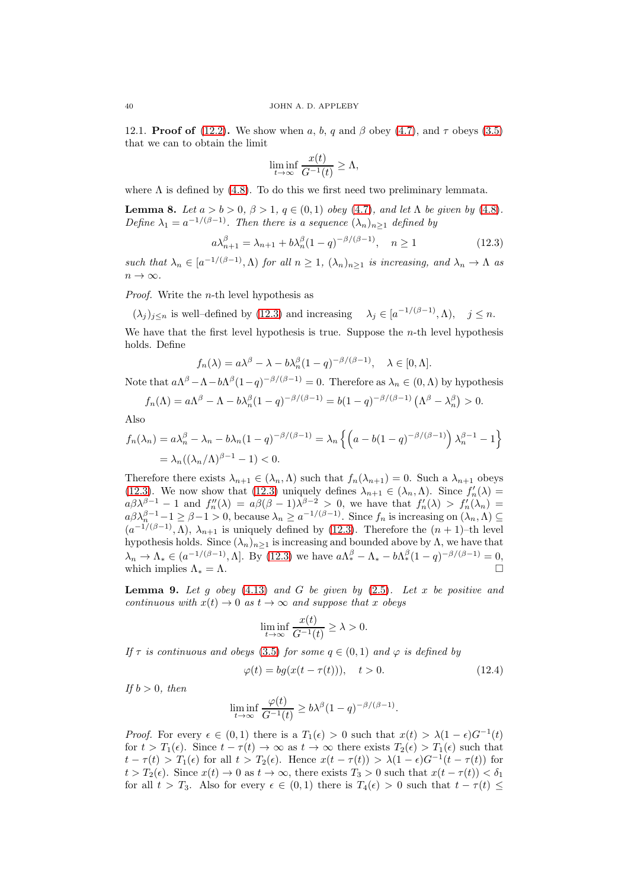12.1. **Proof of** [\(12.2\)](#page-38-2). We show when a, b, q and  $\beta$  obey [\(4.7\)](#page-7-1), and  $\tau$  obeys [\(3.5\)](#page-4-3) that we can to obtain the limit

$$
\liminf_{t \to \infty} \frac{x(t)}{G^{-1}(t)} \ge \Lambda,
$$

where  $\Lambda$  is defined by [\(4.8\)](#page-7-2). To do this we first need two preliminary lemmata.

<span id="page-39-1"></span>Lemma 8. Let  $a > b > 0$ ,  $\beta > 1$ ,  $q \in (0,1)$  obey [\(4.7\)](#page-7-1), and let  $\Lambda$  be given by [\(4.8\)](#page-7-2). Define  $\lambda_1 = a^{-1/(\beta - 1)}$ . Then there is a sequence  $(\lambda_n)_{n \geq 1}$  defined by

<span id="page-39-0"></span>
$$
a\lambda_{n+1}^{\beta} = \lambda_{n+1} + b\lambda_n^{\beta} (1-q)^{-\beta/(\beta-1)}, \quad n \ge 1
$$
 (12.3)

such that  $\lambda_n \in [a^{-1/(\beta-1)}, \Lambda)$  for all  $n \geq 1$ ,  $(\lambda_n)_{n \geq 1}$  is increasing, and  $\lambda_n \to \Lambda$  as  $n \to \infty$ .

Proof. Write the n-th level hypothesis as

 $(\lambda_j)_{j\leq n}$  is well-defined by [\(12.3\)](#page-39-0) and increasing  $\lambda_j \in [a^{-1/(\beta-1)}, \Lambda)$ ,  $j \leq n$ .

We have that the first level hypothesis is true. Suppose the  $n$ -th level hypothesis holds. Define

$$
f_n(\lambda) = a\lambda^{\beta} - \lambda - b\lambda_n^{\beta}(1-q)^{-\beta/(\beta-1)}, \quad \lambda \in [0, \Lambda].
$$

Note that  $a\Lambda^{\beta} - \Lambda - b\Lambda^{\beta}(1-q)^{-\beta/(\beta-1)} = 0$ . Therefore as  $\lambda_n \in (0, \Lambda)$  by hypothesis

$$
f_n(\Lambda) = a\Lambda^{\beta} - \Lambda - b\lambda_n^{\beta}(1-q)^{-\beta/(\beta-1)} = b(1-q)^{-\beta/(\beta-1)}\left(\Lambda^{\beta} - \lambda_n^{\beta}\right) > 0.
$$

Also

$$
f_n(\lambda_n) = a\lambda_n^{\beta} - \lambda_n - b\lambda_n (1 - q)^{-\beta/(\beta - 1)} = \lambda_n \left\{ \left( a - b(1 - q)^{-\beta/(\beta - 1)} \right) \lambda_n^{\beta - 1} - 1 \right\}
$$
  
=  $\lambda_n ((\lambda_n/\Lambda)^{\beta - 1} - 1) < 0.$ 

Therefore there exists  $\lambda_{n+1} \in (\lambda_n, \Lambda)$  such that  $f_n(\lambda_{n+1}) = 0$ . Such a  $\lambda_{n+1}$  obeys [\(12.3\)](#page-39-0). We now show that [\(12.3\)](#page-39-0) uniquely defines  $\lambda_{n+1} \in (\lambda_n, \Lambda)$ . Since  $f'_n(\lambda) =$  $a\beta\lambda^{\beta-1}-1$  and  $f''_n(\lambda) = a\beta(\beta-1)\lambda^{\beta-2} > 0$ , we have that  $f'_n(\lambda) > f'_n(\lambda_n) =$  $a\beta\lambda_{n-1}^{\beta-1}-1\geq\beta-1>0$ , because  $\lambda_n\geq a^{-1/(\beta-1)}$ . Since  $f_n$  is increasing on  $(\lambda_n,\Lambda)\subseteq$  $(a^{-1/(\beta-1)}, \Lambda)$ ,  $\lambda_{n+1}$  is uniquely defined by [\(12.3\)](#page-39-0). Therefore the  $(n + 1)$ -th level hypothesis holds. Since  $(\lambda_n)_{n>1}$  is increasing and bounded above by  $\Lambda$ , we have that  $\lambda_n \to \Lambda_* \in (a^{-1/(\beta-1)}, \Lambda]$ . By [\(12.3\)](#page-39-0) we have  $a\Lambda_*^{\beta} - \Lambda_* - b\Lambda_*^{\beta}(1-q)^{-\beta/(\beta-1)} = 0$ , which implies  $\Lambda_* = \Lambda$ .

<span id="page-39-3"></span>**Lemma 9.** Let g obey  $(4.13)$  and G be given by  $(2.5)$ . Let x be positive and continuous with  $x(t) \rightarrow 0$  as  $t \rightarrow \infty$  and suppose that x obeys

$$
\liminf_{t \to \infty} \frac{x(t)}{G^{-1}(t)} \ge \lambda > 0.
$$

If  $\tau$  is continuous and obeys [\(3.5\)](#page-4-3) for some  $q \in (0,1)$  and  $\varphi$  is defined by

<span id="page-39-2"></span>
$$
\varphi(t) = bg(x(t - \tau(t))), \quad t > 0.
$$
\n(12.4)

If  $b > 0$ , then

$$
\liminf_{t \to \infty} \frac{\varphi(t)}{G^{-1}(t)} \ge b\lambda^{\beta} (1-q)^{-\beta/(\beta-1)}.
$$

*Proof.* For every  $\epsilon \in (0,1)$  there is a  $T_1(\epsilon) > 0$  such that  $x(t) > \lambda(1-\epsilon)G^{-1}(t)$ for  $t > T_1(\epsilon)$ . Since  $t - \tau(t) \to \infty$  as  $t \to \infty$  there exists  $T_2(\epsilon) > T_1(\epsilon)$  such that  $t - \tau(t) > T_1(\epsilon)$  for all  $t > T_2(\epsilon)$ . Hence  $x(t - \tau(t)) > \lambda(1 - \epsilon)G^{-1}(t - \tau(t))$  for  $t > T_2(\epsilon)$ . Since  $x(t) \to 0$  as  $t \to \infty$ , there exists  $T_3 > 0$  such that  $x(t - \tau(t)) < \delta_1$ for all  $t > T_3$ . Also for every  $\epsilon \in (0,1)$  there is  $T_4(\epsilon) > 0$  such that  $t - \tau(t) \leq$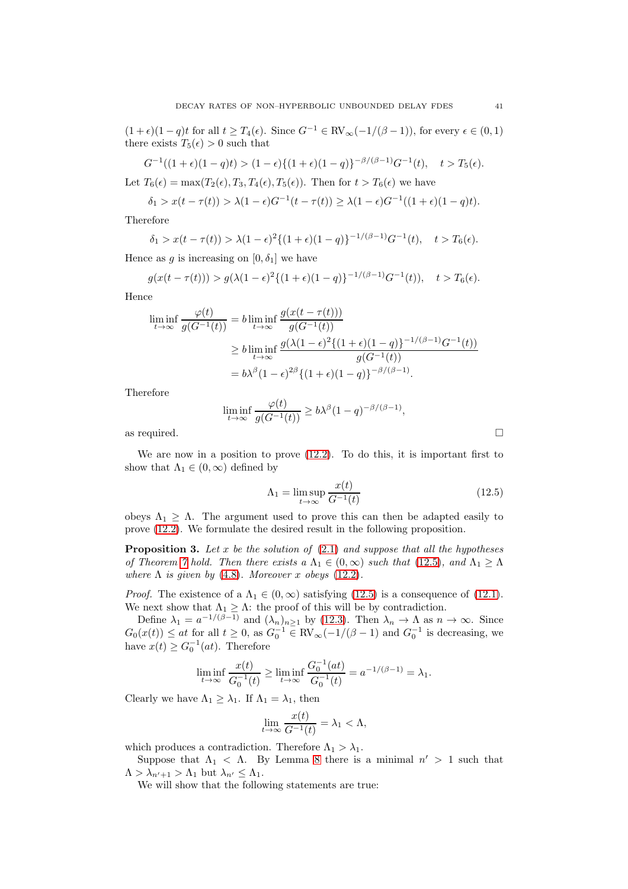$(1+\epsilon)(1-q)t$  for all  $t \geq T_4(\epsilon)$ . Since  $G^{-1} \in \text{RV}_{\infty}(-1/(\beta-1))$ , for every  $\epsilon \in (0,1)$ there exists  $T_5(\epsilon) > 0$  such that

$$
G^{-1}((1+\epsilon)(1-q)t) > (1-\epsilon)\{(1+\epsilon)(1-q)\}^{-\beta/(\beta-1)}G^{-1}(t), \quad t > T_5(\epsilon).
$$

Let  $T_6(\epsilon) = \max(T_2(\epsilon), T_3, T_4(\epsilon), T_5(\epsilon))$ . Then for  $t > T_6(\epsilon)$  we have

$$
\delta_1 > x(t - \tau(t)) > \lambda(1 - \epsilon)G^{-1}(t - \tau(t)) \ge \lambda(1 - \epsilon)G^{-1}((1 + \epsilon)(1 - q)t).
$$

Therefore

$$
\delta_1 > x(t - \tau(t)) > \lambda(1 - \epsilon)^2 \{(1 + \epsilon)(1 - q)\}^{-1/(\beta - 1)} G^{-1}(t), \quad t > T_6(\epsilon).
$$

Hence as g is increasing on  $[0, \delta_1]$  we have

$$
g(x(t-\tau(t))) > g(\lambda(1-\epsilon)^2 \{(1+\epsilon)(1-q)\}^{-1/(\beta-1)} G^{-1}(t)), \quad t > T_6(\epsilon).
$$

Hence

$$
\liminf_{t \to \infty} \frac{\varphi(t)}{g(G^{-1}(t))} = b \liminf_{t \to \infty} \frac{g(x(t - \tau(t)))}{g(G^{-1}(t))}
$$
\n
$$
\geq b \liminf_{t \to \infty} \frac{g(\lambda(1 - \epsilon)^2 \{(1 + \epsilon)(1 - q)\}^{-1/(\beta - 1)} G^{-1}(t))}{g(G^{-1}(t))}
$$
\n
$$
= b\lambda^{\beta} (1 - \epsilon)^{2\beta} \{(1 + \epsilon)(1 - q)\}^{-\beta/(\beta - 1)}.
$$

Therefore

$$
\liminf_{t \to \infty} \frac{\varphi(t)}{g(G^{-1}(t))} \ge b\lambda^{\beta} (1-q)^{-\beta/(\beta-1)},
$$

as required.  $\hfill \square$ 

We are now in a position to prove [\(12.2\)](#page-38-2). To do this, it is important first to show that  $\Lambda_1 \in (0,\infty)$  defined by

<span id="page-40-0"></span>
$$
\Lambda_1 = \limsup_{t \to \infty} \frac{x(t)}{G^{-1}(t)} \tag{12.5}
$$

obeys  $\Lambda_1 \geq \Lambda$ . The argument used to prove this can then be adapted easily to prove [\(12.2\)](#page-38-2). We formulate the desired result in the following proposition.

**Proposition 3.** Let x be the solution of  $(2.1)$  and suppose that all the hypotheses of Theorem [7](#page-7-0) hold. Then there exists a  $\Lambda_1 \in (0,\infty)$  such that [\(12.5\)](#page-40-0), and  $\Lambda_1 > \Lambda$ where  $\Lambda$  is given by [\(4.8\)](#page-7-2). Moreover x obeys [\(12.2\)](#page-38-2).

*Proof.* The existence of a  $\Lambda_1 \in (0, \infty)$  satisfying [\(12.5\)](#page-40-0) is a consequence of [\(12.1\)](#page-38-0). We next show that  $\Lambda_1 \geq \Lambda$ : the proof of this will be by contradiction.

Define  $\lambda_1 = a^{-1/(\beta - 1)}$  and  $(\lambda_n)_{n \geq 1}$  by [\(12.3\)](#page-39-0). Then  $\lambda_n \to \Lambda$  as  $n \to \infty$ . Since  $G_0(x(t)) \leq at$  for all  $t \geq 0$ , as  $G_0^{-1} \in RV_{\infty}(-1/(\beta - 1)$  and  $G_0^{-1}$  is decreasing, we have  $x(t) \geq G_0^{-1}(at)$ . Therefore

$$
\liminf_{t \to \infty} \frac{x(t)}{G_0^{-1}(t)} \ge \liminf_{t \to \infty} \frac{G_0^{-1}(at)}{G_0^{-1}(t)} = a^{-1/(\beta - 1)} = \lambda_1.
$$

Clearly we have  $\Lambda_1 \geq \lambda_1$ . If  $\Lambda_1 = \lambda_1$ , then

$$
\lim_{t \to \infty} \frac{x(t)}{G^{-1}(t)} = \lambda_1 < \Lambda,
$$

which produces a contradiction. Therefore  $\Lambda_1 > \lambda_1$ .

Suppose that  $\Lambda_1 < \Lambda$ . By Lemma [8](#page-39-1) there is a minimal  $n' > 1$  such that  $\Lambda > \lambda_{n'+1} > \Lambda_1$  but  $\lambda_{n'} \leq \Lambda_1$ .

We will show that the following statements are true: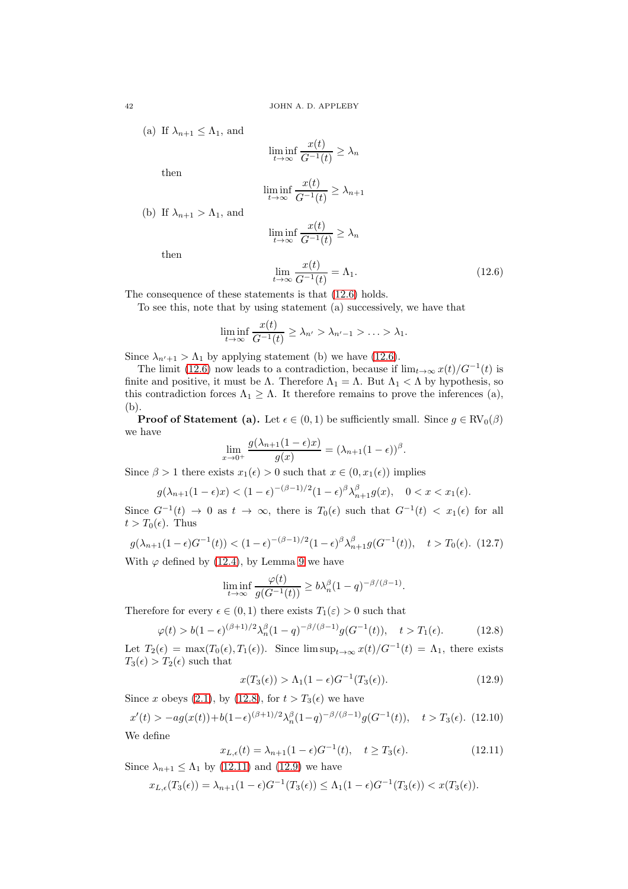(a) If 
$$
\lambda_{n+1} \leq \Lambda_1
$$
, and

$$
\liminf_{t \to \infty} \frac{x(t)}{G^{-1}(t)} \ge \lambda_n
$$

then

then

$$
\liminf_{t \to \infty} \frac{x(t)}{G^{-1}(t)} \ge \lambda_{n+1}
$$

(b) If  $\lambda_{n+1} > \Lambda_1$ , and

$$
\liminf_{t \to \infty} \frac{x(t)}{G^{-1}(t)} \ge \lambda_n
$$

<span id="page-41-0"></span>
$$
\lim_{t \to \infty} \frac{x(t)}{G^{-1}(t)} = \Lambda_1. \tag{12.6}
$$

The consequence of these statements is that [\(12.6\)](#page-41-0) holds.

To see this, note that by using statement (a) successively, we have that

$$
\liminf_{t\to\infty}\frac{x(t)}{G^{-1}(t)}\geq\lambda_{n'}>\lambda_{n'-1}>\ldots>\lambda_1.
$$

Since  $\lambda_{n'+1} > \Lambda_1$  by applying statement (b) we have [\(12.6\)](#page-41-0).

The limit [\(12.6\)](#page-41-0) now leads to a contradiction, because if  $\lim_{t\to\infty} x(t)/G^{-1}(t)$  is finite and positive, it must be Λ. Therefore  $\Lambda_1 = \Lambda$ . But  $\Lambda_1 < \Lambda$  by hypothesis, so this contradiction forces  $\Lambda_1 \geq \Lambda$ . It therefore remains to prove the inferences (a), (b).

**Proof of Statement (a).** Let  $\epsilon \in (0, 1)$  be sufficiently small. Since  $g \in RV_0(\beta)$ we have

$$
\lim_{x \to 0^+} \frac{g(\lambda_{n+1}(1-\epsilon)x)}{g(x)} = (\lambda_{n+1}(1-\epsilon))^{\beta}.
$$

Since  $\beta > 1$  there exists  $x_1(\epsilon) > 0$  such that  $x \in (0, x_1(\epsilon))$  implies

$$
g(\lambda_{n+1}(1-\epsilon)x) < (1-\epsilon)^{-(\beta-1)/2} (1-\epsilon)^{\beta} \lambda_{n+1}^{\beta} g(x), \quad 0 < x < x_1(\epsilon).
$$

Since  $G^{-1}(t) \to 0$  as  $t \to \infty$ , there is  $T_0(\epsilon)$  such that  $G^{-1}(t) < x_1(\epsilon)$  for all  $t > T_0(\epsilon)$ . Thus

<span id="page-41-4"></span>
$$
g(\lambda_{n+1}(1-\epsilon)G^{-1}(t)) < (1-\epsilon)^{-(\beta-1)/2}(1-\epsilon)^{\beta} \lambda_{n+1}^{\beta} g(G^{-1}(t)), \quad t > T_0(\epsilon). \tag{12.7}
$$

With  $\varphi$  defined by [\(12.4\)](#page-39-2), by Lemma [9](#page-39-3) we have

$$
\liminf_{t \to \infty} \frac{\varphi(t)}{g(G^{-1}(t))} \ge b \lambda_n^{\beta} (1-q)^{-\beta/(\beta-1)}.
$$

Therefore for every  $\epsilon \in (0,1)$  there exists  $T_1(\epsilon) > 0$  such that

<span id="page-41-1"></span>
$$
\varphi(t) > b(1 - \epsilon)^{(\beta + 1)/2} \lambda_n^{\beta} (1 - q)^{-\beta/(\beta - 1)} g(G^{-1}(t)), \quad t > T_1(\epsilon). \tag{12.8}
$$

Let  $T_2(\epsilon) = \max(T_0(\epsilon), T_1(\epsilon))$ . Since  $\limsup_{t\to\infty} x(t)/G^{-1}(t) = \Lambda_1$ , there exists  $T_3(\epsilon) > T_2(\epsilon)$  such that

<span id="page-41-3"></span>
$$
x(T_3(\epsilon)) > \Lambda_1(1-\epsilon)G^{-1}(T_3(\epsilon)).
$$
\n
$$
(12.9)
$$

Since x obeys [\(2.1\)](#page-2-2), by [\(12.8\)](#page-41-1), for  $t > T_3(\epsilon)$  we have

<span id="page-41-5"></span>
$$
x'(t) > -ag(x(t)) + b(1-\epsilon)^{(\beta+1)/2} \lambda_n^{\beta} (1-q)^{-\beta/(\beta-1)} g(G^{-1}(t)), \quad t > T_3(\epsilon). \tag{12.10}
$$

We define

<span id="page-41-2"></span>
$$
x_{L,\epsilon}(t) = \lambda_{n+1}(1-\epsilon)G^{-1}(t), \quad t \ge T_3(\epsilon). \tag{12.11}
$$

Since  $\lambda_{n+1} \leq \Lambda_1$  by [\(12.11\)](#page-41-2) and [\(12.9\)](#page-41-3) we have

$$
x_{L,\epsilon}(T_3(\epsilon)) = \lambda_{n+1}(1-\epsilon)G^{-1}(T_3(\epsilon)) \leq \Lambda_1(1-\epsilon)G^{-1}(T_3(\epsilon)) < x(T_3(\epsilon)).
$$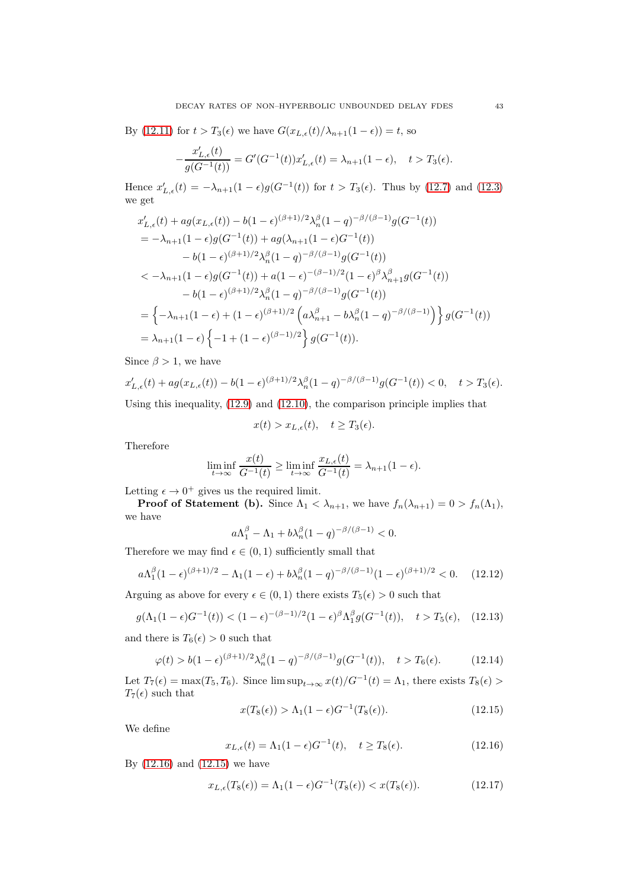By [\(12.11\)](#page-41-2) for  $t > T_3(\epsilon)$  we have  $G(x_{L,\epsilon}(t)/\lambda_{n+1}(1-\epsilon)) = t$ , so

$$
-\frac{x'_{L,\epsilon}(t)}{g(G^{-1}(t))} = G'(G^{-1}(t))x'_{L,\epsilon}(t) = \lambda_{n+1}(1-\epsilon), \quad t > T_3(\epsilon).
$$

Hence  $x'_{L,\epsilon}(t) = -\lambda_{n+1}(1-\epsilon)g(G^{-1}(t))$  for  $t > T_3(\epsilon)$ . Thus by [\(12.7\)](#page-41-4) and [\(12.3\)](#page-39-0) we get

$$
x'_{L,\epsilon}(t) + ag(x_{L,\epsilon}(t)) - b(1-\epsilon)^{(\beta+1)/2} \lambda_n^{\beta} (1-q)^{-\beta/(\beta-1)} g(G^{-1}(t))
$$
  
\n
$$
= -\lambda_{n+1} (1-\epsilon) g(G^{-1}(t)) + ag(\lambda_{n+1} (1-\epsilon)G^{-1}(t))
$$
  
\n
$$
- b(1-\epsilon)^{(\beta+1)/2} \lambda_n^{\beta} (1-q)^{-\beta/(\beta-1)} g(G^{-1}(t))
$$
  
\n
$$
< -\lambda_{n+1} (1-\epsilon) g(G^{-1}(t)) + a(1-\epsilon)^{-(\beta-1)/2} (1-\epsilon)^{\beta} \lambda_{n+1}^{\beta} g(G^{-1}(t))
$$
  
\n
$$
- b(1-\epsilon)^{(\beta+1)/2} \lambda_n^{\beta} (1-q)^{-\beta/(\beta-1)} g(G^{-1}(t))
$$
  
\n
$$
= \left\{ -\lambda_{n+1} (1-\epsilon) + (1-\epsilon)^{(\beta+1)/2} \left( a\lambda_{n+1}^{\beta} - b\lambda_n^{\beta} (1-q)^{-\beta/(\beta-1)} \right) \right\} g(G^{-1}(t))
$$
  
\n
$$
= \lambda_{n+1} (1-\epsilon) \left\{ -1 + (1-\epsilon)^{(\beta-1)/2} \right\} g(G^{-1}(t)).
$$

Since  $\beta > 1$ , we have

$$
x'_{L,\epsilon}(t) + ag(x_{L,\epsilon}(t)) - b(1-\epsilon)^{(\beta+1)/2} \lambda_n^{\beta} (1-q)^{-\beta/(\beta-1)} g(G^{-1}(t)) < 0, \quad t > T_3(\epsilon).
$$

Using this inequality, [\(12.9\)](#page-41-3) and [\(12.10\)](#page-41-5), the comparison principle implies that

$$
x(t) > x_{L,\epsilon}(t), \quad t \ge T_3(\epsilon).
$$

Therefore

$$
\liminf_{t \to \infty} \frac{x(t)}{G^{-1}(t)} \ge \liminf_{t \to \infty} \frac{x_{L,\epsilon}(t)}{G^{-1}(t)} = \lambda_{n+1}(1-\epsilon).
$$

Letting  $\epsilon \to 0^+$  gives us the required limit.

**Proof of Statement (b).** Since  $\Lambda_1 < \lambda_{n+1}$ , we have  $f_n(\lambda_{n+1}) = 0 > f_n(\Lambda_1)$ , we have

$$
a\Lambda_1^{\beta} - \Lambda_1 + b\lambda_n^{\beta}(1-q)^{-\beta/(\beta-1)} < 0.
$$

Therefore we may find  $\epsilon \in (0,1)$  sufficiently small that

<span id="page-42-3"></span>
$$
a\Lambda_1^{\beta}(1-\epsilon)^{(\beta+1)/2} - \Lambda_1(1-\epsilon) + b\lambda_n^{\beta}(1-q)^{-\beta/(\beta-1)}(1-\epsilon)^{(\beta+1)/2} < 0. \tag{12.12}
$$

Arguing as above for every  $\epsilon \in (0, 1)$  there exists  $T_5(\epsilon) > 0$  such that

<span id="page-42-2"></span>
$$
g(\Lambda_1(1-\epsilon)G^{-1}(t)) < (1-\epsilon)^{-(\beta-1)/2}(1-\epsilon)^{\beta}\Lambda_1^{\beta}g(G^{-1}(t)), \quad t > T_5(\epsilon), \quad (12.13)
$$

and there is  $T_6(\epsilon) > 0$  such that

<span id="page-42-4"></span>
$$
\varphi(t) > b(1 - \epsilon)^{(\beta + 1)/2} \lambda_n^{\beta} (1 - q)^{-\beta/(\beta - 1)} g(G^{-1}(t)), \quad t > T_6(\epsilon). \tag{12.14}
$$

Let  $T_7(\epsilon) = \max(T_5, T_6)$ . Since  $\limsup_{t \to \infty} x(t)/G^{-1}(t) = \Lambda_1$ , there exists  $T_8(\epsilon) >$  $T_7(\epsilon)$  such that

<span id="page-42-1"></span>
$$
x(T_8(\epsilon)) > \Lambda_1(1-\epsilon)G^{-1}(T_8(\epsilon)).
$$
\n(12.15)

We define

<span id="page-42-0"></span>
$$
x_{L,\epsilon}(t) = \Lambda_1(1-\epsilon)G^{-1}(t), \quad t \ge T_8(\epsilon). \tag{12.16}
$$

By [\(12.16\)](#page-42-0) and [\(12.15\)](#page-42-1) we have

<span id="page-42-5"></span>
$$
x_{L,\epsilon}(T_8(\epsilon)) = \Lambda_1(1-\epsilon)G^{-1}(T_8(\epsilon)) < x(T_8(\epsilon)).\tag{12.17}
$$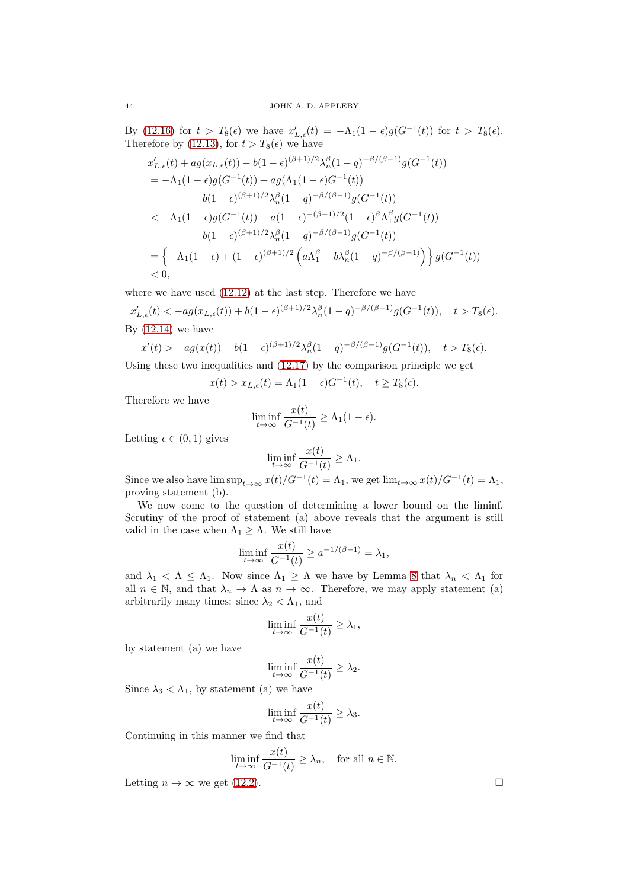By [\(12.16\)](#page-42-0) for  $t > T_8(\epsilon)$  we have  $x'_{L,\epsilon}(t) = -\Lambda_1(1-\epsilon)g(G^{-1}(t))$  for  $t > T_8(\epsilon)$ . Therefore by [\(12.13\)](#page-42-2), for  $t > T_8(\epsilon)$  we have

$$
x'_{L,\epsilon}(t) + ag(x_{L,\epsilon}(t)) - b(1 - \epsilon)^{(\beta+1)/2} \lambda_n^{\beta} (1 - q)^{-\beta/(\beta-1)} g(G^{-1}(t))
$$
  
\n
$$
= -\Lambda_1 (1 - \epsilon) g(G^{-1}(t)) + ag(\Lambda_1 (1 - \epsilon)G^{-1}(t))
$$
  
\n
$$
- b(1 - \epsilon)^{(\beta+1)/2} \lambda_n^{\beta} (1 - q)^{-\beta/(\beta-1)} g(G^{-1}(t))
$$
  
\n
$$
< -\Lambda_1 (1 - \epsilon) g(G^{-1}(t)) + a(1 - \epsilon)^{-(\beta-1)/2} (1 - \epsilon)^{\beta} \Lambda_1^{\beta} g(G^{-1}(t))
$$
  
\n
$$
- b(1 - \epsilon)^{(\beta+1)/2} \lambda_n^{\beta} (1 - q)^{-\beta/(\beta-1)} g(G^{-1}(t))
$$
  
\n
$$
= \left\{ -\Lambda_1 (1 - \epsilon) + (1 - \epsilon)^{(\beta+1)/2} \left( a\Lambda_1^{\beta} - b\lambda_n^{\beta} (1 - q)^{-\beta/(\beta-1)} \right) \right\} g(G^{-1}(t))
$$
  
\n
$$
< 0,
$$

where we have used [\(12.12\)](#page-42-3) at the last step. Therefore we have

 $x'_{L,\epsilon}(t) < -ag(x_{L,\epsilon}(t)) + b(1-\epsilon)^{(\beta+1)/2} \lambda_n^{\beta} (1-q)^{-\beta/(\beta-1)} g(G^{-1}(t)), \quad t > T_8(\epsilon).$ By  $(12.14)$  we have

$$
x'(t) > -ag(x(t)) + b(1 - \epsilon)^{(\beta + 1)/2} \lambda_n^{\beta} (1 - q)^{-\beta/(\beta - 1)} g(G^{-1}(t)), \quad t > T_8(\epsilon).
$$

Using these two inequalities and [\(12.17\)](#page-42-5) by the comparison principle we get

$$
x(t) > x_{L,\epsilon}(t) = \Lambda_1(1-\epsilon)G^{-1}(t), \quad t \ge T_8(\epsilon).
$$

Therefore we have

$$
\liminf_{t \to \infty} \frac{x(t)}{G^{-1}(t)} \ge \Lambda_1(1 - \epsilon).
$$

Letting  $\epsilon \in (0,1)$  gives

$$
\liminf_{t \to \infty} \frac{x(t)}{G^{-1}(t)} \ge \Lambda_1.
$$

Since we also have  $\limsup_{t\to\infty} x(t)/G^{-1}(t) = \Lambda_1$ , we get  $\lim_{t\to\infty} x(t)/G^{-1}(t) = \Lambda_1$ , proving statement (b).

We now come to the question of determining a lower bound on the liminf. Scrutiny of the proof of statement (a) above reveals that the argument is still valid in the case when  $\Lambda_1 \geq \Lambda$ . We still have

$$
\liminf_{t \to \infty} \frac{x(t)}{G^{-1}(t)} \ge a^{-1/(\beta - 1)} = \lambda_1,
$$

and  $\lambda_1 < \Lambda \leq \Lambda_1$ . Now since  $\Lambda_1 \geq \Lambda$  we have by Lemma [8](#page-39-1) that  $\lambda_n < \Lambda_1$  for all  $n \in \mathbb{N}$ , and that  $\lambda_n \to \Lambda$  as  $n \to \infty$ . Therefore, we may apply statement (a) arbitrarily many times: since  $\lambda_2 < \Lambda_1$ , and

$$
\liminf_{t \to \infty} \frac{x(t)}{G^{-1}(t)} \ge \lambda_1,
$$

by statement (a) we have

$$
\liminf_{t \to \infty} \frac{x(t)}{G^{-1}(t)} \ge \lambda_2.
$$

Since  $\lambda_3 < \Lambda_1$ , by statement (a) we have

$$
\liminf_{t \to \infty} \frac{x(t)}{G^{-1}(t)} \ge \lambda_3.
$$

Continuing in this manner we find that

$$
\liminf_{t \to \infty} \frac{x(t)}{G^{-1}(t)} \ge \lambda_n, \quad \text{for all } n \in \mathbb{N}.
$$

Letting  $n \to \infty$  we get [\(12.2\)](#page-38-2).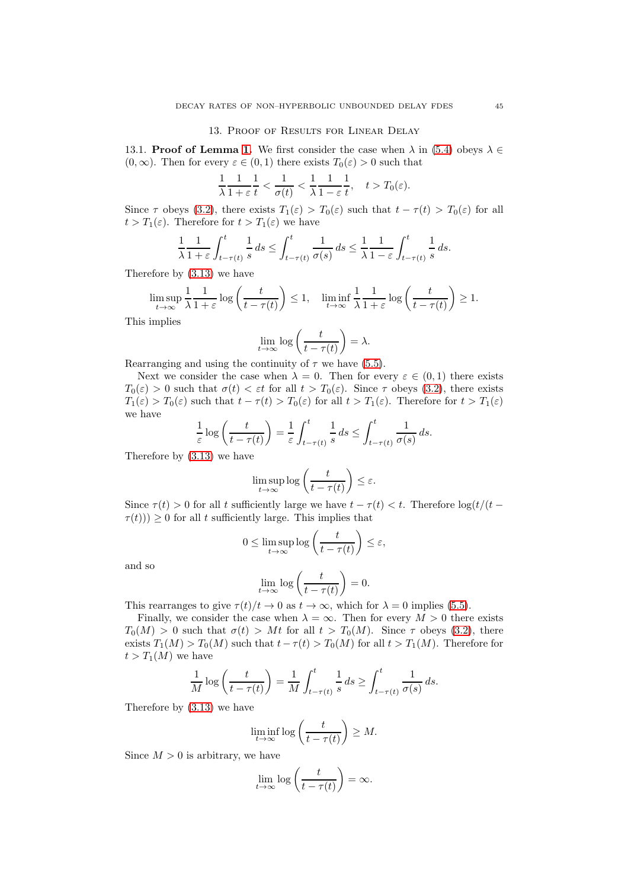### 13. Proof of Results for Linear Delay

13.1. **Proof of Lemma [1.](#page-10-1)** We first consider the case when  $\lambda$  in [\(5.4\)](#page-10-0) obeys  $\lambda \in$  $(0, \infty)$ . Then for every  $\varepsilon \in (0, 1)$  there exists  $T_0(\varepsilon) > 0$  such that

$$
\frac{1}{\lambda} \frac{1}{1+\varepsilon} \frac{1}{t} < \frac{1}{\sigma(t)} < \frac{1}{\lambda} \frac{1}{1-\varepsilon} \frac{1}{t}, \quad t > T_0(\varepsilon).
$$

Since  $\tau$  obeys [\(3.2\)](#page-3-2), there exists  $T_1(\varepsilon) > T_0(\varepsilon)$  such that  $t - \tau(t) > T_0(\varepsilon)$  for all  $t > T_1(\varepsilon)$ . Therefore for  $t > T_1(\varepsilon)$  we have

$$
\frac{1}{\lambda} \frac{1}{1+\varepsilon} \int_{t-\tau(t)}^t \frac{1}{s} \, ds \leq \int_{t-\tau(t)}^t \frac{1}{\sigma(s)} \, ds \leq \frac{1}{\lambda} \frac{1}{1-\varepsilon} \int_{t-\tau(t)}^t \frac{1}{s} \, ds.
$$

Therefore by [\(3.13\)](#page-5-8) we have

$$
\limsup_{t \to \infty} \frac{1}{\lambda} \frac{1}{1+\varepsilon} \log \left( \frac{t}{t - \tau(t)} \right) \le 1, \quad \liminf_{t \to \infty} \frac{1}{\lambda} \frac{1}{1+\varepsilon} \log \left( \frac{t}{t - \tau(t)} \right) \ge 1.
$$

This implies

$$
\lim_{t \to \infty} \log \left( \frac{t}{t - \tau(t)} \right) = \lambda.
$$

Rearranging and using the continuity of  $\tau$  we have [\(5.5\)](#page-10-2).

Next we consider the case when  $\lambda = 0$ . Then for every  $\varepsilon \in (0,1)$  there exists  $T_0(\varepsilon) > 0$  such that  $\sigma(t) < \varepsilon t$  for all  $t > T_0(\varepsilon)$ . Since  $\tau$  obeys [\(3.2\)](#page-3-2), there exists  $T_1(\varepsilon) > T_0(\varepsilon)$  such that  $t - \tau(t) > T_0(\varepsilon)$  for all  $t > T_1(\varepsilon)$ . Therefore for  $t > T_1(\varepsilon)$ we have

$$
\frac{1}{\varepsilon} \log \left( \frac{t}{t - \tau(t)} \right) = \frac{1}{\varepsilon} \int_{t - \tau(t)}^t \frac{1}{s} \, ds \le \int_{t - \tau(t)}^t \frac{1}{\sigma(s)} \, ds.
$$

Therefore by [\(3.13\)](#page-5-8) we have

$$
\limsup_{t \to \infty} \log \left( \frac{t}{t - \tau(t)} \right) \le \varepsilon.
$$

Since  $\tau(t) > 0$  for all t sufficiently large we have  $t - \tau(t) < t$ . Therefore  $\log(t)/(t \tau(t)$ ))  $\geq 0$  for all t sufficiently large. This implies that

$$
0 \le \limsup_{t \to \infty} \log \left( \frac{t}{t - \tau(t)} \right) \le \varepsilon,
$$

and so

$$
\lim_{t \to \infty} \log \left( \frac{t}{t - \tau(t)} \right) = 0.
$$

This rearranges to give  $\tau(t)/t \to 0$  as  $t \to \infty$ , which for  $\lambda = 0$  implies [\(5.5\)](#page-10-2).

Finally, we consider the case when  $\lambda = \infty$ . Then for every  $M > 0$  there exists  $T_0(M) > 0$  such that  $\sigma(t) > Mt$  for all  $t > T_0(M)$ . Since  $\tau$  obeys [\(3.2\)](#page-3-2), there exists  $T_1(M) > T_0(M)$  such that  $t - \tau(t) > T_0(M)$  for all  $t > T_1(M)$ . Therefore for  $t > T_1(M)$  we have

$$
\frac{1}{M}\log\left(\frac{t}{t-\tau(t)}\right) = \frac{1}{M}\int_{t-\tau(t)}^t \frac{1}{s} ds \ge \int_{t-\tau(t)}^t \frac{1}{\sigma(s)} ds.
$$

Therefore by [\(3.13\)](#page-5-8) we have

$$
\liminf_{t \to \infty} \log \left( \frac{t}{t - \tau(t)} \right) \ge M.
$$

Since  $M > 0$  is arbitrary, we have

$$
\lim_{t \to \infty} \log \left( \frac{t}{t - \tau(t)} \right) = \infty.
$$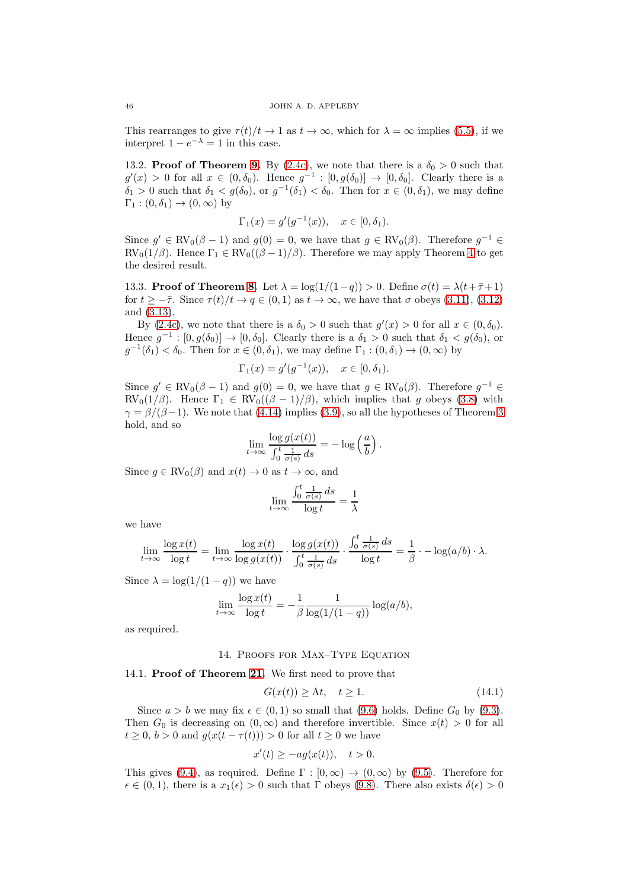This rearranges to give  $\tau(t)/t \to 1$  as  $t \to \infty$ , which for  $\lambda = \infty$  implies [\(5.5\)](#page-10-2), if we interpret  $1 - e^{-\lambda} = 1$  in this case.

13.2. **Proof of Theorem [9.](#page-8-4)** By [\(2.4c\)](#page-2-0), we note that there is a  $\delta_0 > 0$  such that  $g'(x) > 0$  for all  $x \in (0, \delta_0)$ . Hence  $g^{-1} : [0, g(\delta_0)] \to [0, \delta_0]$ . Clearly there is a  $\delta_1 > 0$  such that  $\delta_1 < g(\delta_0)$ , or  $g^{-1}(\delta_1) < \delta_0$ . Then for  $x \in (0, \delta_1)$ , we may define  $\Gamma_1$  :  $(0, \delta_1) \rightarrow (0, \infty)$  by

$$
\Gamma_1(x) = g'(g^{-1}(x)), \quad x \in [0, \delta_1).
$$

Since  $g' \in RV_0(\beta - 1)$  and  $g(0) = 0$ , we have that  $g \in RV_0(\beta)$ . Therefore  $g^{-1} \in$  $RV_0(1/\beta)$ . Hence  $\Gamma_1 \in RV_0((\beta-1)/\beta)$ . Therefore we may apply Theorem [4](#page-5-4) to get the desired result.

13.3. Proof of Theorem [8.](#page-8-3) Let  $\lambda = \log(1/(1-q)) > 0$ . Define  $\sigma(t) = \lambda(t+\bar{\tau}+1)$ for  $t \geq -\bar{\tau}$ . Since  $\tau(t)/t \to q \in (0,1)$  as  $t \to \infty$ , we have that  $\sigma$  obeys [\(3.11\)](#page-5-5), [\(3.12\)](#page-5-7) and [\(3.13\)](#page-5-8).

By [\(2.4c\)](#page-2-0), we note that there is a  $\delta_0 > 0$  such that  $g'(x) > 0$  for all  $x \in (0, \delta_0)$ . Hence  $g^{-1} : [0, g(\delta_0)] \to [0, \delta_0]$ . Clearly there is a  $\delta_1 > 0$  such that  $\delta_1 < g(\delta_0)$ , or  $g^{-1}(\delta_1) < \delta_0$ . Then for  $x \in (0, \delta_1)$ , we may define  $\Gamma_1 : (0, \delta_1) \to (0, \infty)$  by

$$
\Gamma_1(x) = g'(g^{-1}(x)), \quad x \in [0, \delta_1).
$$

Since  $g' \in RV_0(\beta - 1)$  and  $g(0) = 0$ , we have that  $g \in RV_0(\beta)$ . Therefore  $g^{-1} \in$ RV<sub>0</sub>(1/β). Hence  $\Gamma_1 \in RV_0((\beta - 1)/\beta)$ , which implies that g obeys [\(3.8\)](#page-5-2) with  $\gamma = \beta/(\beta - 1)$ . We note that [\(4.14\)](#page-8-0) implies [\(3.9\)](#page-5-0), so all the hypotheses of Theorem [3](#page-5-3) hold, and so

$$
\lim_{t \to \infty} \frac{\log g(x(t))}{\int_0^t \frac{1}{\sigma(s)} ds} = -\log \left( \frac{a}{b} \right).
$$

Since  $g \in RV_0(\beta)$  and  $x(t) \to 0$  as  $t \to \infty$ , and

$$
\lim_{t \to \infty} \frac{\int_0^t \frac{1}{\sigma(s)} ds}{\log t} = \frac{1}{\lambda}
$$

we have

$$
\lim_{t \to \infty} \frac{\log x(t)}{\log t} = \lim_{t \to \infty} \frac{\log x(t)}{\log g(x(t))} \cdot \frac{\log g(x(t))}{\int_0^t \frac{1}{\sigma(s)} ds} \cdot \frac{\int_0^t \frac{1}{\sigma(s)} ds}{\log t} = \frac{1}{\beta} \cdot -\log(a/b) \cdot \lambda.
$$

Since  $\lambda = \log(1/(1-q))$  we have

$$
\lim_{t \to \infty} \frac{\log x(t)}{\log t} = -\frac{1}{\beta} \frac{1}{\log(1/(1-q))} \log(a/b),
$$

as required.

### 14. PROOFS FOR MAX-TYPE EQUATION

14.1. Proof of Theorem [21.](#page-20-3) We first need to prove that

<span id="page-45-0"></span>
$$
G(x(t)) \ge \Lambda t, \quad t \ge 1. \tag{14.1}
$$

Since  $a > b$  we may fix  $\epsilon \in (0, 1)$  so small that [\(9.6\)](#page-22-4) holds. Define  $G_0$  by [\(9.3\)](#page-22-6). Then  $G_0$  is decreasing on  $(0, \infty)$  and therefore invertible. Since  $x(t) > 0$  for all  $t \geq 0$ ,  $b > 0$  and  $g(x(t - \tau(t))) > 0$  for all  $t \geq 0$  we have

$$
x'(t) \ge -ag(x(t)), \quad t > 0.
$$

This gives [\(9.4\)](#page-22-0), as required. Define  $\Gamma : [0, \infty) \to (0, \infty)$  by [\(9.5\)](#page-22-2). Therefore for  $\epsilon \in (0,1)$ , there is a  $x_1(\epsilon) > 0$  such that  $\Gamma$  obeys [\(9.8\)](#page-22-3). There also exists  $\delta(\epsilon) > 0$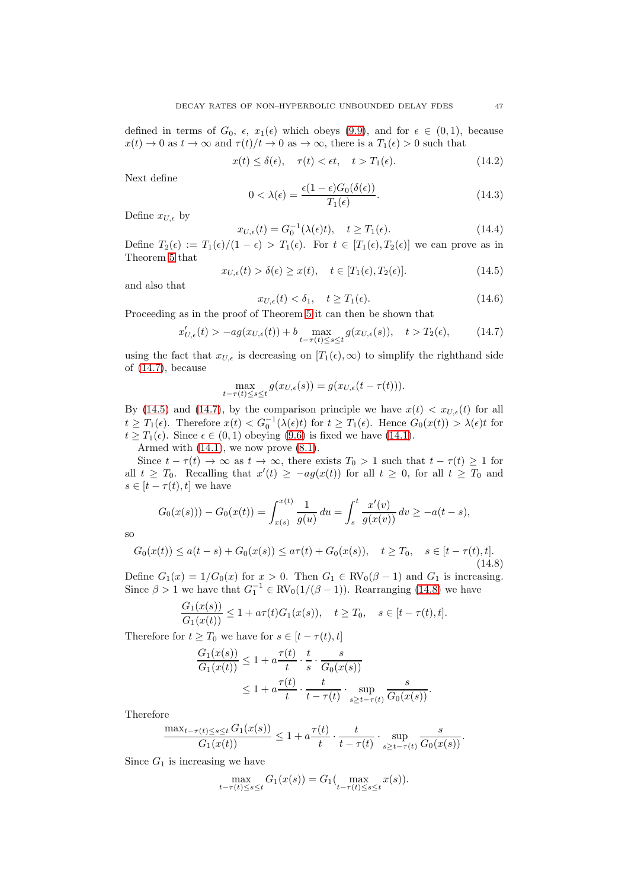defined in terms of  $G_0$ ,  $\epsilon$ ,  $x_1(\epsilon)$  which obeys [\(9.9\)](#page-23-1), and for  $\epsilon \in (0,1)$ , because  $x(t) \to 0$  as  $t \to \infty$  and  $\tau(t)/t \to 0$  as  $\to \infty$ , there is a  $T_1(\epsilon) > 0$  such that

$$
x(t) \le \delta(\epsilon), \quad \tau(t) < \epsilon t, \quad t > T_1(\epsilon). \tag{14.2}
$$

Next define

$$
0 < \lambda(\epsilon) = \frac{\epsilon(1 - \epsilon)G_0(\delta(\epsilon))}{T_1(\epsilon)}.\tag{14.3}
$$

Define  $x_{U,\epsilon}$  by

$$
x_{U,\epsilon}(t) = G_0^{-1}(\lambda(\epsilon)t), \quad t \ge T_1(\epsilon). \tag{14.4}
$$

Define  $T_2(\epsilon) := T_1(\epsilon)/(1-\epsilon) > T_1(\epsilon)$ . For  $t \in [T_1(\epsilon), T_2(\epsilon)]$  we can prove as in Theorem [5](#page-6-6) that

<span id="page-46-1"></span>
$$
x_{U,\epsilon}(t) > \delta(\epsilon) \ge x(t), \quad t \in [T_1(\epsilon), T_2(\epsilon)].
$$
\n(14.5)

and also that

$$
x_{U,\epsilon}(t) < \delta_1, \quad t \ge T_1(\epsilon). \tag{14.6}
$$

Proceeding as in the proof of Theorem [5](#page-6-6) it can then be shown that

<span id="page-46-0"></span>
$$
x'_{U,\epsilon}(t) > -ag(x_{U,\epsilon}(t)) + b \max_{t-\tau(t)\le s\le t} g(x_{U,\epsilon}(s)), \quad t > T_2(\epsilon),
$$
 (14.7)

using the fact that  $x_{U,\epsilon}$  is decreasing on  $[T_1(\epsilon),\infty)$  to simplify the righthand side of [\(14.7\)](#page-46-0), because

$$
\max_{t-\tau(t)\leq s\leq t} g(x_{U,\epsilon}(s)) = g(x_{U,\epsilon}(t-\tau(t))).
$$

By [\(14.5\)](#page-46-1) and [\(14.7\)](#page-46-0), by the comparison principle we have  $x(t) < x_{U,\epsilon}(t)$  for all  $t \geq T_1(\epsilon)$ . Therefore  $x(t) < G_0^{-1}(\lambda(\epsilon)t)$  for  $t \geq T_1(\epsilon)$ . Hence  $G_0(x(t)) > \lambda(\epsilon)t$  for  $t \geq T_1(\epsilon)$ . Since  $\epsilon \in (0,1)$  obeying  $(9.6)$  is fixed we have  $(14.1)$ .

Armed with  $(14.1)$ , we now prove  $(8.1)$ .

Since  $t - \tau(t) \to \infty$  as  $t \to \infty$ , there exists  $T_0 > 1$  such that  $t - \tau(t) \ge 1$  for all  $t \geq T_0$ . Recalling that  $x'(t) \geq -ag(x(t))$  for all  $t \geq 0$ , for all  $t \geq T_0$  and  $s \in [t - \tau(t), t]$  we have

$$
G_0(x(s))) - G_0(x(t)) = \int_{x(s)}^{x(t)} \frac{1}{g(u)} du = \int_s^t \frac{x'(v)}{g(x(v))} dv \ge -a(t-s),
$$

so

<span id="page-46-2"></span>
$$
G_0(x(t)) \le a(t-s) + G_0(x(s)) \le a\tau(t) + G_0(x(s)), \quad t \ge T_0, \quad s \in [t - \tau(t), t].
$$
\n(14.8)

Define  $G_1(x) = 1/G_0(x)$  for  $x > 0$ . Then  $G_1 \in RV_0(\beta - 1)$  and  $G_1$  is increasing. Since  $\beta > 1$  we have that  $G_1^{-1} \in RV_0(1/(\beta - 1))$ . Rearranging [\(14.8\)](#page-46-2) we have

$$
\frac{G_1(x(s))}{G_1(x(t))} \le 1 + a\tau(t)G_1(x(s)), \quad t \ge T_0, \quad s \in [t - \tau(t), t].
$$

Therefore for  $t \geq T_0$  we have for  $s \in [t - \tau(t), t]$ 

$$
\frac{G_1(x(s))}{G_1(x(t))} \le 1 + a \frac{\tau(t)}{t} \cdot \frac{t}{s} \cdot \frac{s}{G_0(x(s))}
$$

$$
\le 1 + a \frac{\tau(t)}{t} \cdot \frac{t}{t - \tau(t)} \cdot \sup_{s \ge t - \tau(t)} \frac{s}{G_0(x(s))}.
$$

Therefore

$$
\frac{\max_{t-\tau(t)\leq s\leq t} G_1(x(s))}{G_1(x(t))} \leq 1 + a \frac{\tau(t)}{t} \cdot \frac{t}{t-\tau(t)} \cdot \sup_{s\geq t-\tau(t)} \frac{s}{G_0(x(s))}.
$$

Since  $G_1$  is increasing we have

$$
\max_{t-\tau(t)\leq s\leq t} G_1(x(s)) = G_1(\max_{t-\tau(t)\leq s\leq t} x(s)).
$$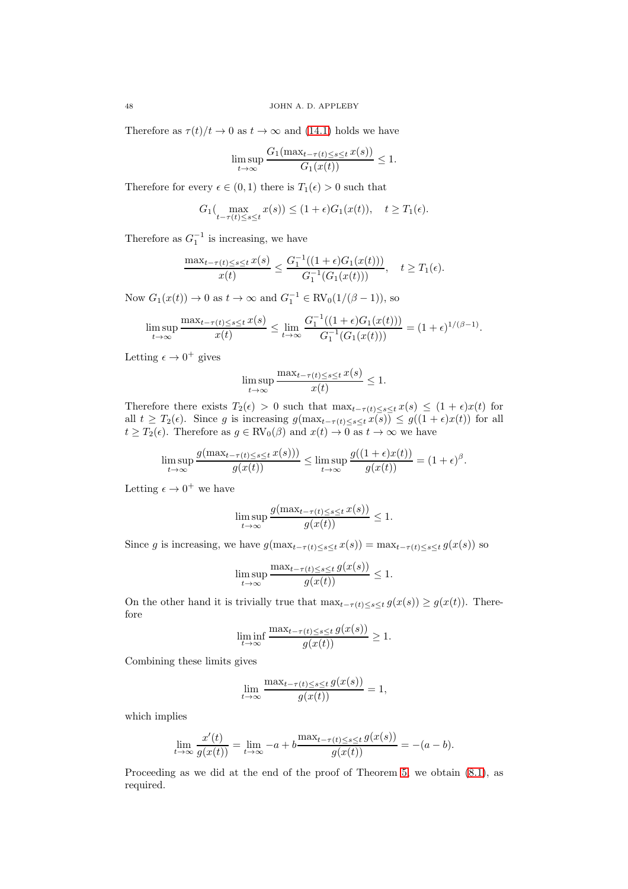Therefore as  $\tau(t)/t \to 0$  as  $t \to \infty$  and [\(14.1\)](#page-45-0) holds we have

$$
\limsup_{t \to \infty} \frac{G_1(\max_{t-\tau(t) \le s \le t} x(s))}{G_1(x(t))} \le 1.
$$

Therefore for every  $\epsilon \in (0,1)$  there is  $T_1(\epsilon) > 0$  such that

$$
G_1(\max_{t-\tau(t)\leq s\leq t} x(s)) \leq (1+\epsilon)G_1(x(t)), \quad t \geq T_1(\epsilon).
$$

Therefore as  $G_1^{-1}$  is increasing, we have

$$
\frac{\max_{t-\tau(t)\leq s\leq t} x(s)}{x(t)} \leq \frac{G_1^{-1}((1+\epsilon)G_1(x(t)))}{G_1^{-1}(G_1(x(t)))}, \quad t \geq T_1(\epsilon).
$$

Now  $G_1(x(t)) \to 0$  as  $t \to \infty$  and  $G_1^{-1} \in RV_0(1/(\beta - 1)),$  so

$$
\limsup_{t \to \infty} \frac{\max_{t-\tau(t) \le s \le t} x(s)}{x(t)} \le \lim_{t \to \infty} \frac{G_1^{-1}((1+\epsilon)G_1(x(t)))}{G_1^{-1}(G_1(x(t)))} = (1+\epsilon)^{1/(\beta-1)}.
$$

Letting  $\epsilon \to 0^+$  gives

$$
\limsup_{t \to \infty} \frac{\max_{t-\tau(t) \le s \le t} x(s)}{x(t)} \le 1.
$$

Therefore there exists  $T_2(\epsilon) > 0$  such that  $\max_{t-\tau(t)\leq s\leq t} x(s) \leq (1+\epsilon)x(t)$  for all  $t \geq T_2(\epsilon)$ . Since g is increasing  $g(\max_{t-\tau(t)\leq s\leq t} x(s)) \leq g((1+\epsilon)x(t))$  for all  $t \geq T_2(\epsilon)$ . Therefore as  $g \in RV_0(\beta)$  and  $x(t) \to 0$  as  $t \to \infty$  we have

$$
\limsup_{t \to \infty} \frac{g(\max_{t-\tau(t) \le s \le t} x(s)))}{g(x(t))} \le \limsup_{t \to \infty} \frac{g((1+\epsilon)x(t))}{g(x(t))} = (1+\epsilon)^{\beta}.
$$

Letting  $\epsilon \to 0^+$  we have

$$
\limsup_{t \to \infty} \frac{g(\max_{t-\tau(t) \le s \le t} x(s))}{g(x(t))} \le 1
$$

Since g is increasing, we have  $g(\max_{t-\tau(t)\leq s\leq t} x(s)) = \max_{t-\tau(t)\leq s\leq t} g(x(s))$  so

$$
\limsup_{t \to \infty} \frac{\max_{t-\tau(t) \le s \le t} g(x(s))}{g(x(t))} \le 1.
$$

On the other hand it is trivially true that  $\max_{t-\tau(t)\leq s\leq t} g(x(s)) \geq g(x(t))$ . Therefore

$$
\liminf_{t \to \infty} \frac{\max_{t-\tau(t) \le s \le t} g(x(s))}{g(x(t))} \ge 1.
$$

Combining these limits gives

$$
\lim_{t \to \infty} \frac{\max_{t-\tau(t) \le s \le t} g(x(s))}{g(x(t))} = 1,
$$

which implies

$$
\lim_{t \to \infty} \frac{x'(t)}{g(x(t))} = \lim_{t \to \infty} -a + b \frac{\max_{t-\tau(t) \le s \le t} g(x(s))}{g(x(t))} = -(a-b).
$$

Proceeding as we did at the end of the proof of Theorem [5,](#page-6-6) we obtain  $(8.1)$ , as required.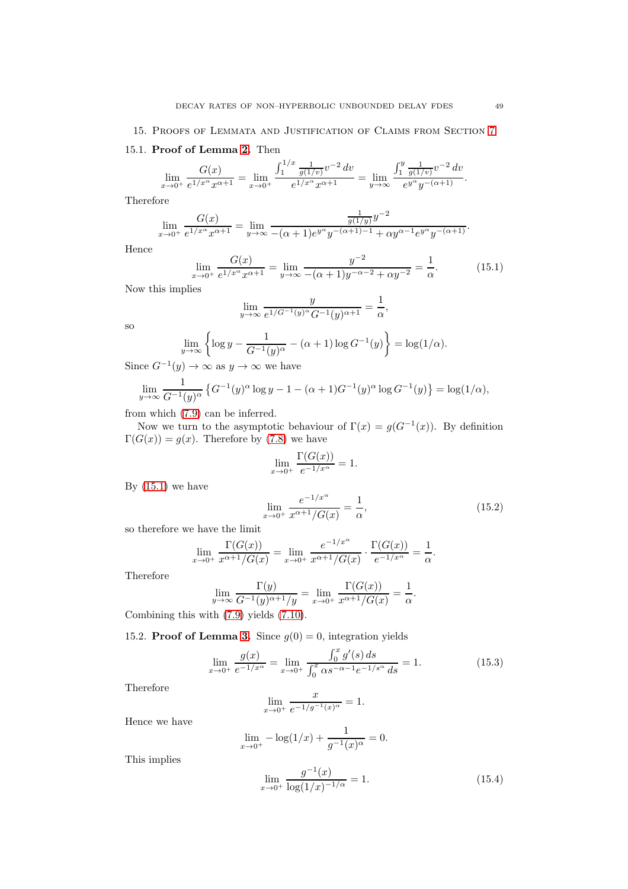# 15.1. Proof of Lemma [2.](#page-17-3) Then

$$
\lim_{x \to 0^+} \frac{G(x)}{e^{1/x^{\alpha}} x^{\alpha+1}} = \lim_{x \to 0^+} \frac{\int_1^{1/x} \frac{1}{g(1/v)} v^{-2} dv}{e^{1/x^{\alpha}} x^{\alpha+1}} = \lim_{y \to \infty} \frac{\int_1^y \frac{1}{g(1/v)} v^{-2} dv}{e^{y^{\alpha}} y^{-(\alpha+1)}}.
$$

Therefore

$$
\lim_{x \to 0^+} \frac{G(x)}{e^{1/x^{\alpha}} x^{\alpha+1}} = \lim_{y \to \infty} \frac{\frac{1}{g(1/y)} y^{-2}}{-(\alpha+1)e^{y^{\alpha}} y^{-(\alpha+1)-1} + \alpha y^{\alpha-1} e^{y^{\alpha}} y^{-(\alpha+1)}}.
$$

Hence

<span id="page-48-0"></span>
$$
\lim_{x \to 0^+} \frac{G(x)}{e^{1/x^{\alpha}} x^{\alpha+1}} = \lim_{y \to \infty} \frac{y^{-2}}{-(\alpha+1)y^{-\alpha-2} + \alpha y^{-2}} = \frac{1}{\alpha}.
$$
 (15.1)

Now this implies

$$
\lim_{y \to \infty} \frac{y}{e^{1/G^{-1}(y)^{\alpha} G^{-1}(y)^{\alpha+1}}} = \frac{1}{\alpha},
$$

so

$$
\lim_{y \to \infty} \left\{ \log y - \frac{1}{G^{-1}(y)^{\alpha}} - (\alpha + 1) \log G^{-1}(y) \right\} = \log(1/\alpha).
$$

Since  $G^{-1}(y) \to \infty$  as  $y \to \infty$  we have

$$
\lim_{y \to \infty} \frac{1}{G^{-1}(y)^{\alpha}} \left\{ G^{-1}(y)^{\alpha} \log y - 1 - (\alpha + 1)G^{-1}(y)^{\alpha} \log G^{-1}(y) \right\} = \log(1/\alpha),
$$

from which [\(7.9\)](#page-17-4) can be inferred.

Now we turn to the asymptotic behaviour of  $\Gamma(x) = g(G^{-1}(x))$ . By definition  $\Gamma(G(x)) = g(x)$ . Therefore by [\(7.8\)](#page-17-5) we have

$$
\lim_{x \to 0^+} \frac{\Gamma(G(x))}{e^{-1/x^{\alpha}}} = 1.
$$

By  $(15.1)$  we have

$$
\lim_{x \to 0^+} \frac{e^{-1/x^{\alpha}}}{x^{\alpha+1}/G(x)} = \frac{1}{\alpha},
$$
\n(15.2)

so therefore we have the limit

$$
\lim_{x \to 0^+} \frac{\Gamma(G(x))}{x^{\alpha+1}/G(x)} = \lim_{x \to 0^+} \frac{e^{-1/x^{\alpha}}}{x^{\alpha+1}/G(x)} \cdot \frac{\Gamma(G(x))}{e^{-1/x^{\alpha}}} = \frac{1}{\alpha}.
$$

Therefore

$$
\lim_{y \to \infty} \frac{\Gamma(y)}{G^{-1}(y)^{\alpha+1}/y} = \lim_{x \to 0^+} \frac{\Gamma(G(x))}{x^{\alpha+1}/G(x)} = \frac{1}{\alpha}.
$$

Combining this with [\(7.9\)](#page-17-4) yields [\(7.10\)](#page-17-6).

15.2. Proof of Lemma [3.](#page-17-7) Since  $g(0) = 0$ , integration yields

<span id="page-48-1"></span>
$$
\lim_{x \to 0^+} \frac{g(x)}{e^{-1/x^{\alpha}}} = \lim_{x \to 0^+} \frac{\int_0^x g'(s) ds}{\int_0^x \alpha s^{-\alpha - 1} e^{-1/s^{\alpha}} ds} = 1.
$$
\n(15.3)

Therefore

$$
\lim_{x \to 0^+} \frac{x}{e^{-1/g^{-1}(x)^\alpha}} = 1.
$$

Hence we have

$$
\lim_{x \to 0^+} -\log(1/x) + \frac{1}{g^{-1}(x)^\alpha} = 0.
$$

This implies

<span id="page-48-2"></span>
$$
\lim_{x \to 0^+} \frac{g^{-1}(x)}{\log(1/x)^{-1/\alpha}} = 1.
$$
\n(15.4)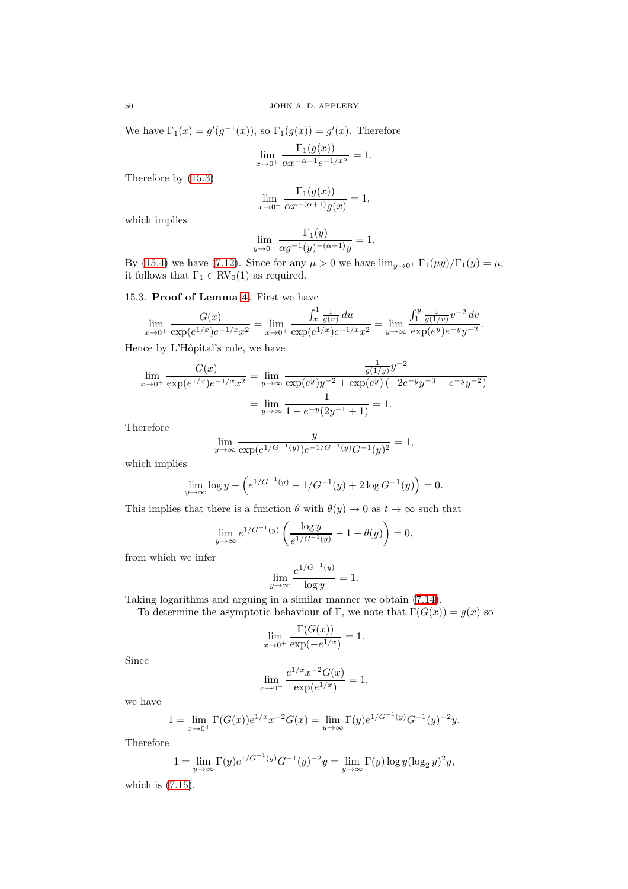We have  $\Gamma_1(x) = g'(g^{-1}(x))$ , so  $\Gamma_1(g(x)) = g'(x)$ . Therefore

$$
\lim_{x \to 0^+} \frac{\Gamma_1(g(x))}{\alpha x^{-\alpha - 1} e^{-1/x^{\alpha}}} = 1.
$$

Therefore by [\(15.3\)](#page-48-1)

$$
\lim_{x \to 0^+} \frac{\Gamma_1(g(x))}{\alpha x^{-(\alpha+1)}g(x)} = 1,
$$

which implies

$$
\lim_{y \to 0^+} \frac{\Gamma_1(y)}{\alpha g^{-1}(y)^{-(\alpha+1)}y} = 1.
$$

By [\(15.4\)](#page-48-2) we have [\(7.12\)](#page-17-8). Since for any  $\mu > 0$  we have  $\lim_{y\to 0^+} \Gamma_1(\mu y)/\Gamma_1(y) = \mu$ , it follows that  $\Gamma_1 \in RV_0(1)$  as required.

15.3. Proof of Lemma [4.](#page-18-1) First we have

$$
\lim_{x \to 0^+} \frac{G(x)}{\exp(e^{1/x})e^{-1/x}x^2} = \lim_{x \to 0^+} \frac{\int_x^1 \frac{1}{g(u)} du}{\exp(e^{1/x})e^{-1/x}x^2} = \lim_{y \to \infty} \frac{\int_1^y \frac{1}{g(1/v)} v^{-2} dv}{\exp(e^y)e^{-y}y^{-2}}.
$$

Hence by L'Hôpital's rule, we have

$$
\lim_{x \to 0^+} \frac{G(x)}{\exp(e^{1/x})e^{-1/x}x^2} = \lim_{y \to \infty} \frac{\frac{1}{g(1/y)}y^{-2}}{\exp(e^y)y^{-2} + \exp(e^y)(-2e^{-y}y^{-3} - e^{-y}y^{-2})}
$$

$$
= \lim_{y \to \infty} \frac{1}{1 - e^{-y}(2y^{-1} + 1)} = 1.
$$

Therefore

$$
\lim_{y \to \infty} \frac{y}{\exp(e^{1/G^{-1}(y)})e^{-1/G^{-1}(y)}G^{-1}(y)^2} = 1,
$$

which implies

$$
\lim_{y \to \infty} \log y - \left( e^{1/G^{-1}(y)} - 1/G^{-1}(y) + 2 \log G^{-1}(y) \right) = 0.
$$

This implies that there is a function  $\theta$  with  $\theta(y) \to 0$  as  $t \to \infty$  such that

$$
\lim_{y \to \infty} e^{1/G^{-1}(y)} \left( \frac{\log y}{e^{1/G^{-1}(y)}} - 1 - \theta(y) \right) = 0,
$$

from which we infer

$$
\lim_{y \to \infty} \frac{e^{1/G^{-1}(y)}}{\log y} = 1.
$$

Taking logarithms and arguing in a similar manner we obtain [\(7.14\)](#page-18-2).

To determine the asymptotic behaviour of Γ, we note that  $\Gamma(G(x)) = g(x)$  so

$$
\lim_{x \to 0^+} \frac{\Gamma(G(x))}{\exp(-e^{1/x})} = 1.
$$

Since

$$
\lim_{x \to 0^+} \frac{e^{1/x} x^{-2} G(x)}{\exp(e^{1/x})} = 1,
$$

we have

$$
1 = \lim_{x \to 0^+} \Gamma(G(x))e^{1/x}x^{-2}G(x) = \lim_{y \to \infty} \Gamma(y)e^{1/G^{-1}(y)}G^{-1}(y)^{-2}y.
$$

Therefore

$$
1 = \lim_{y \to \infty} \Gamma(y) e^{1/G^{-1}(y)} G^{-1}(y)^{-2} y = \lim_{y \to \infty} \Gamma(y) \log y (\log_2 y)^2 y,
$$

which is [\(7.15\)](#page-18-3).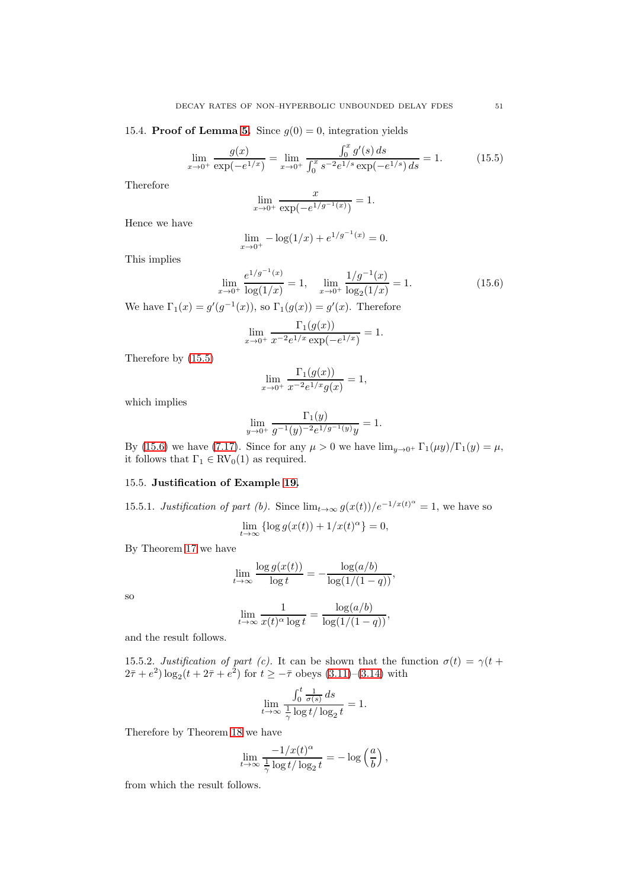15.4. **Proof of Lemma [5.](#page-18-4)** Since  $g(0) = 0$ , integration yields

<span id="page-50-0"></span>
$$
\lim_{x \to 0^+} \frac{g(x)}{\exp(-e^{1/x})} = \lim_{x \to 0^+} \frac{\int_0^x g'(s) \, ds}{\int_0^x s^{-2} e^{1/s} \exp(-e^{1/s}) \, ds} = 1. \tag{15.5}
$$

Therefore

$$
\lim_{x \to 0^+} \frac{x}{\exp(-e^{1/g^{-1}(x)})} = 1.
$$

Hence we have

$$
\lim_{x \to 0^+} -\log(1/x) + e^{1/g^{-1}(x)} = 0.
$$

This implies

<span id="page-50-1"></span>
$$
\lim_{x \to 0^+} \frac{e^{1/g^{-1}(x)}}{\log(1/x)} = 1, \quad \lim_{x \to 0^+} \frac{1/g^{-1}(x)}{\log_2(1/x)} = 1.
$$
\n(15.6)

We have  $\Gamma_1(x) = g'(g^{-1}(x))$ , so  $\Gamma_1(g(x)) = g'(x)$ . Therefore

$$
\lim_{x \to 0^+} \frac{\Gamma_1(g(x))}{x^{-2}e^{1/x} \exp(-e^{1/x})} = 1.
$$

Therefore by [\(15.5\)](#page-50-0)

$$
\lim_{x \to 0^+} \frac{\Gamma_1(g(x))}{x^{-2}e^{1/x}g(x)} = 1,
$$

which implies

$$
\lim_{y \to 0^+} \frac{\Gamma_1(y)}{g^{-1}(y)^{-2} e^{1/g^{-1}(y)} y} = 1.
$$

By [\(15.6\)](#page-50-1) we have [\(7.17\)](#page-18-5). Since for any  $\mu > 0$  we have  $\lim_{u \to 0^+} \Gamma_1(\mu y)/\Gamma_1(y) = \mu$ , it follows that  $\Gamma_1 \in RV_0(1)$  as required.

# 15.5. Justification of Example [19.](#page-18-6)

15.5.1. Justification of part (b). Since  $\lim_{t\to\infty} g(x(t))/e^{-1/x(t)^{\alpha}} = 1$ , we have so

$$
\lim_{t \to \infty} {\log g(x(t))} + 1/x(t)^{\alpha} = 0,
$$

By Theorem [17](#page-17-2) we have

$$
\lim_{t \to \infty} \frac{\log g(x(t))}{\log t} = -\frac{\log (a/b)}{\log (1/(1-q))},
$$

so

$$
\lim_{t \to \infty} \frac{1}{x(t)^{\alpha} \log t} = \frac{\log(a/b)}{\log(1/(1-q))},
$$

and the result follows.

15.5.2. Justification of part (c). It can be shown that the function  $\sigma(t) = \gamma(t +$  $(2\bar{\tau} + e^2) \log_2(t + 2\bar{\tau} + e^2)$  for  $t \ge -\bar{\tau}$  obeys  $(3.11)$ – $(3.14)$  with

$$
\lim_{t \to \infty} \frac{\int_0^t \frac{1}{\sigma(s)} ds}{\frac{1}{\gamma} \log t / \log_2 t} = 1.
$$

Therefore by Theorem [18](#page-17-9) we have

$$
\lim_{t \to \infty} \frac{-1/x(t)^{\alpha}}{\frac{1}{\gamma} \log t / \log_2 t} = -\log \left( \frac{a}{b} \right),
$$

from which the result follows.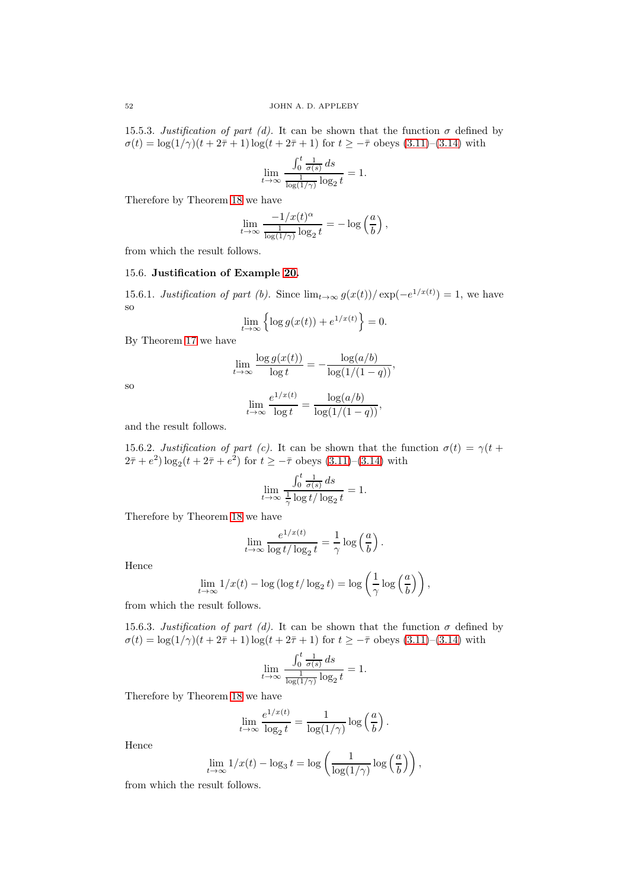15.5.3. Justification of part (d). It can be shown that the function  $\sigma$  defined by  $\sigma(t) = \log(1/\gamma)(t + 2\bar{\tau} + 1) \log(t + 2\bar{\tau} + 1)$  for  $t \geq -\bar{\tau}$  obeys [\(3.11\)](#page-5-5)–[\(3.14\)](#page-5-6) with

$$
\lim_{t \to \infty} \frac{\int_0^t \frac{1}{\sigma(s)} ds}{\frac{1}{\log(1/\gamma)} \log_2 t} = 1.
$$

Therefore by Theorem [18](#page-17-9) we have

$$
\lim_{t \to \infty} \frac{-1/x(t)^{\alpha}}{\frac{1}{\log(1/\gamma)} \log_2 t} = -\log\left(\frac{a}{b}\right),\,
$$

from which the result follows.

## 15.6. Justification of Example [20.](#page-18-7)

15.6.1. Justification of part (b). Since  $\lim_{t\to\infty} g(x(t))/\exp(-e^{1/x(t)}) = 1$ , we have so

$$
\lim_{t \to \infty} \left\{ \log g(x(t)) + e^{1/x(t)} \right\} = 0.
$$

By Theorem [17](#page-17-2) we have

$$
\lim_{t \to \infty} \frac{\log g(x(t))}{\log t} = -\frac{\log (a/b)}{\log (1/(1-q))},
$$

so

$$
\lim_{t \to \infty} \frac{e^{1/x(t)}}{\log t} = \frac{\log(a/b)}{\log(1/(1-q))},
$$

and the result follows.

15.6.2. Justification of part (c). It can be shown that the function  $\sigma(t) = \gamma(t +$  $(2\bar{\tau} + e^2) \log_2(t + 2\bar{\tau} + e^2)$  for  $t \ge -\bar{\tau}$  obeys  $(3.11)$ – $(3.14)$  with

$$
\lim_{t \to \infty} \frac{\int_0^t \frac{1}{\sigma(s)} ds}{\frac{1}{\gamma} \log t / \log_2 t} = 1.
$$

Therefore by Theorem [18](#page-17-9) we have

$$
\lim_{t \to \infty} \frac{e^{1/x(t)}}{\log t/\log_2 t} = \frac{1}{\gamma} \log \left(\frac{a}{b}\right).
$$

Hence

$$
\lim_{t \to \infty} 1/x(t) - \log(\log t/\log_2 t) = \log\left(\frac{1}{\gamma}\log\left(\frac{a}{b}\right)\right),\,
$$

from which the result follows.

15.6.3. Justification of part (d). It can be shown that the function  $\sigma$  defined by  $\sigma(t) = \log(1/\gamma)(t + 2\bar{\tau} + 1) \log(t + 2\bar{\tau} + 1)$  for  $t \geq -\bar{\tau}$  obeys [\(3.11\)](#page-5-5)–[\(3.14\)](#page-5-6) with

$$
\lim_{t \to \infty} \frac{\int_0^t \frac{1}{\sigma(s)} ds}{\frac{1}{\log(1/\gamma)} \log_2 t} = 1.
$$

Therefore by Theorem [18](#page-17-9) we have

$$
\lim_{t \to \infty} \frac{e^{1/x(t)}}{\log_2 t} = \frac{1}{\log(1/\gamma)} \log\left(\frac{a}{b}\right).
$$

Hence

$$
\lim_{t \to \infty} 1/x(t) - \log_3 t = \log \left( \frac{1}{\log(1/\gamma)} \log \left( \frac{a}{b} \right) \right),\,
$$

from which the result follows.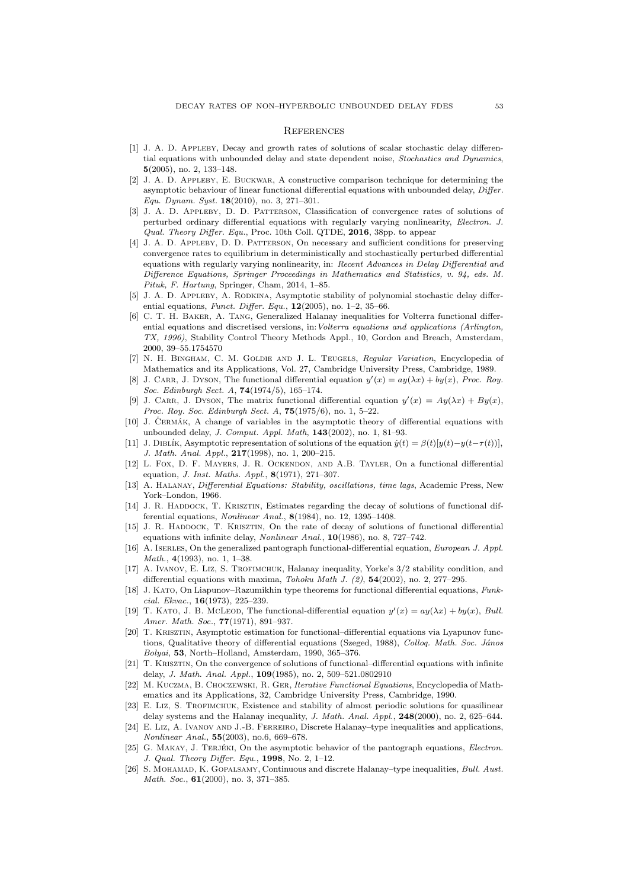### **REFERENCES**

- <span id="page-52-8"></span>[1] J. A. D. Appleby, Decay and growth rates of solutions of scalar stochastic delay differential equations with unbounded delay and state dependent noise, Stochastics and Dynamics, 5(2005), no. 2, 133–148.
- <span id="page-52-21"></span>[2] J. A. D. Appleby, E. Buckwar, A constructive comparison technique for determining the asymptotic behaviour of linear functional differential equations with unbounded delay, Differ. Equ. Dynam. Syst.  $18(2010)$ , no. 3, 271-301.
- <span id="page-52-22"></span>[3] J. A. D. Appleby, D. D. Patterson, Classification of convergence rates of solutions of perturbed ordinary differential equations with regularly varying nonlinearity, Electron. J. Qual. Theory Differ. Equ., Proc. 10th Coll. QTDE, 2016, 38pp. to appear
- <span id="page-52-23"></span>[4] J. A. D. Appleby, D. D. Patterson, On necessary and sufficient conditions for preserving convergence rates to equilibrium in deterministically and stochastically perturbed differential equations with regularly varying nonlinearity, in: Recent Advances in Delay Differential and Difference Equations, Springer Proceedings in Mathematics and Statistics, v. 94, eds. M. Pituk, F. Hartung, Springer, Cham, 2014, 1–85.
- <span id="page-52-7"></span>[5] J. A. D. Appleby, A. Rodkina, Asymptotic stability of polynomial stochastic delay differential equations, Funct. Differ. Equ.,  $12(2005)$ , no. 1-2, 35-66.
- <span id="page-52-16"></span>[6] C. T. H. Baker, A. Tang, Generalized Halanay inequalities for Volterra functional differential equations and discretised versions, in:Volterra equations and applications (Arlington, TX, 1996), Stability Control Theory Methods Appl., 10, Gordon and Breach, Amsterdam, 2000, 39–55.1754570
- <span id="page-52-24"></span>[7] N. H. Bingham, C. M. Goldie and J. L. Teugels, Regular Variation, Encyclopedia of Mathematics and its Applications, Vol. 27, Cambridge University Press, Cambridge, 1989.
- <span id="page-52-11"></span>[8] J. CARR, J. DYSON, The functional differential equation  $y'(x) = ay(\lambda x) + by(x)$ , Proc. Roy. Soc. Edinburgh Sect. A, 74(1974/5), 165–174.
- <span id="page-52-12"></span>[9] J. CARR, J. DYSON, The matrix functional differential equation  $y'(x) = Ay(\lambda x) + By(x)$ , Proc. Roy. Soc. Edinburgh Sect. A, **75**(1975/6), no. 1, 5-22.
- <span id="page-52-4"></span>[10] J. ČERMÁK, A change of variables in the asymptotic theory of differential equations with unbounded delay, J. Comput. Appl. Math, 143(2002), no. 1, 81–93.
- <span id="page-52-3"></span>[11] J. DIBLÍK, Asymptotic representation of solutions of the equation  $\dot{y}(t) = \beta(t)[y(t)-y(t-\tau(t))],$ J. Math. Anal. Appl., 217(1998), no. 1, 200–215.
- <span id="page-52-10"></span>[12] L. Fox, D. F. Mayers, J. R. Ockendon, and A.B. Tayler, On a functional differential equation, J. Inst. Maths. Appl., 8(1971), 271–307.
- <span id="page-52-15"></span>[13] A. Halanay, Differential Equations: Stability, oscillations, time lags, Academic Press, New York–London, 1966.
- <span id="page-52-5"></span>[14] J. R. HADDOCK, T. KRISZTIN, Estimates regarding the decay of solutions of functional differential equations, Nonlinear Anal., 8(1984), no. 12, 1395–1408.
- <span id="page-52-6"></span>[15] J. R. HADDOCK, T. KRISZTIN, On the rate of decay of solutions of functional differential equations with infinite delay, Nonlinear Anal., 10(1986), no. 8, 727–742.
- <span id="page-52-13"></span>[16] A. ISERLES, On the generalized pantograph functional-differential equation, European J. Appl. Math., 4(1993), no. 1, 1–38.
- <span id="page-52-19"></span>[17] A. IVANOV, E. LIZ, S. TROFIMCHUK, Halanay inequality, Yorke's  $3/2$  stability condition, and differential equations with maxima, Tohoku Math J.  $(2)$ ,  $54(2002)$ , no. 2, 277–295.
- <span id="page-52-2"></span>[18] J. KATO, On Liapunov–Razumikhin type theorems for functional differential equations, Funkcial. Ekvac., 16(1973), 225–239.
- <span id="page-52-9"></span>[19] T. KATO, J. B. MCLEOD, The functional-differential equation  $y'(x) = ay(\lambda x) + by(x)$ , Bull. Amer. Math. Soc., **77**(1971), 891–937.
- <span id="page-52-1"></span>[20] T. Krisztin, Asymptotic estimation for functional–differential equations via Lyapunov functions, Qualitative theory of differential equations (Szeged, 1988), Collog. Math. Soc. János Bolyai, 53, North–Holland, Amsterdam, 1990, 365–376.
- <span id="page-52-0"></span>[21] T. Krisztin, On the convergence of solutions of functional–differential equations with infinite delay, J. Math. Anal. Appl., 109(1985), no. 2, 509–521.0802910
- <span id="page-52-25"></span>[22] M. Kuczma, B. Choczewski, R. Ger, Iterative Functional Equations, Encyclopedia of Mathematics and its Applications, 32, Cambridge University Press, Cambridge, 1990.
- <span id="page-52-18"></span>[23] E. Liz, S. Trofimchuk, Existence and stability of almost periodic solutions for quasilinear delay systems and the Halanay inequality, J. Math. Anal. Appl., 248(2000), no. 2, 625–644.
- <span id="page-52-20"></span>[24] E. Liz, A. Ivanov and J.-B. Ferreiro, Discrete Halanay–type inequalities and applications, Nonlinear Anal., 55(2003), no.6, 669–678.
- <span id="page-52-14"></span>[25] G. MAKAY, J. TERJÉKI, On the asymptotic behavior of the pantograph equations, Electron. J. Qual. Theory Differ. Equ., 1998, No. 2, 1–12.
- <span id="page-52-17"></span>[26] S. MOHAMAD, K. GOPALSAMY, Continuous and discrete Halanay–type inequalities, Bull. Aust. Math. Soc., **61**(2000), no. 3, 371-385.